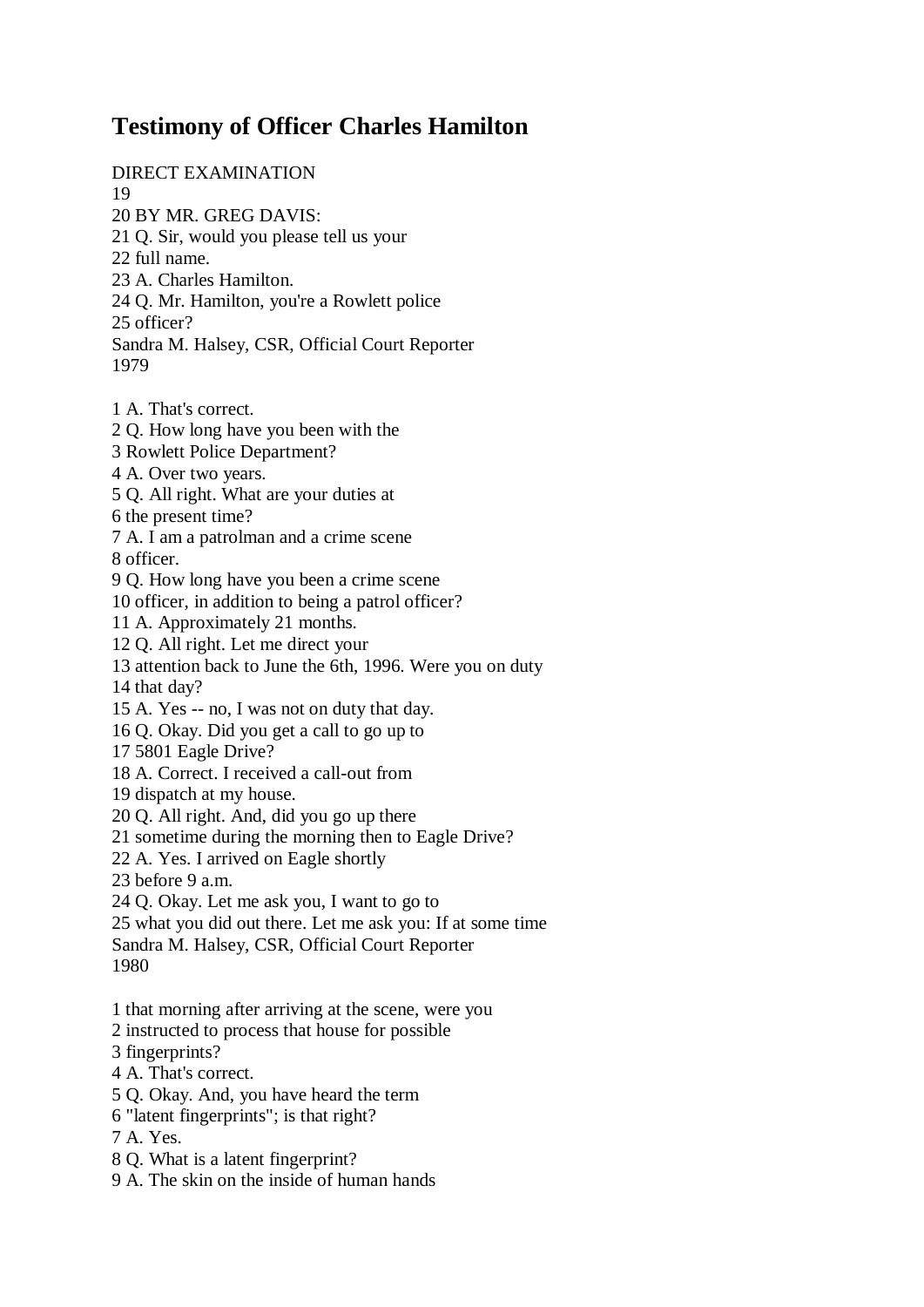## **Testimony of Officer Charles Hamilton**

DIRECT EXAMINATION

19

20 BY MR. GREG DAVIS: 21 Q. Sir, would you please tell us your

22 full name.

23 A. Charles Hamilton.

24 Q. Mr. Hamilton, you're a Rowlett police

25 officer?

Sandra M. Halsey, CSR, Official Court Reporter 1979

- 1 A. That's correct.
- 2 Q. How long have you been with the
- 3 Rowlett Police Department?
- 4 A. Over two years.
- 5 Q. All right. What are your duties at

6 the present time?

7 A. I am a patrolman and a crime scene

8 officer.

9 Q. How long have you been a crime scene

10 officer, in addition to being a patrol officer?

11 A. Approximately 21 months.

12 Q. All right. Let me direct your

13 attention back to June the 6th, 1996. Were you on duty

14 that day?

15 A. Yes -- no, I was not on duty that day.

16 Q. Okay. Did you get a call to go up to

17 5801 Eagle Drive?

18 A. Correct. I received a call-out from

19 dispatch at my house.

20 Q. All right. And, did you go up there

21 sometime during the morning then to Eagle Drive?

22 A. Yes. I arrived on Eagle shortly

23 before 9 a.m.

24 Q. Okay. Let me ask you, I want to go to

25 what you did out there. Let me ask you: If at some time

Sandra M. Halsey, CSR, Official Court Reporter

1980

1 that morning after arriving at the scene, were you

2 instructed to process that house for possible

3 fingerprints?

4 A. That's correct.

5 Q. Okay. And, you have heard the term

6 "latent fingerprints"; is that right?

7 A. Yes.

8 Q. What is a latent fingerprint?

9 A. The skin on the inside of human hands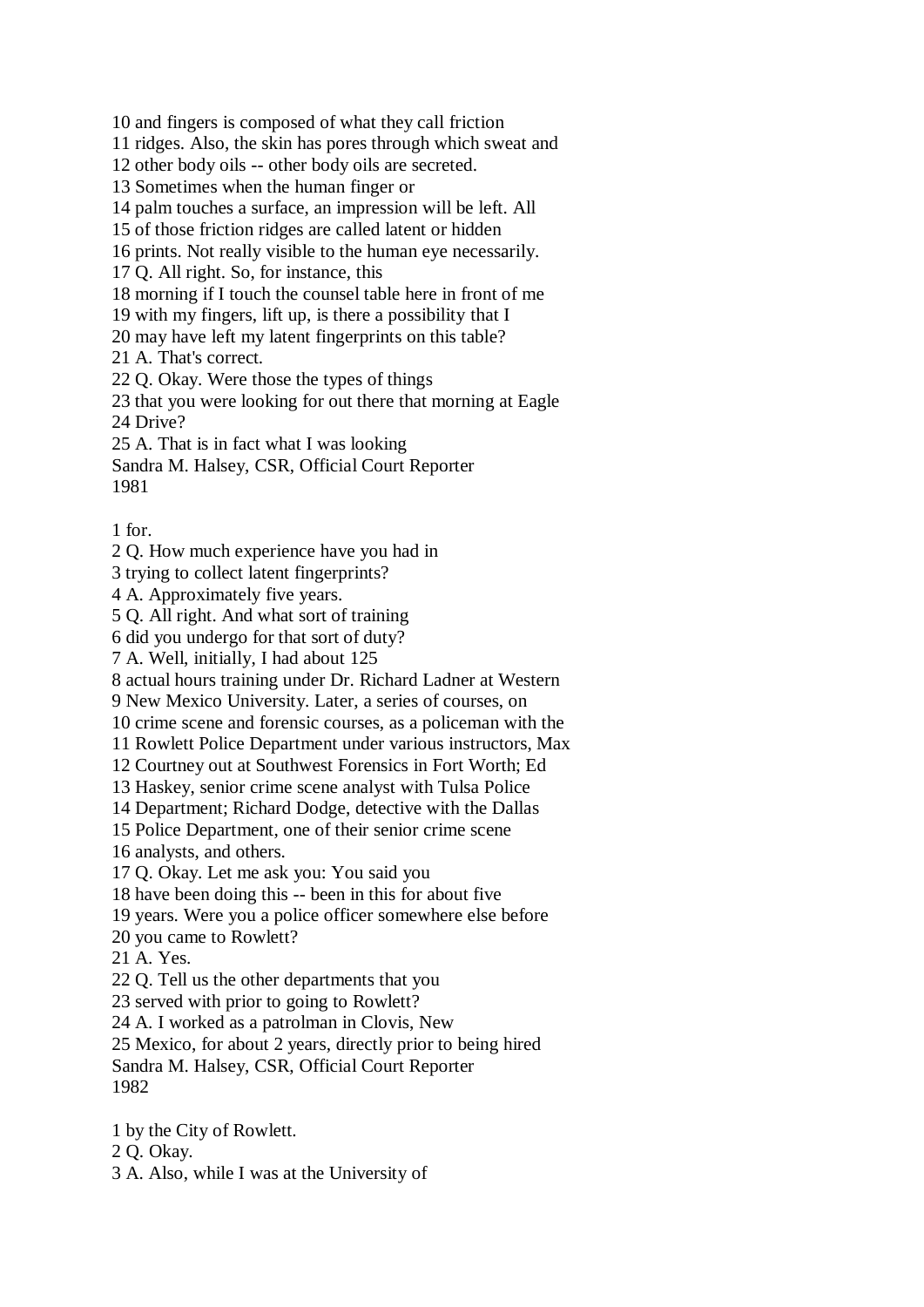10 and fingers is composed of what they call friction

11 ridges. Also, the skin has pores through which sweat and

12 other body oils -- other body oils are secreted.

13 Sometimes when the human finger or

14 palm touches a surface, an impression will be left. All

15 of those friction ridges are called latent or hidden

16 prints. Not really visible to the human eye necessarily.

17 Q. All right. So, for instance, this

18 morning if I touch the counsel table here in front of me

19 with my fingers, lift up, is there a possibility that I

20 may have left my latent fingerprints on this table?

21 A. That's correct.

22 Q. Okay. Were those the types of things

23 that you were looking for out there that morning at Eagle 24 Drive?

25 A. That is in fact what I was looking

Sandra M. Halsey, CSR, Official Court Reporter 1981

1 for.

2 Q. How much experience have you had in

3 trying to collect latent fingerprints?

4 A. Approximately five years.

5 Q. All right. And what sort of training

6 did you undergo for that sort of duty?

7 A. Well, initially, I had about 125

8 actual hours training under Dr. Richard Ladner at Western

9 New Mexico University. Later, a series of courses, on

10 crime scene and forensic courses, as a policeman with the

11 Rowlett Police Department under various instructors, Max

12 Courtney out at Southwest Forensics in Fort Worth; Ed

13 Haskey, senior crime scene analyst with Tulsa Police

14 Department; Richard Dodge, detective with the Dallas

15 Police Department, one of their senior crime scene

16 analysts, and others.

17 Q. Okay. Let me ask you: You said you

18 have been doing this -- been in this for about five

19 years. Were you a police officer somewhere else before

20 you came to Rowlett?

21 A. Yes.

22 Q. Tell us the other departments that you

23 served with prior to going to Rowlett?

24 A. I worked as a patrolman in Clovis, New

25 Mexico, for about 2 years, directly prior to being hired

Sandra M. Halsey, CSR, Official Court Reporter 1982

1 by the City of Rowlett.

2 Q. Okay.

3 A. Also, while I was at the University of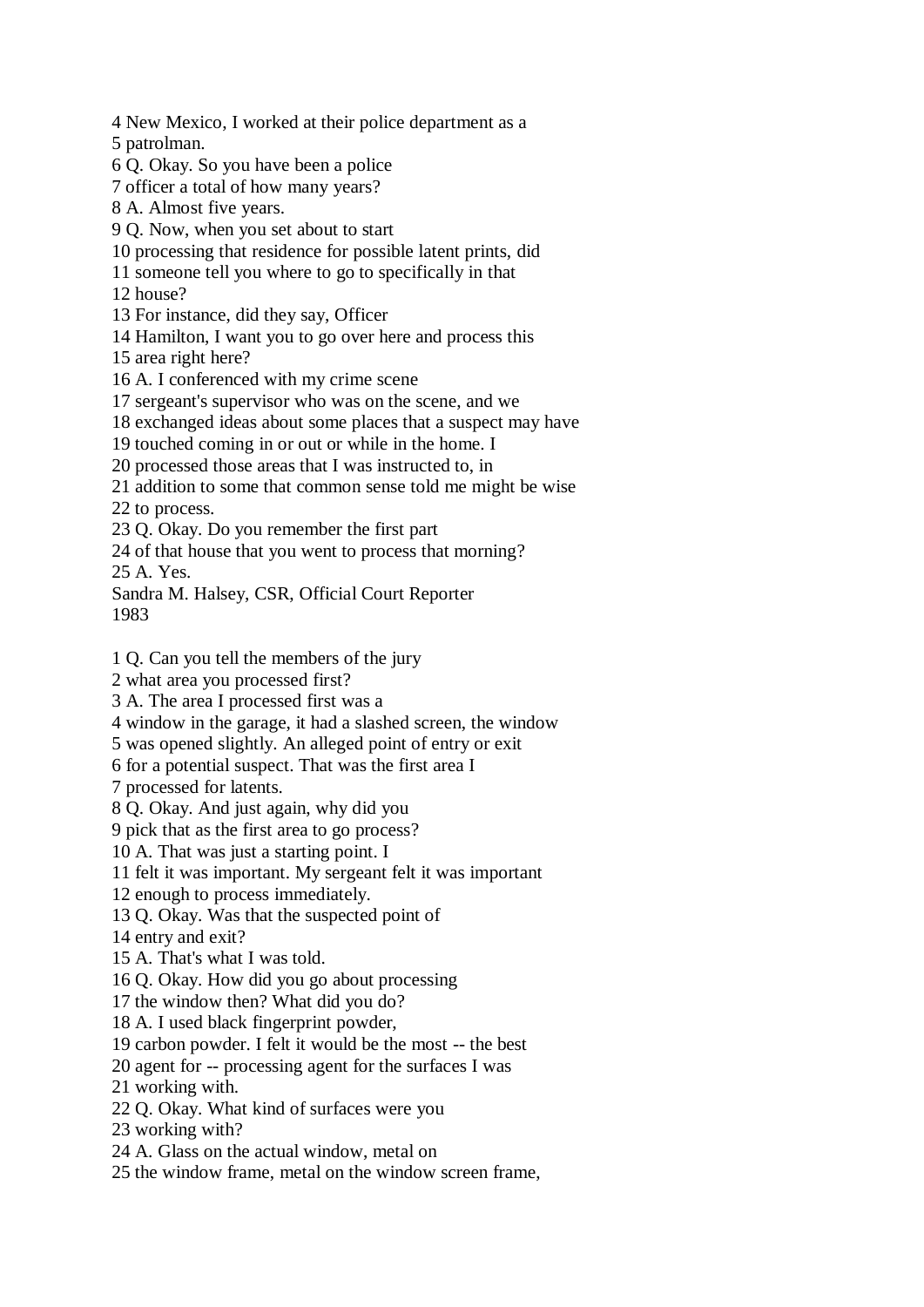4 New Mexico, I worked at their police department as a 5 patrolman. 6 Q. Okay. So you have been a police 7 officer a total of how many years? 8 A. Almost five years. 9 Q. Now, when you set about to start 10 processing that residence for possible latent prints, did 11 someone tell you where to go to specifically in that 12 house? 13 For instance, did they say, Officer 14 Hamilton, I want you to go over here and process this 15 area right here? 16 A. I conferenced with my crime scene 17 sergeant's supervisor who was on the scene, and we 18 exchanged ideas about some places that a suspect may have 19 touched coming in or out or while in the home. I 20 processed those areas that I was instructed to, in 21 addition to some that common sense told me might be wise 22 to process. 23 Q. Okay. Do you remember the first part 24 of that house that you went to process that morning? 25 A. Yes. Sandra M. Halsey, CSR, Official Court Reporter 1983 1 Q. Can you tell the members of the jury 2 what area you processed first? 3 A. The area I processed first was a 4 window in the garage, it had a slashed screen, the window 5 was opened slightly. An alleged point of entry or exit 6 for a potential suspect. That was the first area I 7 processed for latents. 8 Q. Okay. And just again, why did you 9 pick that as the first area to go process? 10 A. That was just a starting point. I 11 felt it was important. My sergeant felt it was important 12 enough to process immediately. 13 Q. Okay. Was that the suspected point of 14 entry and exit? 15 A. That's what I was told. 16 Q. Okay. How did you go about processing

17 the window then? What did you do? 18 A. I used black fingerprint powder,

19 carbon powder. I felt it would be the most -- the best

20 agent for -- processing agent for the surfaces I was

21 working with.

22 Q. Okay. What kind of surfaces were you

23 working with?

24 A. Glass on the actual window, metal on

25 the window frame, metal on the window screen frame,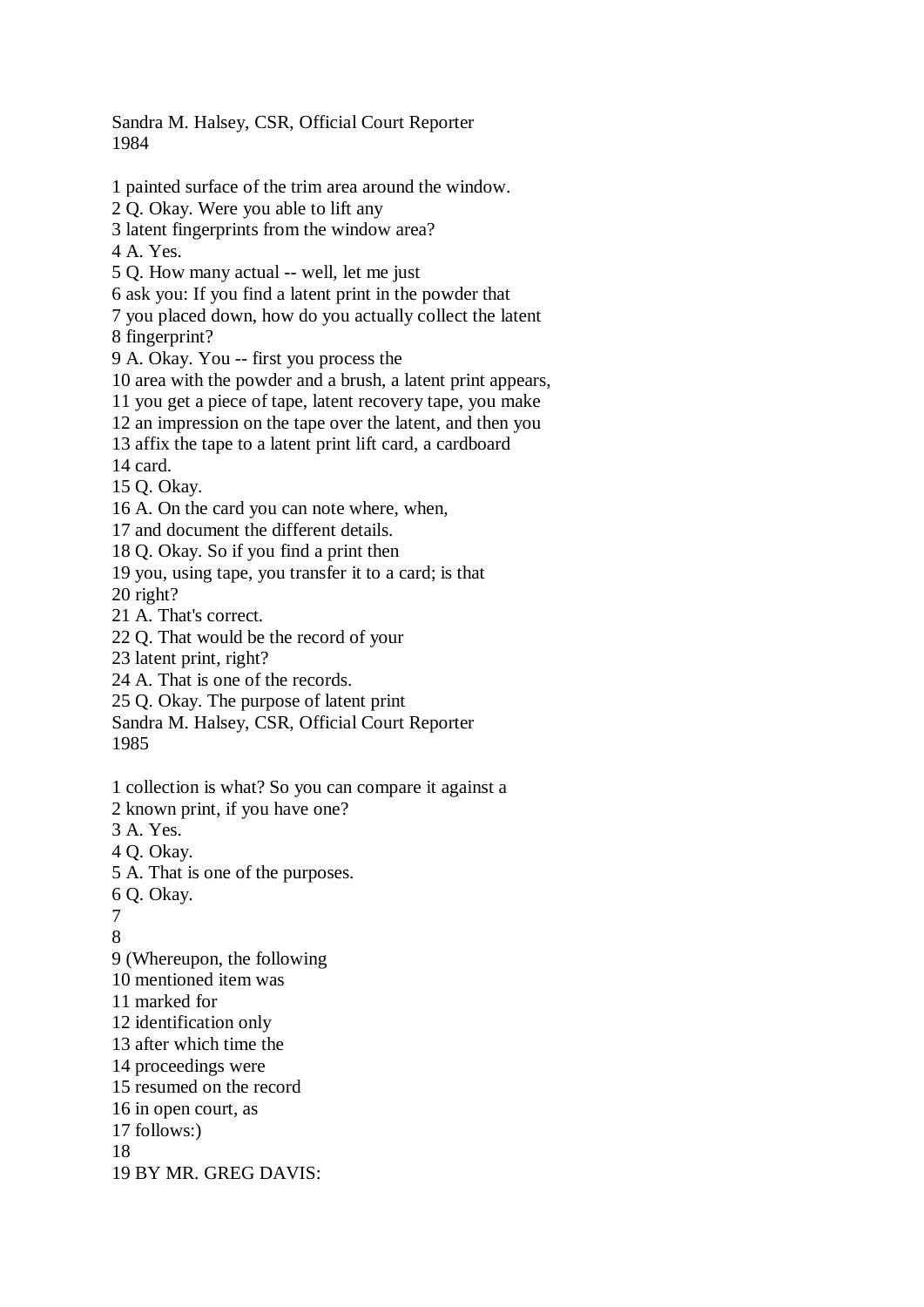Sandra M. Halsey, CSR, Official Court Reporter 1984

1 painted surface of the trim area around the window. 2 Q. Okay. Were you able to lift any 3 latent fingerprints from the window area? 4 A. Yes. 5 Q. How many actual -- well, let me just 6 ask you: If you find a latent print in the powder that 7 you placed down, how do you actually collect the latent 8 fingerprint? 9 A. Okay. You -- first you process the 10 area with the powder and a brush, a latent print appears, 11 you get a piece of tape, latent recovery tape, you make 12 an impression on the tape over the latent, and then you 13 affix the tape to a latent print lift card, a cardboard 14 card. 15 Q. Okay. 16 A. On the card you can note where, when, 17 and document the different details. 18 Q. Okay. So if you find a print then 19 you, using tape, you transfer it to a card; is that 20 right? 21 A. That's correct. 22 Q. That would be the record of your 23 latent print, right? 24 A. That is one of the records. 25 Q. Okay. The purpose of latent print Sandra M. Halsey, CSR, Official Court Reporter 1985 1 collection is what? So you can compare it against a 2 known print, if you have one? 3 A. Yes. 4 Q. Okay. 5 A. That is one of the purposes. 6 Q. Okay. 7 8 9 (Whereupon, the following 10 mentioned item was 11 marked for 12 identification only 13 after which time the 14 proceedings were 15 resumed on the record 16 in open court, as 17 follows:) 18 19 BY MR. GREG DAVIS: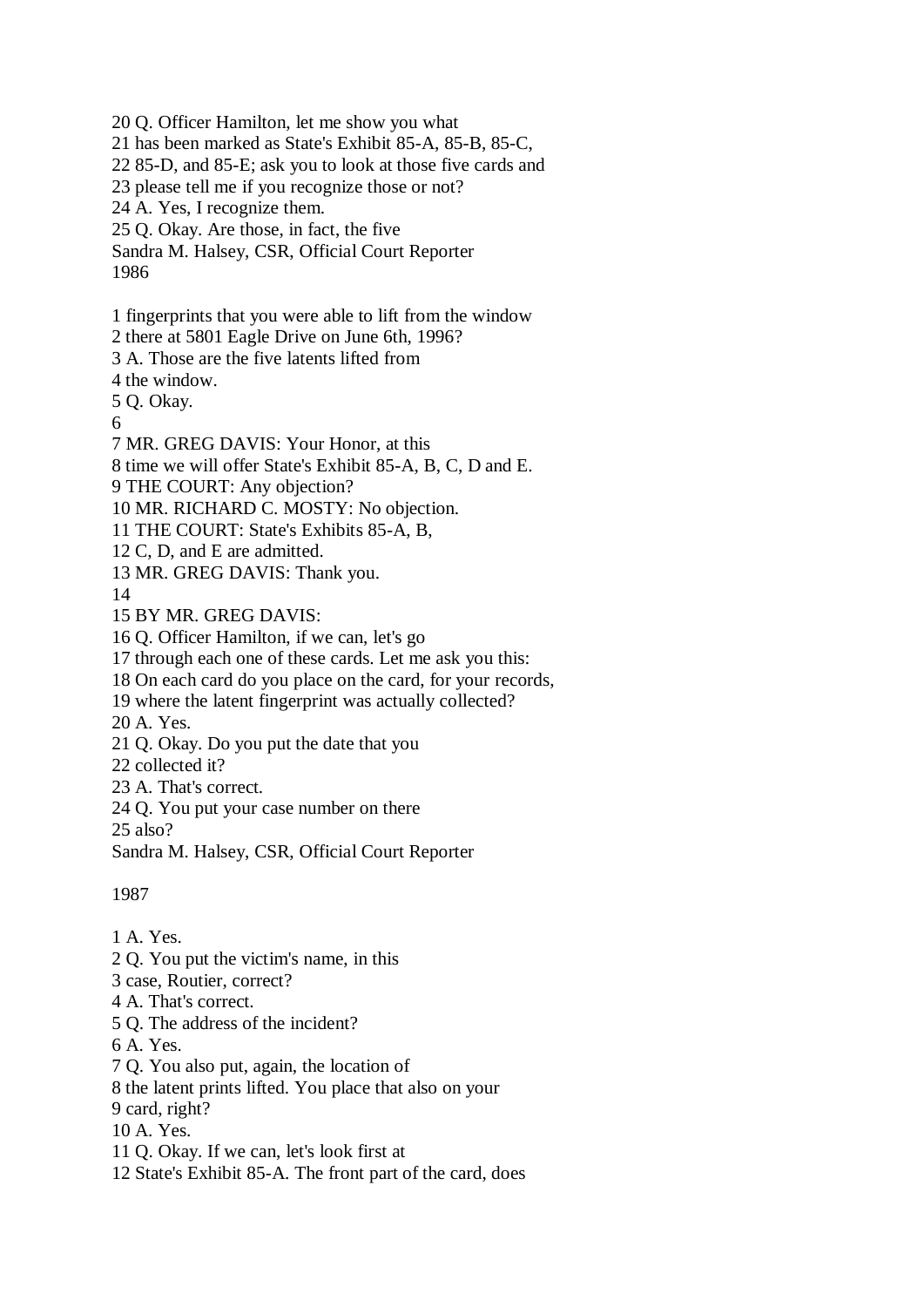20 Q. Officer Hamilton, let me show you what

21 has been marked as State's Exhibit 85-A, 85-B, 85-C,

22 85-D, and 85-E; ask you to look at those five cards and

23 please tell me if you recognize those or not?

24 A. Yes, I recognize them.

25 Q. Okay. Are those, in fact, the five

Sandra M. Halsey, CSR, Official Court Reporter 1986

1 fingerprints that you were able to lift from the window

2 there at 5801 Eagle Drive on June 6th, 1996?

3 A. Those are the five latents lifted from

4 the window.

5 Q. Okay.

6

7 MR. GREG DAVIS: Your Honor, at this

8 time we will offer State's Exhibit 85-A, B, C, D and E.

9 THE COURT: Any objection?

10 MR. RICHARD C. MOSTY: No objection.

11 THE COURT: State's Exhibits 85-A, B,

12 C, D, and E are admitted.

13 MR. GREG DAVIS: Thank you.

14

15 BY MR. GREG DAVIS:

16 Q. Officer Hamilton, if we can, let's go

17 through each one of these cards. Let me ask you this:

18 On each card do you place on the card, for your records,

19 where the latent fingerprint was actually collected?

20 A. Yes.

21 Q. Okay. Do you put the date that you

22 collected it?

23 A. That's correct.

24 Q. You put your case number on there

25 also?

Sandra M. Halsey, CSR, Official Court Reporter

1987

1 A. Yes.

2 Q. You put the victim's name, in this

3 case, Routier, correct?

4 A. That's correct.

5 Q. The address of the incident?

6 A. Yes.

7 Q. You also put, again, the location of

8 the latent prints lifted. You place that also on your

9 card, right?

10 A. Yes.

11 Q. Okay. If we can, let's look first at

12 State's Exhibit 85-A. The front part of the card, does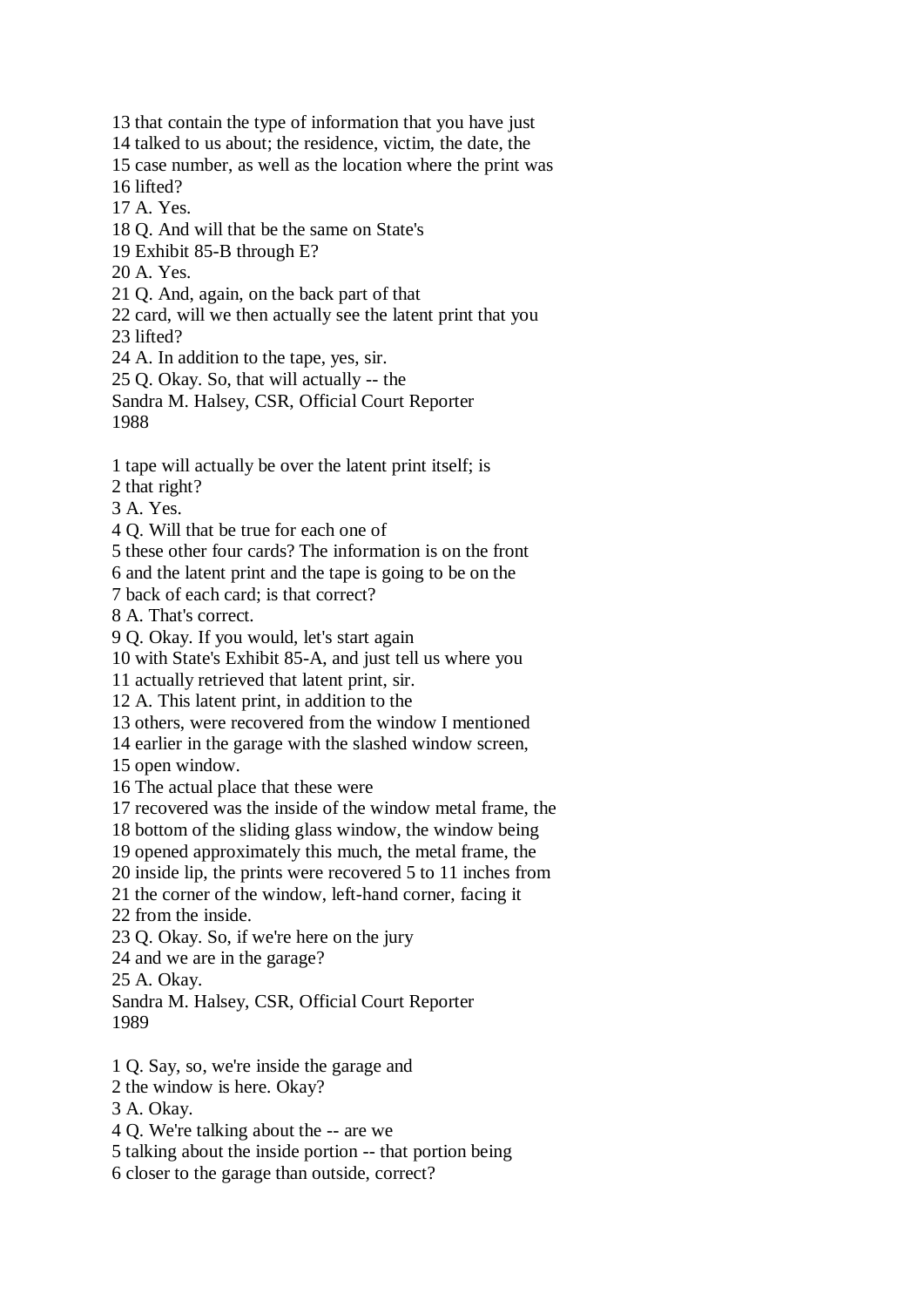13 that contain the type of information that you have just

14 talked to us about; the residence, victim, the date, the

15 case number, as well as the location where the print was 16 lifted?

17 A. Yes.

18 Q. And will that be the same on State's

19 Exhibit 85-B through E?

20 A. Yes.

21 Q. And, again, on the back part of that

22 card, will we then actually see the latent print that you

23 lifted?

24 A. In addition to the tape, yes, sir.

25 Q. Okay. So, that will actually -- the

Sandra M. Halsey, CSR, Official Court Reporter 1988

1 tape will actually be over the latent print itself; is

2 that right?

3 A. Yes.

4 Q. Will that be true for each one of

5 these other four cards? The information is on the front

6 and the latent print and the tape is going to be on the

7 back of each card; is that correct?

8 A. That's correct.

9 Q. Okay. If you would, let's start again

10 with State's Exhibit 85-A, and just tell us where you

11 actually retrieved that latent print, sir.

12 A. This latent print, in addition to the

13 others, were recovered from the window I mentioned

14 earlier in the garage with the slashed window screen,

15 open window.

16 The actual place that these were

17 recovered was the inside of the window metal frame, the

18 bottom of the sliding glass window, the window being

19 opened approximately this much, the metal frame, the

20 inside lip, the prints were recovered 5 to 11 inches from

21 the corner of the window, left-hand corner, facing it

22 from the inside.

23 Q. Okay. So, if we're here on the jury

24 and we are in the garage?

25 A. Okay.

Sandra M. Halsey, CSR, Official Court Reporter 1989

1 Q. Say, so, we're inside the garage and

2 the window is here. Okay?

3 A. Okay.

4 Q. We're talking about the -- are we

5 talking about the inside portion -- that portion being

6 closer to the garage than outside, correct?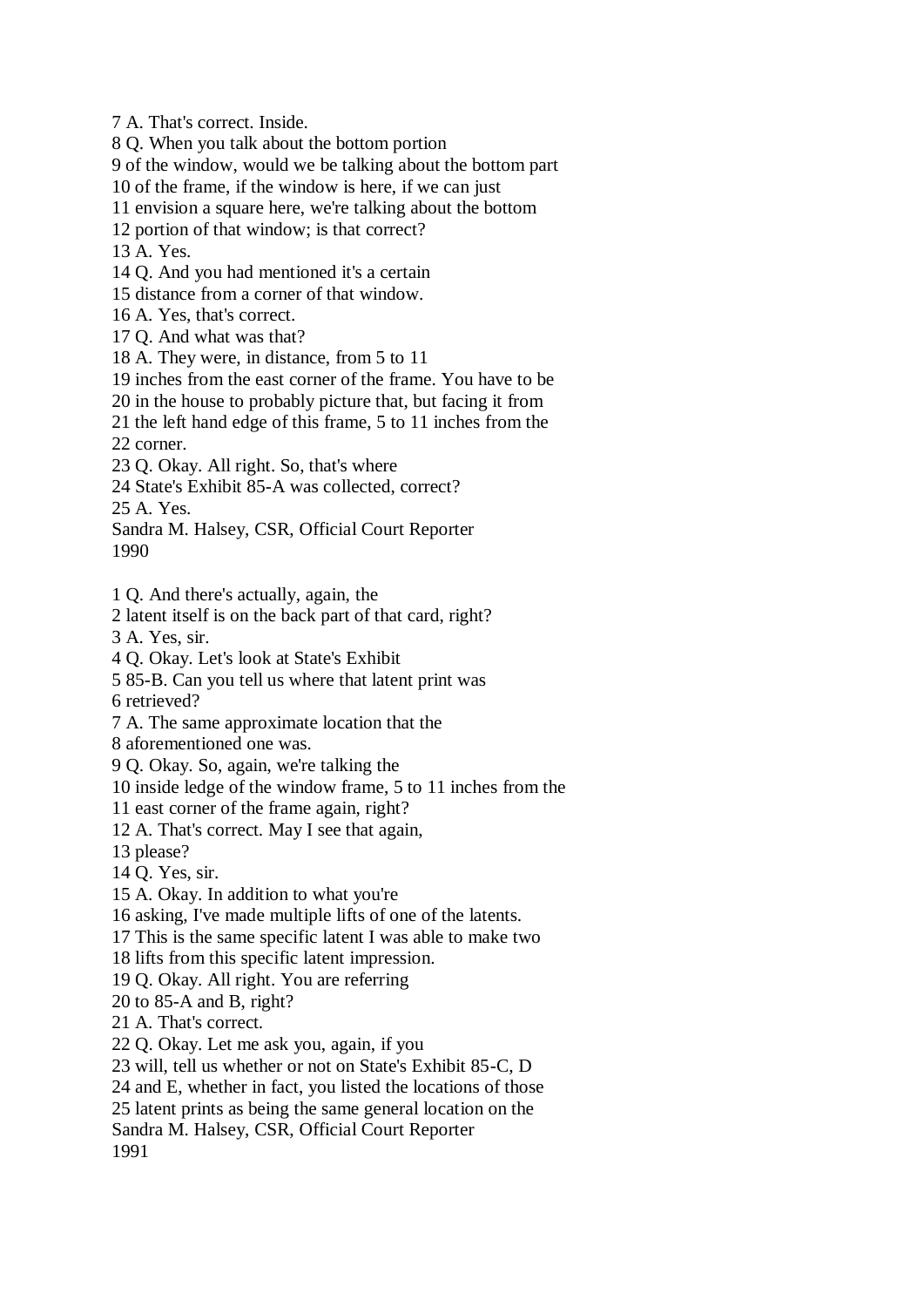7 A. That's correct. Inside.

8 Q. When you talk about the bottom portion

9 of the window, would we be talking about the bottom part

10 of the frame, if the window is here, if we can just

11 envision a square here, we're talking about the bottom

12 portion of that window; is that correct?

13 A. Yes.

14 Q. And you had mentioned it's a certain

15 distance from a corner of that window.

16 A. Yes, that's correct.

17 Q. And what was that?

18 A. They were, in distance, from 5 to 11

19 inches from the east corner of the frame. You have to be

20 in the house to probably picture that, but facing it from

21 the left hand edge of this frame, 5 to 11 inches from the

22 corner.

23 Q. Okay. All right. So, that's where

24 State's Exhibit 85-A was collected, correct?

25 A. Yes.

Sandra M. Halsey, CSR, Official Court Reporter 1990

1 Q. And there's actually, again, the

2 latent itself is on the back part of that card, right?

3 A. Yes, sir.

4 Q. Okay. Let's look at State's Exhibit

5 85-B. Can you tell us where that latent print was

6 retrieved?

7 A. The same approximate location that the

8 aforementioned one was.

9 Q. Okay. So, again, we're talking the

10 inside ledge of the window frame, 5 to 11 inches from the

11 east corner of the frame again, right?

12 A. That's correct. May I see that again,

13 please?

14 Q. Yes, sir.

15 A. Okay. In addition to what you're

16 asking, I've made multiple lifts of one of the latents.

17 This is the same specific latent I was able to make two

18 lifts from this specific latent impression.

19 Q. Okay. All right. You are referring

20 to 85-A and B, right?

21 A. That's correct.

22 Q. Okay. Let me ask you, again, if you

23 will, tell us whether or not on State's Exhibit 85-C, D

24 and E, whether in fact, you listed the locations of those

25 latent prints as being the same general location on the

Sandra M. Halsey, CSR, Official Court Reporter

1991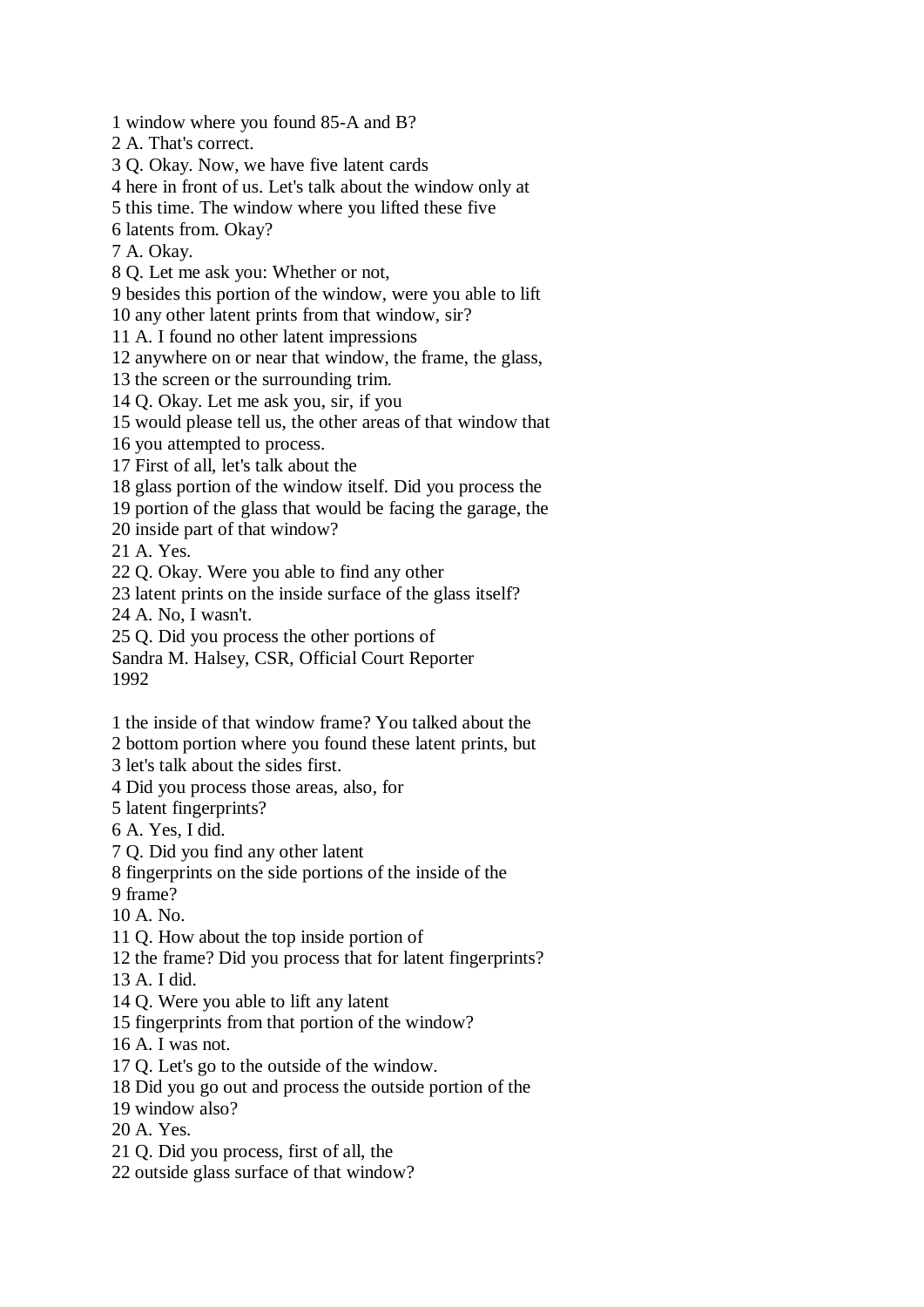1 window where you found 85-A and B?

2 A. That's correct.

3 Q. Okay. Now, we have five latent cards

4 here in front of us. Let's talk about the window only at

5 this time. The window where you lifted these five

6 latents from. Okay?

7 A. Okay.

8 Q. Let me ask you: Whether or not,

9 besides this portion of the window, were you able to lift 10 any other latent prints from that window, sir?

11 A. I found no other latent impressions

12 anywhere on or near that window, the frame, the glass,

13 the screen or the surrounding trim.

14 Q. Okay. Let me ask you, sir, if you

15 would please tell us, the other areas of that window that

16 you attempted to process.

17 First of all, let's talk about the

18 glass portion of the window itself. Did you process the

19 portion of the glass that would be facing the garage, the

20 inside part of that window?

21 A. Yes.

22 Q. Okay. Were you able to find any other

23 latent prints on the inside surface of the glass itself?

24 A. No, I wasn't.

25 Q. Did you process the other portions of

Sandra M. Halsey, CSR, Official Court Reporter 1992

1 the inside of that window frame? You talked about the

2 bottom portion where you found these latent prints, but

3 let's talk about the sides first.

4 Did you process those areas, also, for

5 latent fingerprints?

6 A. Yes, I did.

7 Q. Did you find any other latent

8 fingerprints on the side portions of the inside of the

9 frame?

10 A. No.

11 Q. How about the top inside portion of

12 the frame? Did you process that for latent fingerprints?

13 A. I did.

14 Q. Were you able to lift any latent

15 fingerprints from that portion of the window?

16 A. I was not.

17 Q. Let's go to the outside of the window.

18 Did you go out and process the outside portion of the

19 window also?

20 A. Yes.

21 Q. Did you process, first of all, the

22 outside glass surface of that window?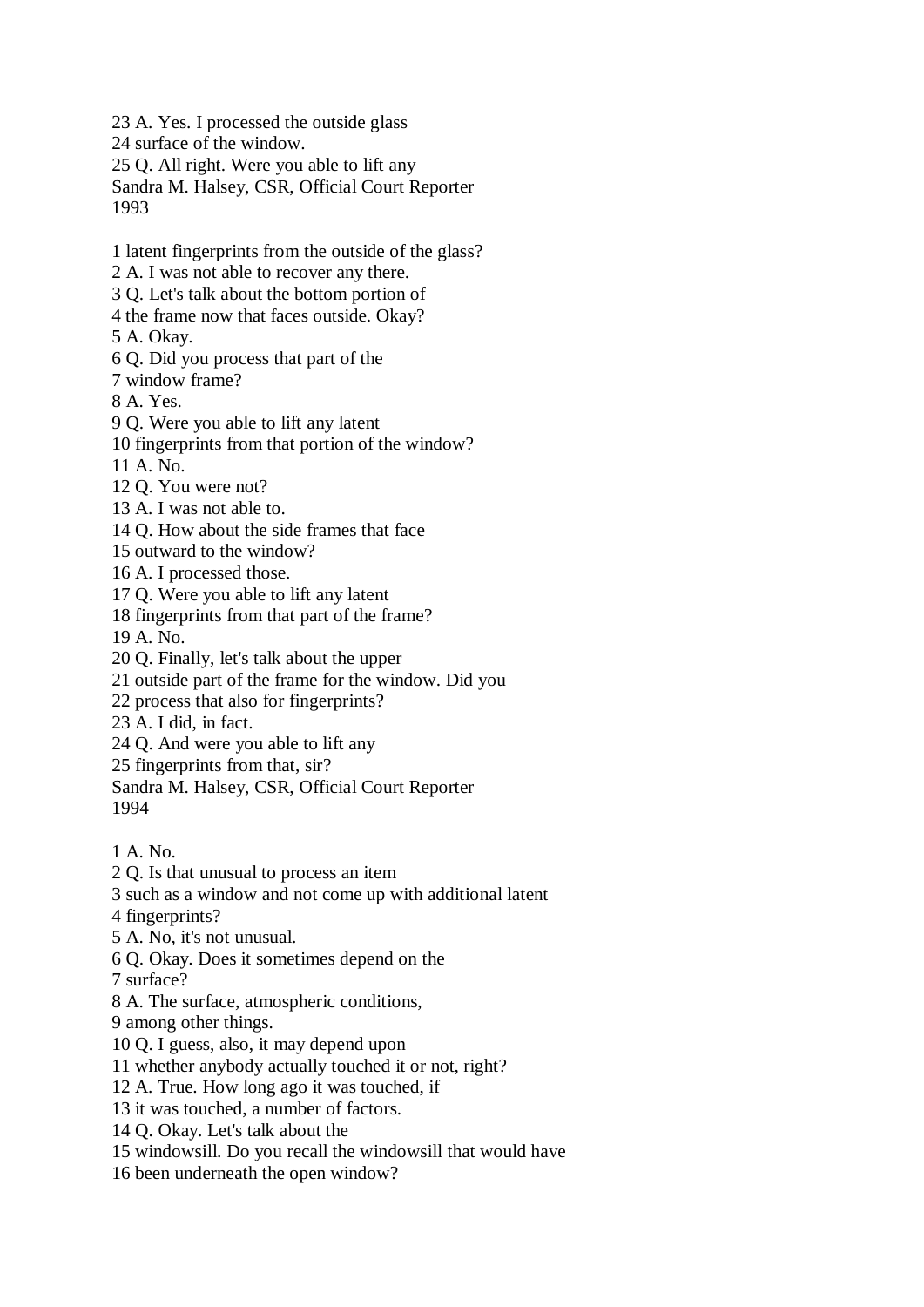23 A. Yes. I processed the outside glass

24 surface of the window.

25 Q. All right. Were you able to lift any

Sandra M. Halsey, CSR, Official Court Reporter 1993

1 latent fingerprints from the outside of the glass?

2 A. I was not able to recover any there.

3 Q. Let's talk about the bottom portion of

4 the frame now that faces outside. Okay?

5 A. Okay.

6 Q. Did you process that part of the

7 window frame?

8 A. Yes.

9 Q. Were you able to lift any latent

10 fingerprints from that portion of the window?

11 A. No.

12 Q. You were not?

13 A. I was not able to.

14 Q. How about the side frames that face

15 outward to the window?

16 A. I processed those.

17 Q. Were you able to lift any latent

18 fingerprints from that part of the frame?

19 A. No.

20 Q. Finally, let's talk about the upper

21 outside part of the frame for the window. Did you

22 process that also for fingerprints?

23 A. I did, in fact.

24 Q. And were you able to lift any

25 fingerprints from that, sir?

Sandra M. Halsey, CSR, Official Court Reporter

1994

1 A. No.

2 Q. Is that unusual to process an item

3 such as a window and not come up with additional latent

4 fingerprints?

5 A. No, it's not unusual.

6 Q. Okay. Does it sometimes depend on the

7 surface?

8 A. The surface, atmospheric conditions,

9 among other things.

10 Q. I guess, also, it may depend upon

11 whether anybody actually touched it or not, right?

12 A. True. How long ago it was touched, if

13 it was touched, a number of factors.

14 Q. Okay. Let's talk about the

15 windowsill. Do you recall the windowsill that would have

16 been underneath the open window?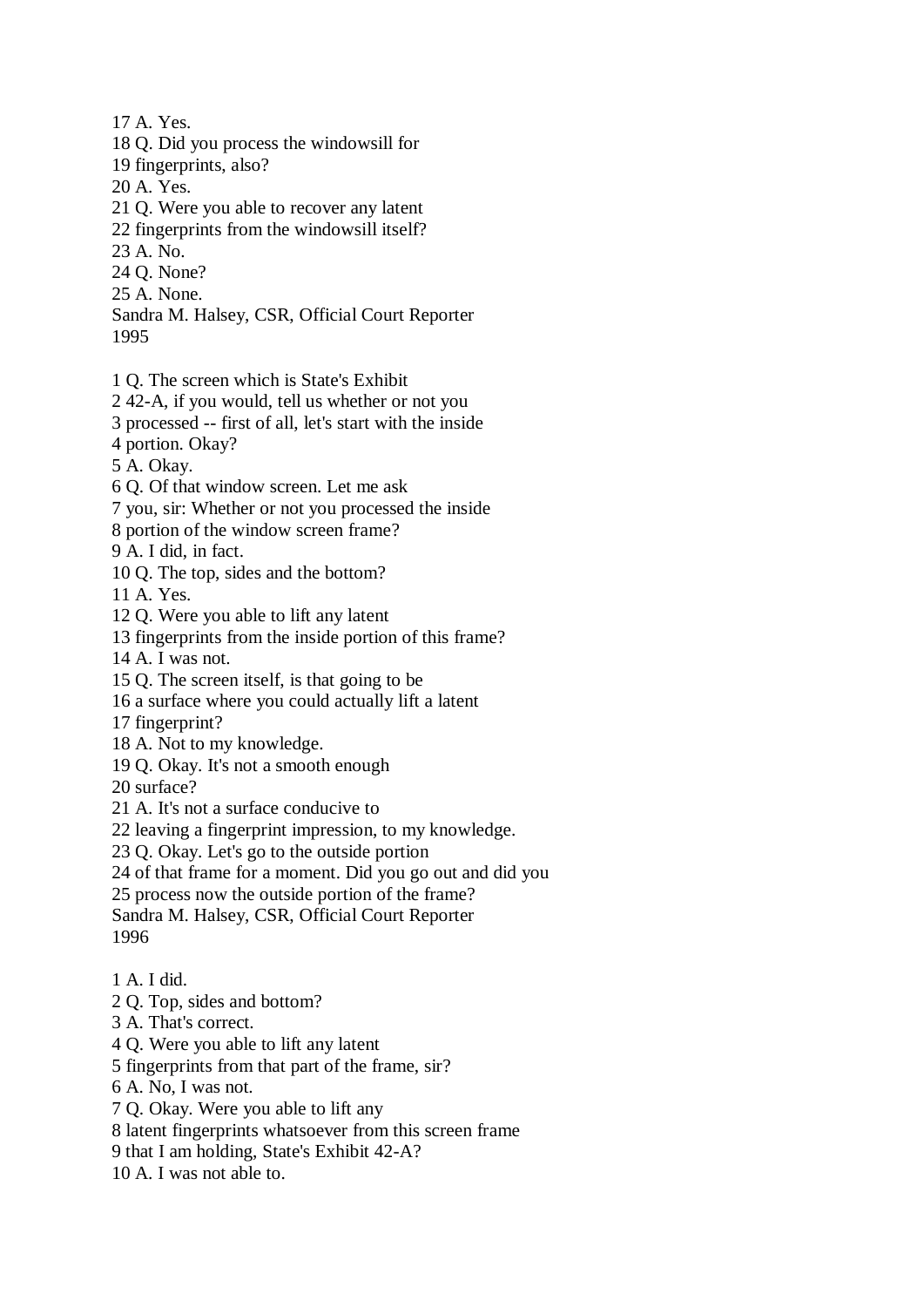17 A. Yes. 18 Q. Did you process the windowsill for 19 fingerprints, also? 20 A. Yes. 21 Q. Were you able to recover any latent 22 fingerprints from the windowsill itself? 23 A. No. 24 Q. None? 25 A. None. Sandra M. Halsey, CSR, Official Court Reporter 1995

1 Q. The screen which is State's Exhibit

2 42-A, if you would, tell us whether or not you

3 processed -- first of all, let's start with the inside

4 portion. Okay?

5 A. Okay.

6 Q. Of that window screen. Let me ask

7 you, sir: Whether or not you processed the inside

8 portion of the window screen frame?

9 A. I did, in fact.

10 Q. The top, sides and the bottom?

11 A. Yes.

12 Q. Were you able to lift any latent

13 fingerprints from the inside portion of this frame?

14 A. I was not.

15 Q. The screen itself, is that going to be

16 a surface where you could actually lift a latent

17 fingerprint?

18 A. Not to my knowledge.

19 Q. Okay. It's not a smooth enough

20 surface?

21 A. It's not a surface conducive to

22 leaving a fingerprint impression, to my knowledge.

23 Q. Okay. Let's go to the outside portion

24 of that frame for a moment. Did you go out and did you

25 process now the outside portion of the frame?

Sandra M. Halsey, CSR, Official Court Reporter 1996

1 A. I did.

2 Q. Top, sides and bottom?

3 A. That's correct.

4 Q. Were you able to lift any latent

5 fingerprints from that part of the frame, sir?

6 A. No, I was not.

7 Q. Okay. Were you able to lift any

8 latent fingerprints whatsoever from this screen frame

9 that I am holding, State's Exhibit 42-A?

10 A. I was not able to.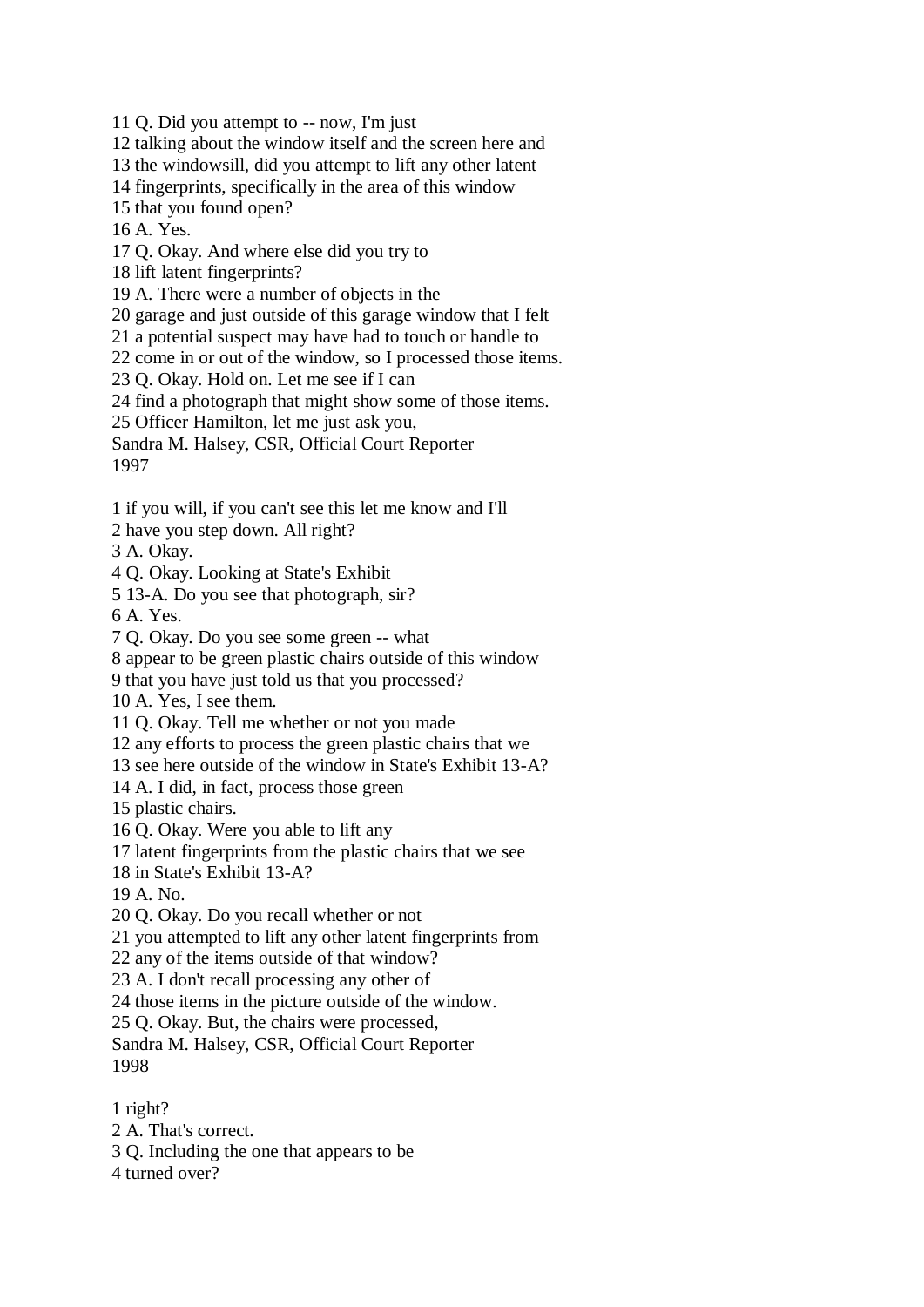11 Q. Did you attempt to -- now, I'm just

12 talking about the window itself and the screen here and

13 the windowsill, did you attempt to lift any other latent

14 fingerprints, specifically in the area of this window

15 that you found open?

16 A. Yes.

17 Q. Okay. And where else did you try to

18 lift latent fingerprints?

19 A. There were a number of objects in the

20 garage and just outside of this garage window that I felt

21 a potential suspect may have had to touch or handle to

22 come in or out of the window, so I processed those items.

23 Q. Okay. Hold on. Let me see if I can

24 find a photograph that might show some of those items.

25 Officer Hamilton, let me just ask you,

Sandra M. Halsey, CSR, Official Court Reporter 1997

1 if you will, if you can't see this let me know and I'll

2 have you step down. All right?

3 A. Okay.

4 Q. Okay. Looking at State's Exhibit

5 13-A. Do you see that photograph, sir?

6 A. Yes.

7 Q. Okay. Do you see some green -- what

8 appear to be green plastic chairs outside of this window

9 that you have just told us that you processed?

10 A. Yes, I see them.

11 Q. Okay. Tell me whether or not you made

12 any efforts to process the green plastic chairs that we

13 see here outside of the window in State's Exhibit 13-A?

14 A. I did, in fact, process those green

15 plastic chairs.

16 Q. Okay. Were you able to lift any

17 latent fingerprints from the plastic chairs that we see

18 in State's Exhibit 13-A?

19 A. No.

20 Q. Okay. Do you recall whether or not

21 you attempted to lift any other latent fingerprints from

22 any of the items outside of that window?

23 A. I don't recall processing any other of

24 those items in the picture outside of the window.

25 Q. Okay. But, the chairs were processed,

Sandra M. Halsey, CSR, Official Court Reporter 1998

1 right?

- 2 A. That's correct.
- 3 Q. Including the one that appears to be

4 turned over?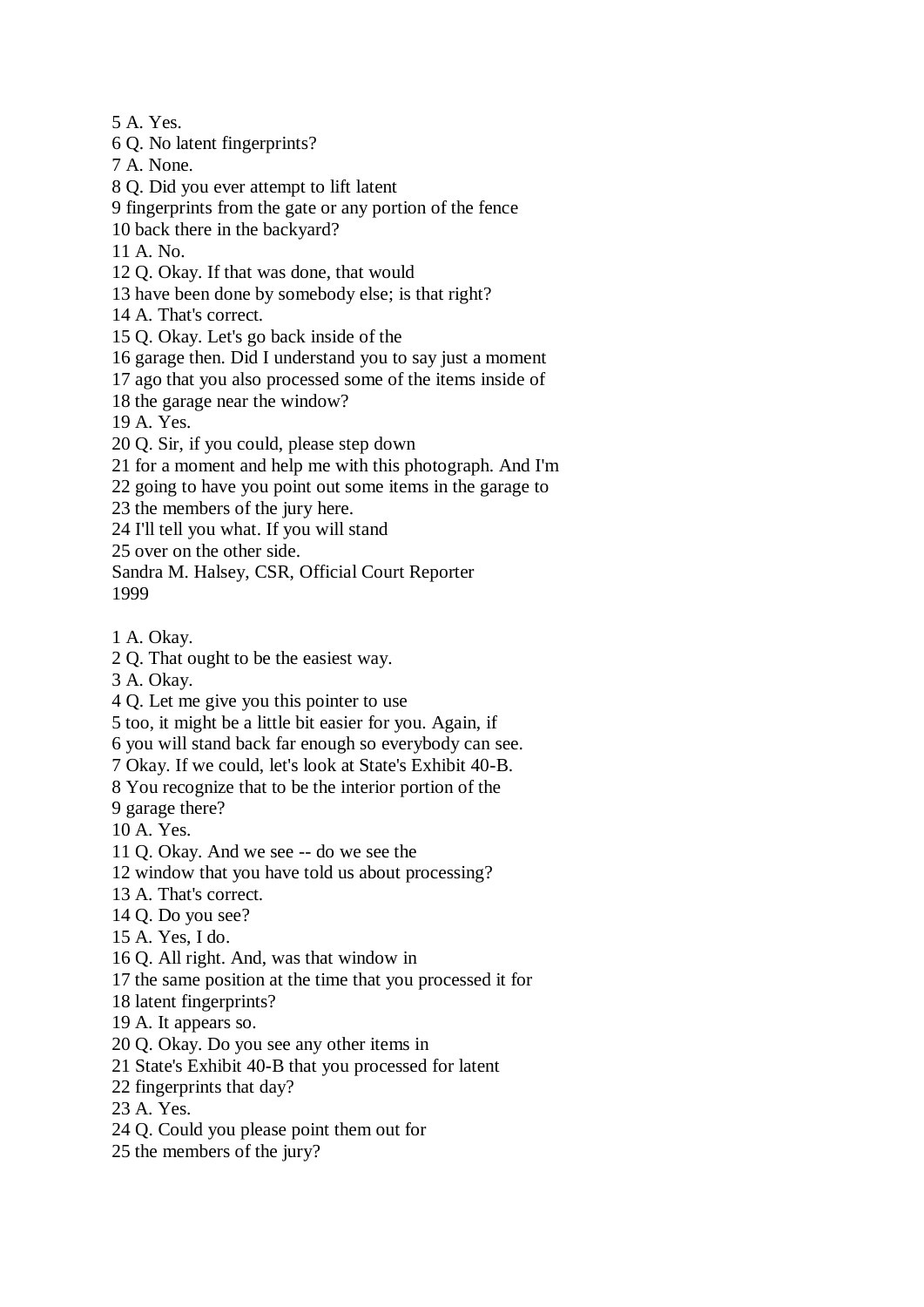5 A. Yes.

6 Q. No latent fingerprints?

7 A. None.

8 Q. Did you ever attempt to lift latent

9 fingerprints from the gate or any portion of the fence

10 back there in the backyard?

11 A. No.

12 Q. Okay. If that was done, that would

13 have been done by somebody else; is that right?

14 A. That's correct.

15 Q. Okay. Let's go back inside of the

16 garage then. Did I understand you to say just a moment

17 ago that you also processed some of the items inside of

18 the garage near the window?

19 A. Yes.

20 Q. Sir, if you could, please step down

21 for a moment and help me with this photograph. And I'm

22 going to have you point out some items in the garage to

23 the members of the jury here.

24 I'll tell you what. If you will stand

25 over on the other side.

Sandra M. Halsey, CSR, Official Court Reporter 1999

1 A. Okay.

2 Q. That ought to be the easiest way.

3 A. Okay.

4 Q. Let me give you this pointer to use

5 too, it might be a little bit easier for you. Again, if

6 you will stand back far enough so everybody can see.

7 Okay. If we could, let's look at State's Exhibit 40-B.

8 You recognize that to be the interior portion of the

9 garage there?

10 A. Yes.

11 Q. Okay. And we see -- do we see the

12 window that you have told us about processing?

13 A. That's correct.

14 Q. Do you see?

15 A. Yes, I do.

16 Q. All right. And, was that window in

17 the same position at the time that you processed it for

18 latent fingerprints?

19 A. It appears so.

20 Q. Okay. Do you see any other items in

21 State's Exhibit 40-B that you processed for latent

22 fingerprints that day?

23 A. Yes.

24 Q. Could you please point them out for

25 the members of the jury?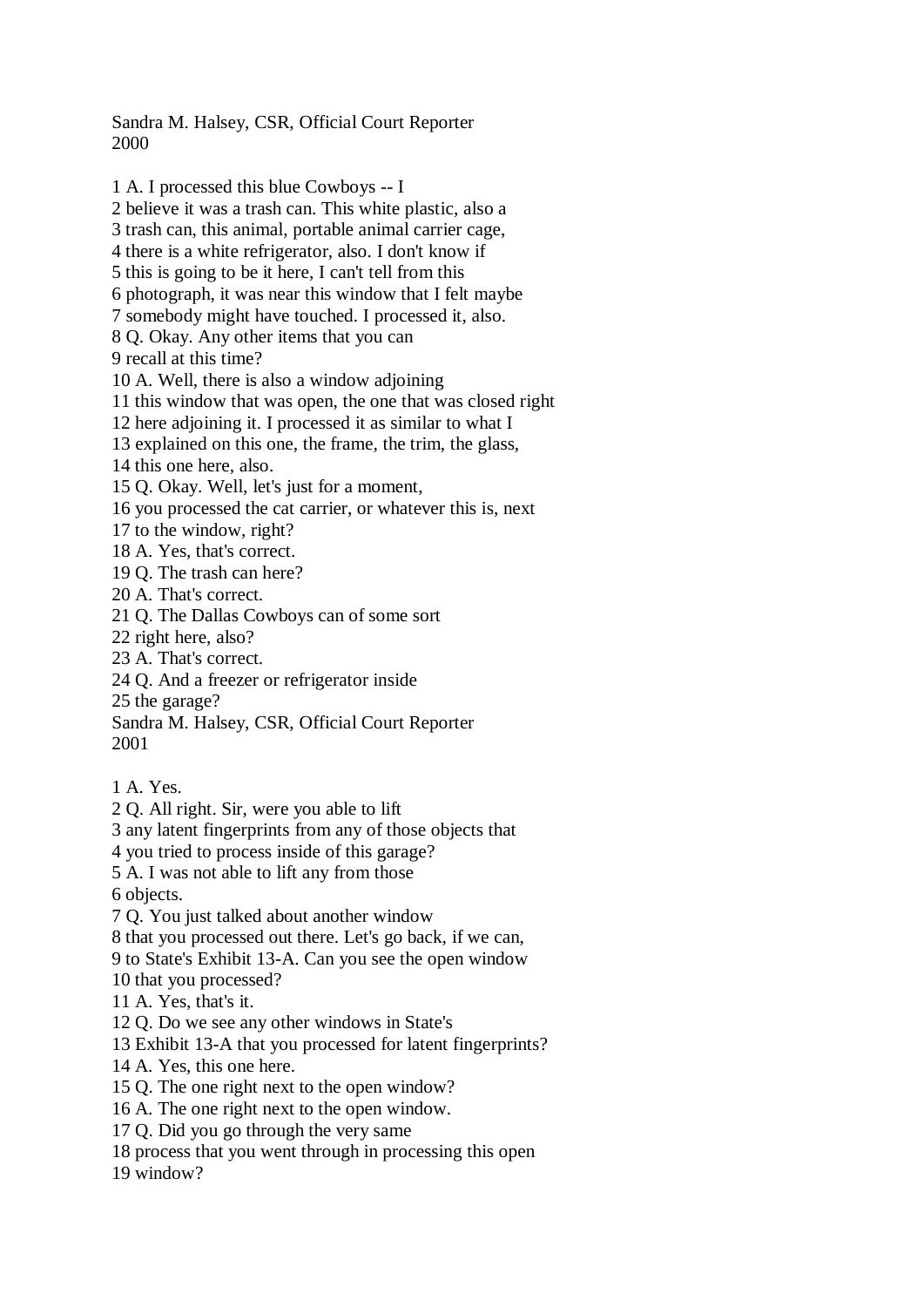Sandra M. Halsey, CSR, Official Court Reporter 2000

1 A. I processed this blue Cowboys -- I 2 believe it was a trash can. This white plastic, also a 3 trash can, this animal, portable animal carrier cage, 4 there is a white refrigerator, also. I don't know if 5 this is going to be it here, I can't tell from this 6 photograph, it was near this window that I felt maybe 7 somebody might have touched. I processed it, also. 8 Q. Okay. Any other items that you can 9 recall at this time? 10 A. Well, there is also a window adjoining 11 this window that was open, the one that was closed right 12 here adjoining it. I processed it as similar to what I 13 explained on this one, the frame, the trim, the glass, 14 this one here, also. 15 Q. Okay. Well, let's just for a moment, 16 you processed the cat carrier, or whatever this is, next 17 to the window, right? 18 A. Yes, that's correct. 19 Q. The trash can here? 20 A. That's correct. 21 Q. The Dallas Cowboys can of some sort 22 right here, also? 23 A. That's correct. 24 Q. And a freezer or refrigerator inside 25 the garage? Sandra M. Halsey, CSR, Official Court Reporter 2001 1 A. Yes. 2 Q. All right. Sir, were you able to lift 3 any latent fingerprints from any of those objects that 4 you tried to process inside of this garage? 5 A. I was not able to lift any from those 6 objects. 7 Q. You just talked about another window 8 that you processed out there. Let's go back, if we can, 9 to State's Exhibit 13-A. Can you see the open window

10 that you processed?

11 A. Yes, that's it.

12 Q. Do we see any other windows in State's

13 Exhibit 13-A that you processed for latent fingerprints?

14 A. Yes, this one here.

15 Q. The one right next to the open window?

16 A. The one right next to the open window.

17 Q. Did you go through the very same

18 process that you went through in processing this open

19 window?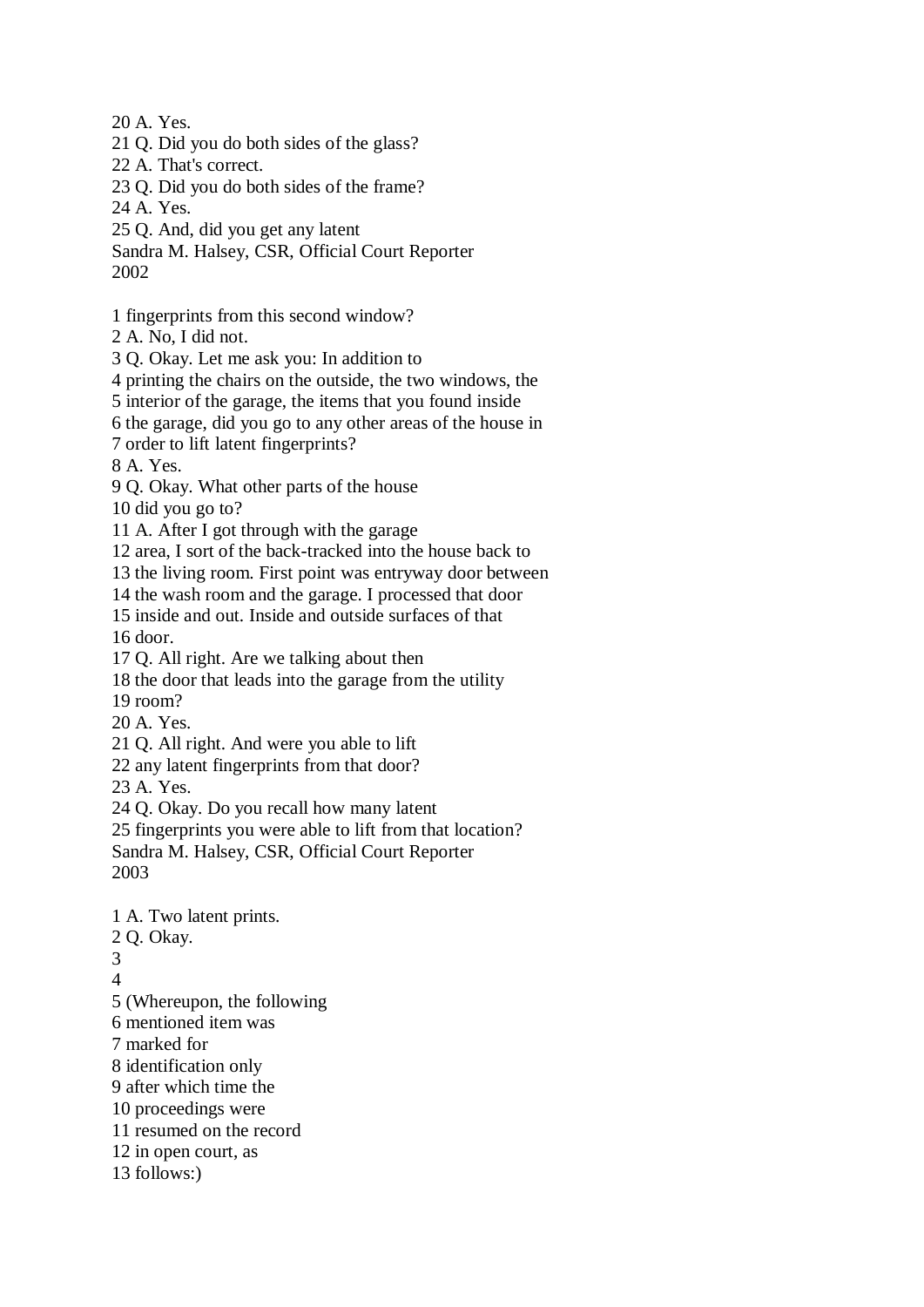20 A. Yes.

21 Q. Did you do both sides of the glass?

22 A. That's correct.

23 Q. Did you do both sides of the frame?

24 A. Yes.

25 Q. And, did you get any latent

Sandra M. Halsey, CSR, Official Court Reporter 2002

1 fingerprints from this second window?

2 A. No, I did not.

3 Q. Okay. Let me ask you: In addition to

4 printing the chairs on the outside, the two windows, the

5 interior of the garage, the items that you found inside

6 the garage, did you go to any other areas of the house in

7 order to lift latent fingerprints?

8 A. Yes.

9 Q. Okay. What other parts of the house

10 did you go to?

11 A. After I got through with the garage

12 area, I sort of the back-tracked into the house back to

13 the living room. First point was entryway door between

14 the wash room and the garage. I processed that door

15 inside and out. Inside and outside surfaces of that

16 door.

17 Q. All right. Are we talking about then

18 the door that leads into the garage from the utility

19 room?

20 A. Yes.

21 Q. All right. And were you able to lift

22 any latent fingerprints from that door?

23 A. Yes.

24 Q. Okay. Do you recall how many latent

25 fingerprints you were able to lift from that location?

Sandra M. Halsey, CSR, Official Court Reporter 2003

1 A. Two latent prints. 2 Q. Okay. 3 4 5 (Whereupon, the following 6 mentioned item was 7 marked for 8 identification only 9 after which time the 10 proceedings were 11 resumed on the record 12 in open court, as 13 follows:)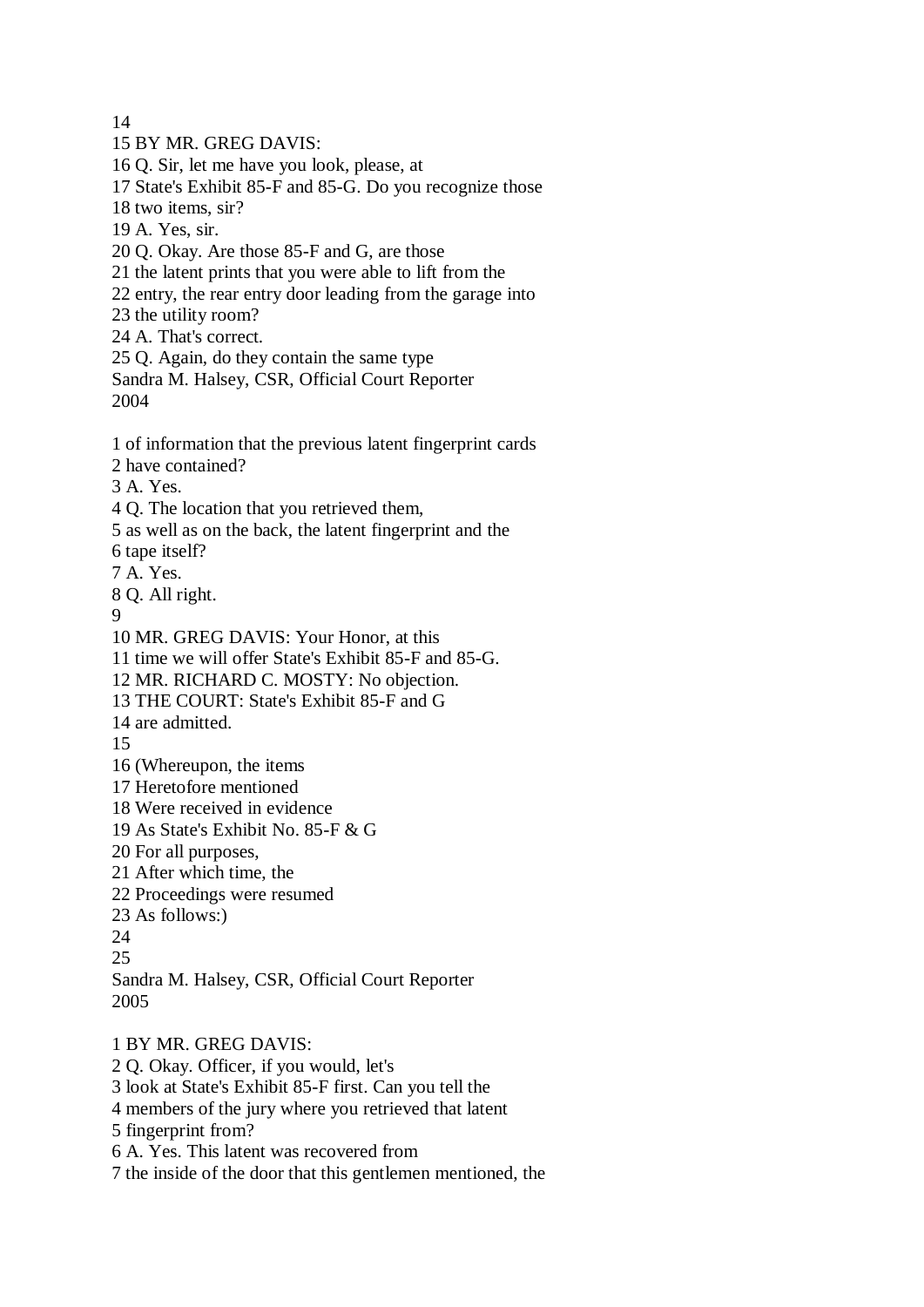14

15 BY MR. GREG DAVIS: 16 Q. Sir, let me have you look, please, at 17 State's Exhibit 85-F and 85-G. Do you recognize those 18 two items, sir? 19 A. Yes, sir. 20 Q. Okay. Are those 85-F and G, are those 21 the latent prints that you were able to lift from the 22 entry, the rear entry door leading from the garage into 23 the utility room? 24 A. That's correct. 25 Q. Again, do they contain the same type Sandra M. Halsey, CSR, Official Court Reporter 2004 1 of information that the previous latent fingerprint cards 2 have contained? 3 A. Yes. 4 Q. The location that you retrieved them, 5 as well as on the back, the latent fingerprint and the 6 tape itself? 7 A. Yes. 8 Q. All right.  $\Omega$ 10 MR. GREG DAVIS: Your Honor, at this 11 time we will offer State's Exhibit 85-F and 85-G. 12 MR. RICHARD C. MOSTY: No objection. 13 THE COURT: State's Exhibit 85-F and G 14 are admitted. 15 16 (Whereupon, the items 17 Heretofore mentioned 18 Were received in evidence 19 As State's Exhibit No. 85-F & G 20 For all purposes, 21 After which time, the 22 Proceedings were resumed 23 As follows:) 24 25 Sandra M. Halsey, CSR, Official Court Reporter 2005 1 BY MR. GREG DAVIS: 2 Q. Okay. Officer, if you would, let's 3 look at State's Exhibit 85-F first. Can you tell the 4 members of the jury where you retrieved that latent 5 fingerprint from? 6 A. Yes. This latent was recovered from

7 the inside of the door that this gentlemen mentioned, the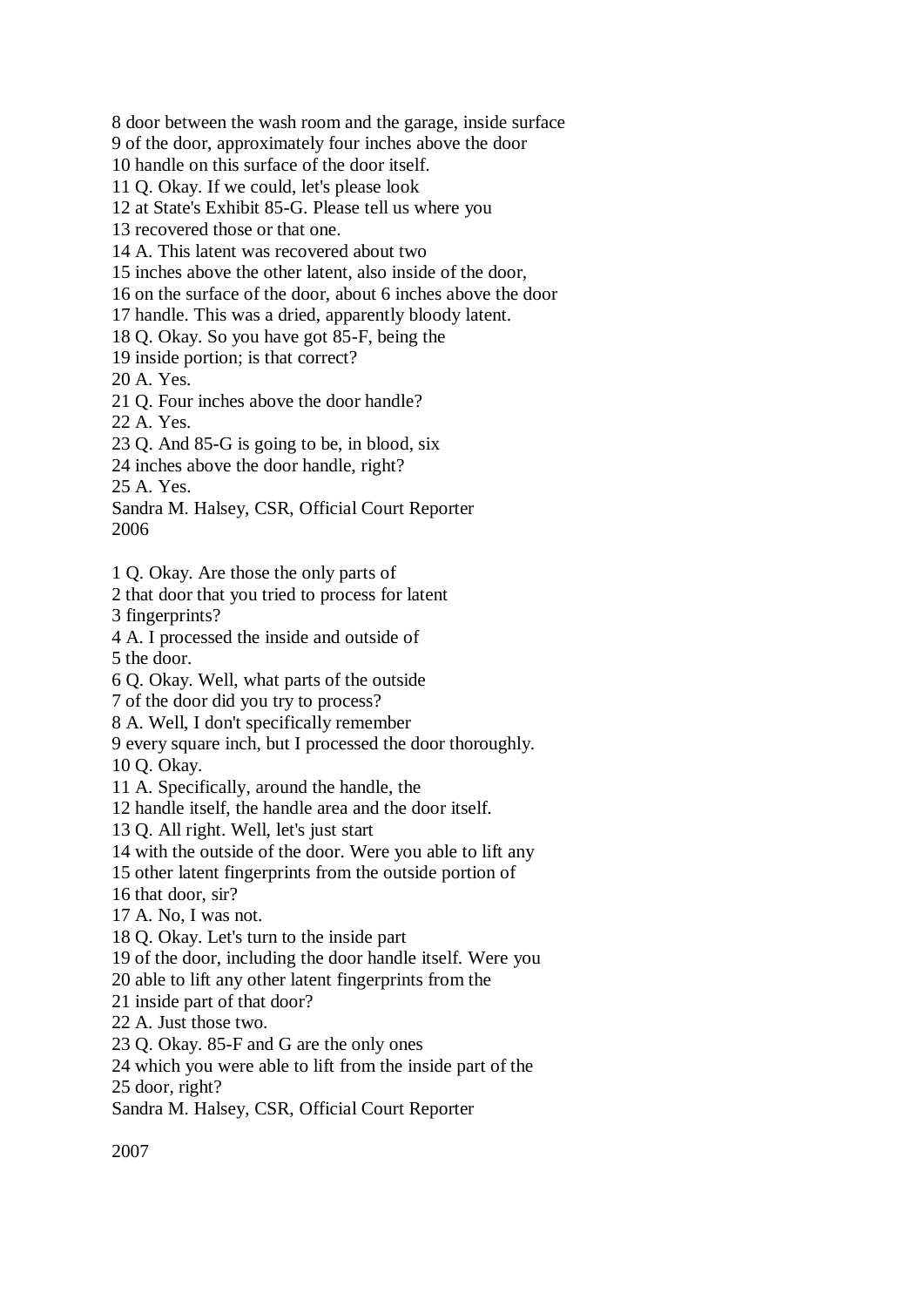8 door between the wash room and the garage, inside surface

9 of the door, approximately four inches above the door

10 handle on this surface of the door itself.

11 Q. Okay. If we could, let's please look

12 at State's Exhibit 85-G. Please tell us where you

13 recovered those or that one.

14 A. This latent was recovered about two

15 inches above the other latent, also inside of the door,

16 on the surface of the door, about 6 inches above the door

17 handle. This was a dried, apparently bloody latent.

18 Q. Okay. So you have got 85-F, being the

19 inside portion; is that correct?

20 A. Yes.

21 Q. Four inches above the door handle?

22 A. Yes.

23 Q. And 85-G is going to be, in blood, six

24 inches above the door handle, right?

25 A. Yes.

Sandra M. Halsey, CSR, Official Court Reporter 2006

1 Q. Okay. Are those the only parts of

2 that door that you tried to process for latent

3 fingerprints?

4 A. I processed the inside and outside of 5 the door.

6 Q. Okay. Well, what parts of the outside

7 of the door did you try to process?

8 A. Well, I don't specifically remember

9 every square inch, but I processed the door thoroughly.

10 Q. Okay.

11 A. Specifically, around the handle, the

12 handle itself, the handle area and the door itself.

13 Q. All right. Well, let's just start

14 with the outside of the door. Were you able to lift any

15 other latent fingerprints from the outside portion of

16 that door, sir?

17 A. No, I was not.

18 Q. Okay. Let's turn to the inside part

19 of the door, including the door handle itself. Were you

20 able to lift any other latent fingerprints from the

21 inside part of that door?

22 A. Just those two.

23 Q. Okay. 85-F and G are the only ones

24 which you were able to lift from the inside part of the

25 door, right?

Sandra M. Halsey, CSR, Official Court Reporter

2007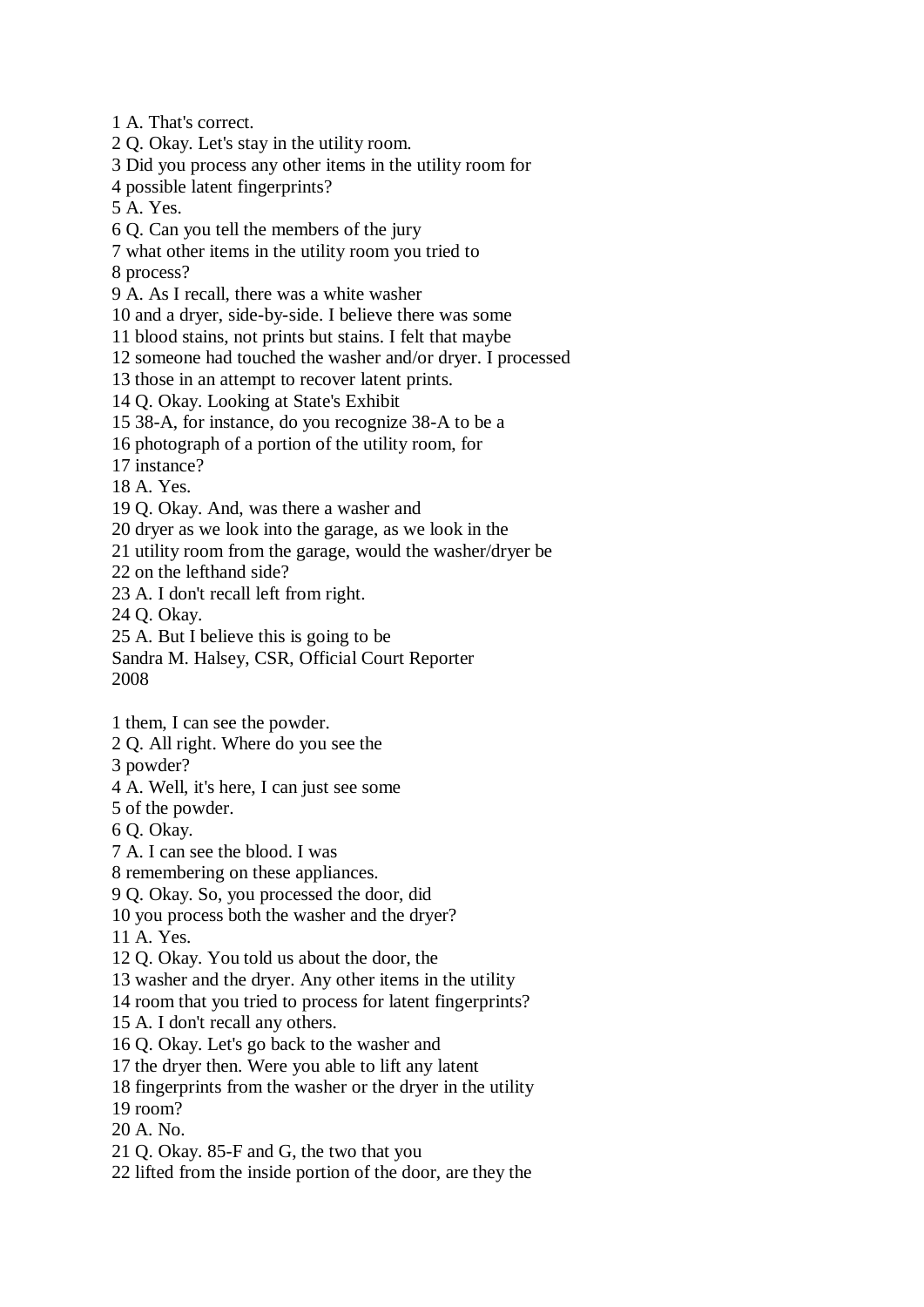1 A. That's correct.

2 Q. Okay. Let's stay in the utility room.

3 Did you process any other items in the utility room for

4 possible latent fingerprints?

5 A. Yes.

6 Q. Can you tell the members of the jury

7 what other items in the utility room you tried to

8 process?

9 A. As I recall, there was a white washer

10 and a dryer, side-by-side. I believe there was some

11 blood stains, not prints but stains. I felt that maybe

12 someone had touched the washer and/or dryer. I processed

13 those in an attempt to recover latent prints.

14 Q. Okay. Looking at State's Exhibit

15 38-A, for instance, do you recognize 38-A to be a

16 photograph of a portion of the utility room, for

17 instance?

18 A. Yes.

19 Q. Okay. And, was there a washer and

20 dryer as we look into the garage, as we look in the

21 utility room from the garage, would the washer/dryer be

22 on the lefthand side?

23 A. I don't recall left from right.

24 Q. Okay.

25 A. But I believe this is going to be

Sandra M. Halsey, CSR, Official Court Reporter 2008

1 them, I can see the powder.

2 Q. All right. Where do you see the

3 powder?

4 A. Well, it's here, I can just see some

5 of the powder.

6 Q. Okay.

7 A. I can see the blood. I was

8 remembering on these appliances.

9 Q. Okay. So, you processed the door, did

10 you process both the washer and the dryer?

11 A. Yes.

12 Q. Okay. You told us about the door, the

13 washer and the dryer. Any other items in the utility

14 room that you tried to process for latent fingerprints?

15 A. I don't recall any others.

16 Q. Okay. Let's go back to the washer and

17 the dryer then. Were you able to lift any latent

18 fingerprints from the washer or the dryer in the utility

19 room?

20 A. No.

21 Q. Okay. 85-F and G, the two that you

22 lifted from the inside portion of the door, are they the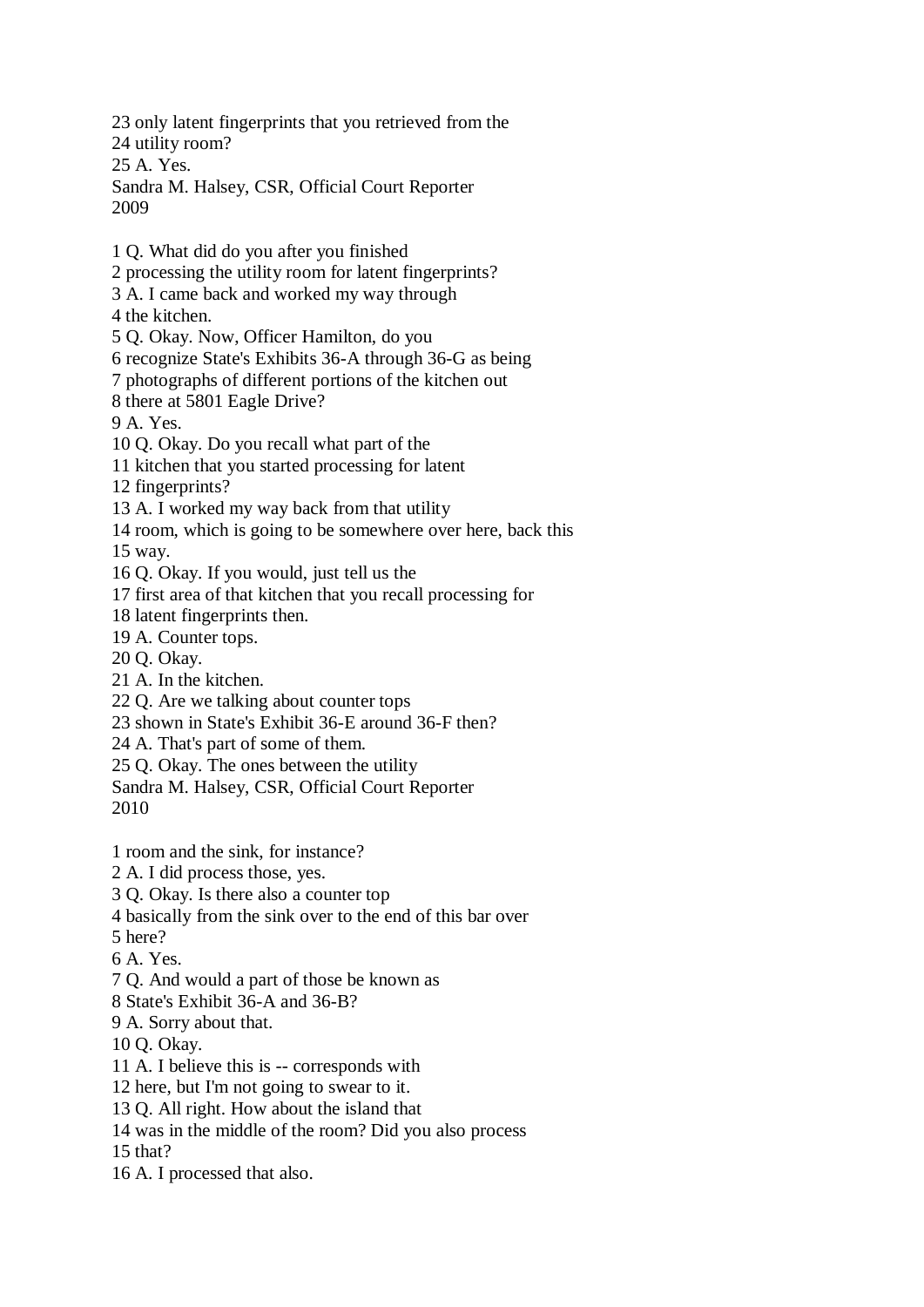23 only latent fingerprints that you retrieved from the 24 utility room? 25 A. Yes. Sandra M. Halsey, CSR, Official Court Reporter 2009

1 Q. What did do you after you finished

2 processing the utility room for latent fingerprints?

3 A. I came back and worked my way through

4 the kitchen.

5 Q. Okay. Now, Officer Hamilton, do you

6 recognize State's Exhibits 36-A through 36-G as being

7 photographs of different portions of the kitchen out

8 there at 5801 Eagle Drive?

9 A. Yes.

10 Q. Okay. Do you recall what part of the

11 kitchen that you started processing for latent

12 fingerprints?

13 A. I worked my way back from that utility

14 room, which is going to be somewhere over here, back this

15 way.

16 Q. Okay. If you would, just tell us the

17 first area of that kitchen that you recall processing for

18 latent fingerprints then.

19 A. Counter tops.

20 Q. Okay.

21 A. In the kitchen.

22 Q. Are we talking about counter tops

23 shown in State's Exhibit 36-E around 36-F then?

24 A. That's part of some of them.

25 Q. Okay. The ones between the utility

Sandra M. Halsey, CSR, Official Court Reporter 2010

1 room and the sink, for instance?

2 A. I did process those, yes.

3 Q. Okay. Is there also a counter top

4 basically from the sink over to the end of this bar over

5 here?

6 A. Yes.

7 Q. And would a part of those be known as

8 State's Exhibit 36-A and 36-B?

9 A. Sorry about that.

10 Q. Okay.

11 A. I believe this is -- corresponds with

12 here, but I'm not going to swear to it.

13 Q. All right. How about the island that

14 was in the middle of the room? Did you also process

15 that?

16 A. I processed that also.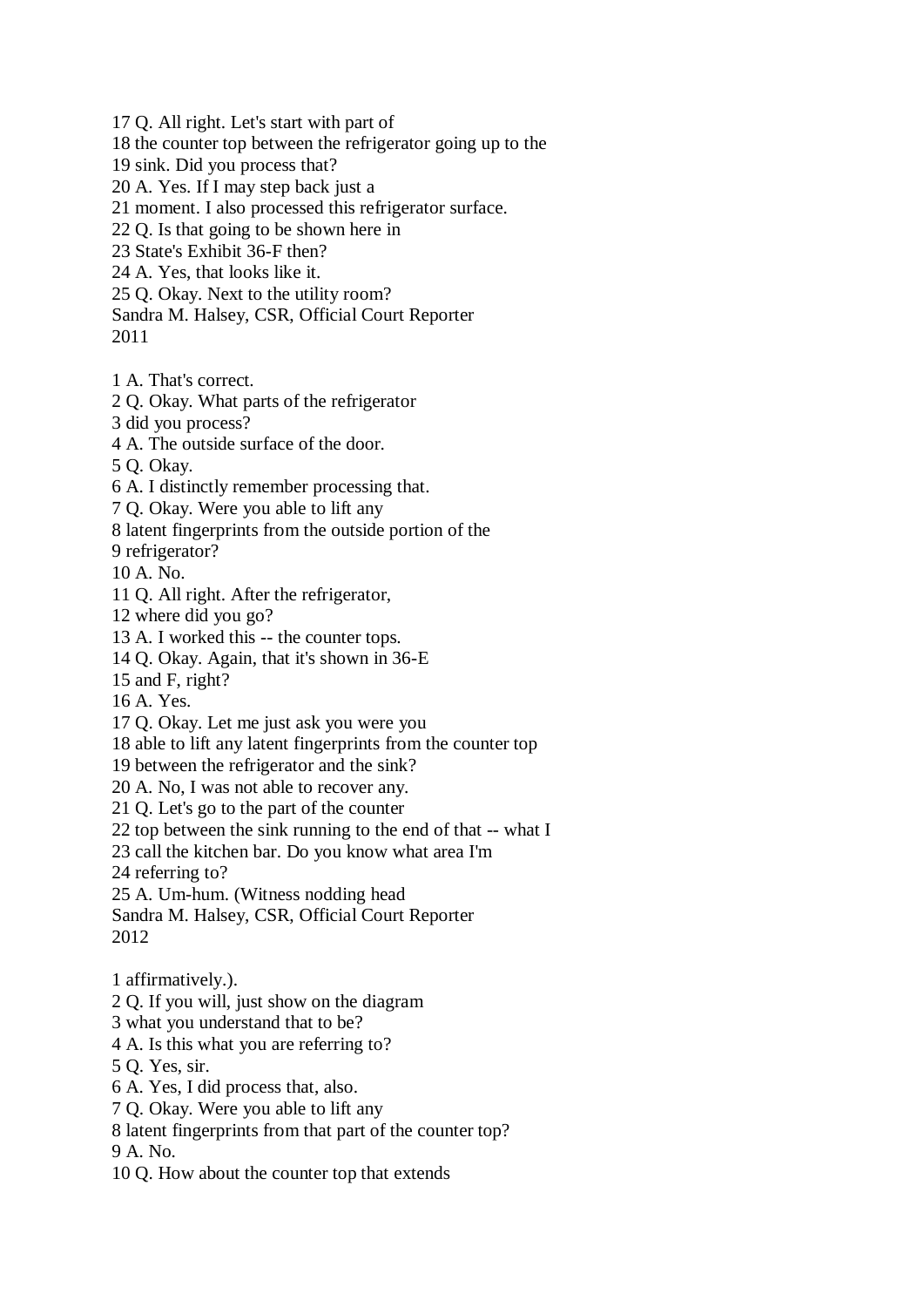17 Q. All right. Let's start with part of

18 the counter top between the refrigerator going up to the

19 sink. Did you process that?

20 A. Yes. If I may step back just a

21 moment. I also processed this refrigerator surface.

22 Q. Is that going to be shown here in

23 State's Exhibit 36-F then?

24 A. Yes, that looks like it.

25 Q. Okay. Next to the utility room?

Sandra M. Halsey, CSR, Official Court Reporter

2011

1 A. That's correct.

2 Q. Okay. What parts of the refrigerator

3 did you process?

4 A. The outside surface of the door.

5 Q. Okay.

6 A. I distinctly remember processing that.

7 Q. Okay. Were you able to lift any

8 latent fingerprints from the outside portion of the

9 refrigerator?

10 A. No.

11 Q. All right. After the refrigerator,

12 where did you go?

13 A. I worked this -- the counter tops.

14 Q. Okay. Again, that it's shown in 36-E

15 and F, right?

16 A. Yes.

17 Q. Okay. Let me just ask you were you

18 able to lift any latent fingerprints from the counter top

19 between the refrigerator and the sink?

20 A. No, I was not able to recover any.

21 Q. Let's go to the part of the counter

22 top between the sink running to the end of that -- what I

23 call the kitchen bar. Do you know what area I'm

24 referring to?

25 A. Um-hum. (Witness nodding head

Sandra M. Halsey, CSR, Official Court Reporter 2012

2 Q. If you will, just show on the diagram

3 what you understand that to be?

4 A. Is this what you are referring to?

5 Q. Yes, sir.

6 A. Yes, I did process that, also.

7 Q. Okay. Were you able to lift any

8 latent fingerprints from that part of the counter top?

9 A. No.

10 Q. How about the counter top that extends

<sup>1</sup> affirmatively.).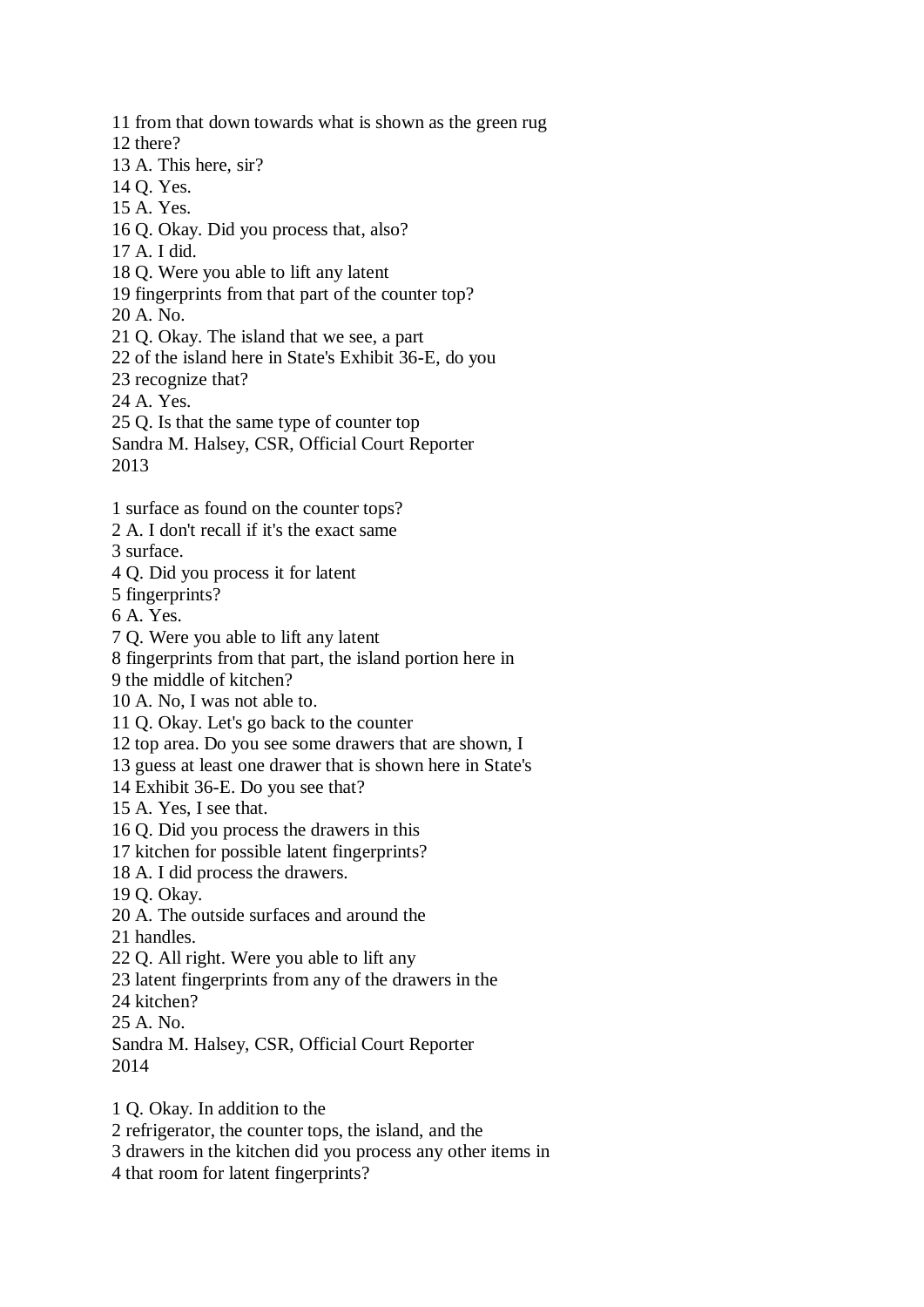11 from that down towards what is shown as the green rug 12 there? 13 A. This here, sir? 14 Q. Yes. 15 A. Yes. 16 Q. Okay. Did you process that, also? 17 A. I did. 18 Q. Were you able to lift any latent 19 fingerprints from that part of the counter top? 20 A. No. 21 Q. Okay. The island that we see, a part 22 of the island here in State's Exhibit 36-E, do you 23 recognize that? 24 A. Yes. 25 Q. Is that the same type of counter top Sandra M. Halsey, CSR, Official Court Reporter 2013 1 surface as found on the counter tops? 2 A. I don't recall if it's the exact same 3 surface. 4 Q. Did you process it for latent 5 fingerprints? 6 A. Yes. 7 Q. Were you able to lift any latent 8 fingerprints from that part, the island portion here in 9 the middle of kitchen? 10 A. No, I was not able to. 11 Q. Okay. Let's go back to the counter 12 top area. Do you see some drawers that are shown, I 13 guess at least one drawer that is shown here in State's 14 Exhibit 36-E. Do you see that? 15 A. Yes, I see that. 16 Q. Did you process the drawers in this 17 kitchen for possible latent fingerprints? 18 A. I did process the drawers. 19 Q. Okay. 20 A. The outside surfaces and around the 21 handles. 22 Q. All right. Were you able to lift any 23 latent fingerprints from any of the drawers in the 24 kitchen? 25 A. No. Sandra M. Halsey, CSR, Official Court Reporter 2014 1 Q. Okay. In addition to the

2 refrigerator, the counter tops, the island, and the

3 drawers in the kitchen did you process any other items in

4 that room for latent fingerprints?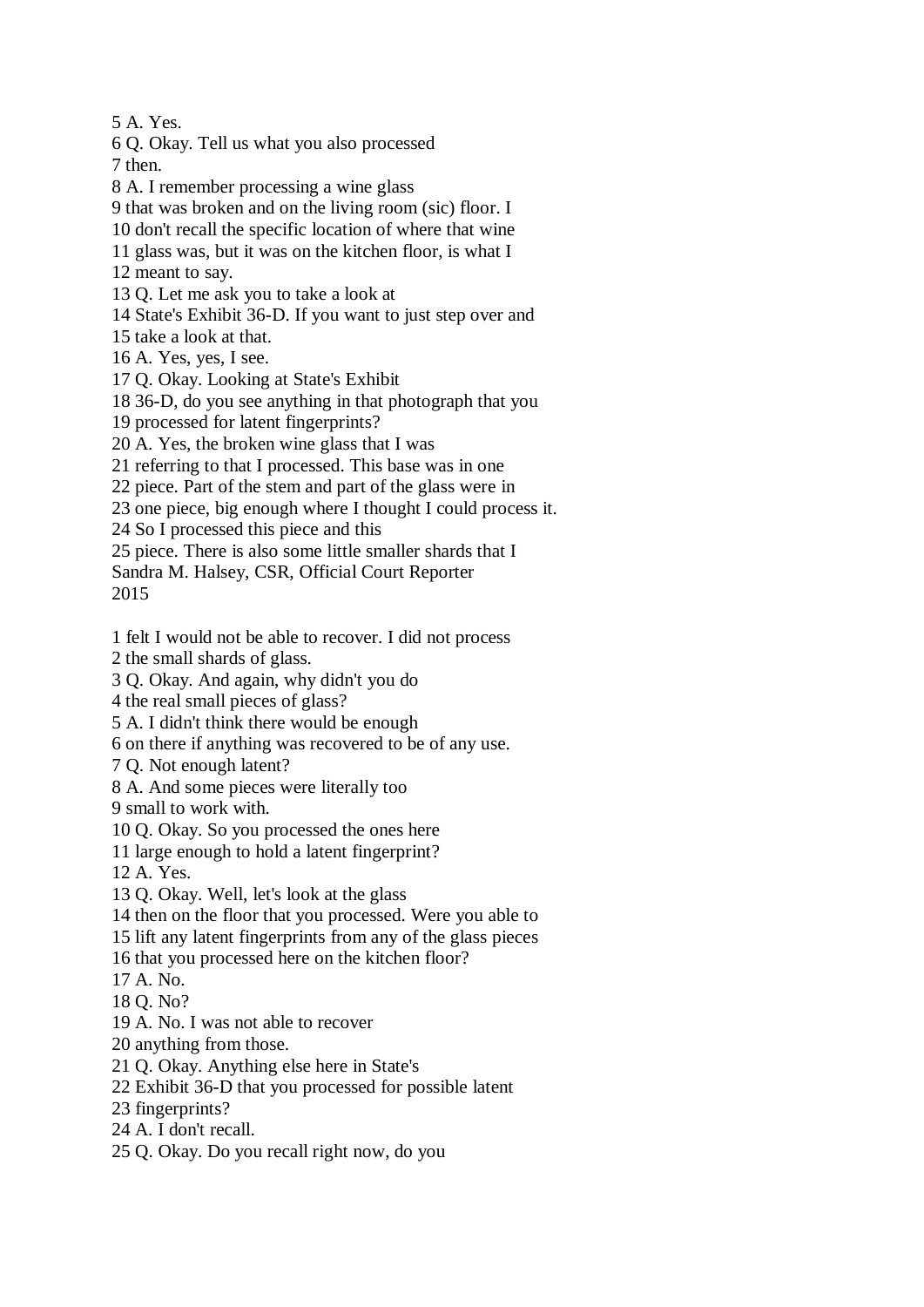5 A. Yes.

6 Q. Okay. Tell us what you also processed

7 then.

8 A. I remember processing a wine glass

9 that was broken and on the living room (sic) floor. I

10 don't recall the specific location of where that wine

11 glass was, but it was on the kitchen floor, is what I

12 meant to say.

13 Q. Let me ask you to take a look at

14 State's Exhibit 36-D. If you want to just step over and

15 take a look at that.

16 A. Yes, yes, I see.

17 Q. Okay. Looking at State's Exhibit

18 36-D, do you see anything in that photograph that you

19 processed for latent fingerprints?

20 A. Yes, the broken wine glass that I was

21 referring to that I processed. This base was in one

22 piece. Part of the stem and part of the glass were in

23 one piece, big enough where I thought I could process it.

24 So I processed this piece and this

25 piece. There is also some little smaller shards that I

Sandra M. Halsey, CSR, Official Court Reporter 2015

1 felt I would not be able to recover. I did not process

2 the small shards of glass.

3 Q. Okay. And again, why didn't you do

4 the real small pieces of glass?

5 A. I didn't think there would be enough

6 on there if anything was recovered to be of any use.

7 Q. Not enough latent?

8 A. And some pieces were literally too

9 small to work with.

10 Q. Okay. So you processed the ones here

11 large enough to hold a latent fingerprint?

12 A. Yes.

13 Q. Okay. Well, let's look at the glass

14 then on the floor that you processed. Were you able to

15 lift any latent fingerprints from any of the glass pieces

16 that you processed here on the kitchen floor?

17 A. No.

18 Q. No?

19 A. No. I was not able to recover

20 anything from those.

21 Q. Okay. Anything else here in State's

22 Exhibit 36-D that you processed for possible latent

23 fingerprints?

24 A. I don't recall.

25 Q. Okay. Do you recall right now, do you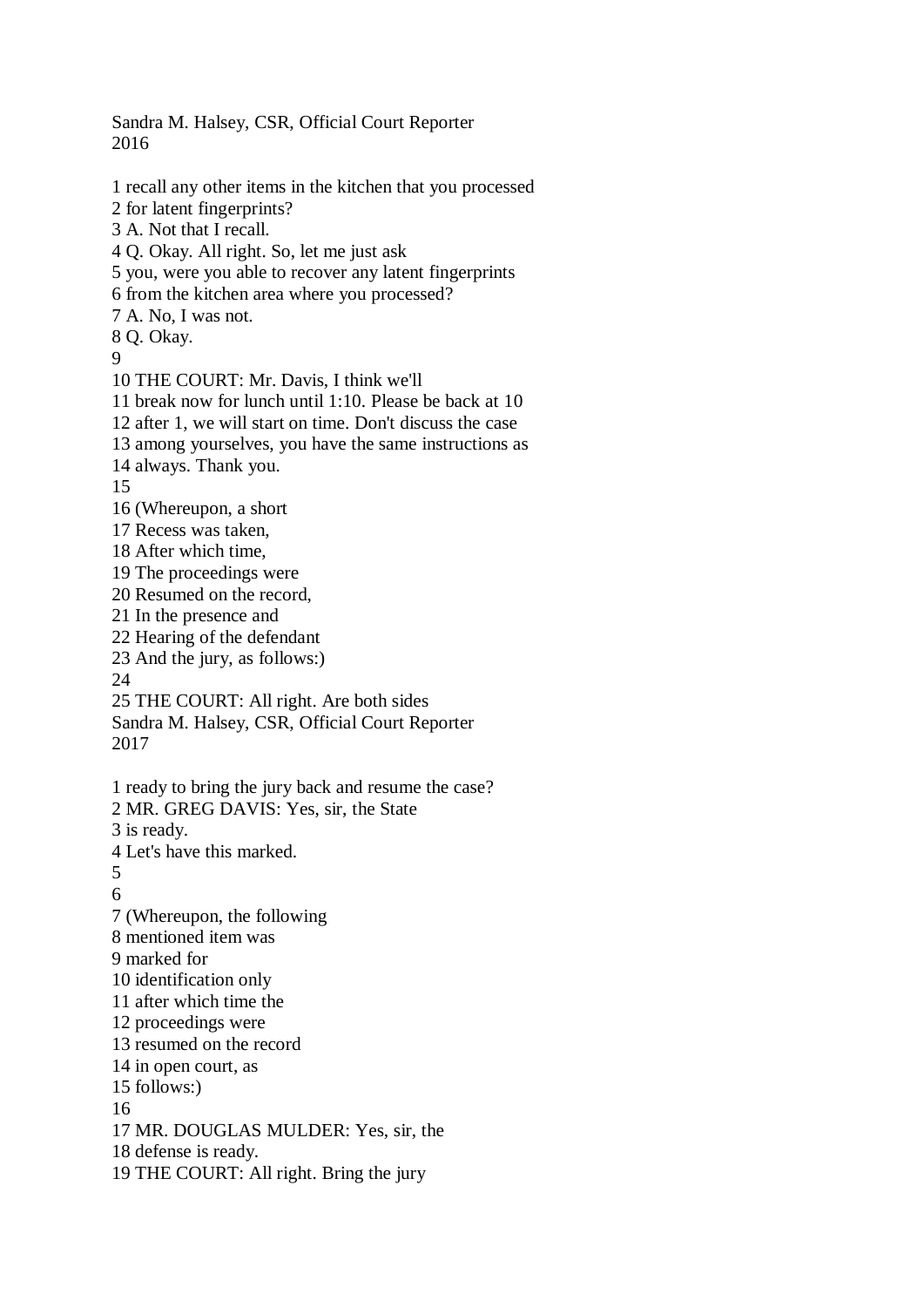2016 1 recall any other items in the kitchen that you processed 2 for latent fingerprints? 3 A. Not that I recall. 4 Q. Okay. All right. So, let me just ask 5 you, were you able to recover any latent fingerprints 6 from the kitchen area where you processed? 7 A. No, I was not. 8 Q. Okay. 9 10 THE COURT: Mr. Davis, I think we'll 11 break now for lunch until 1:10. Please be back at 10 12 after 1, we will start on time. Don't discuss the case 13 among yourselves, you have the same instructions as 14 always. Thank you. 15 16 (Whereupon, a short 17 Recess was taken, 18 After which time, 19 The proceedings were 20 Resumed on the record, 21 In the presence and 22 Hearing of the defendant 23 And the jury, as follows:) 24 25 THE COURT: All right. Are both sides Sandra M. Halsey, CSR, Official Court Reporter 2017 1 ready to bring the jury back and resume the case? 2 MR. GREG DAVIS: Yes, sir, the State 3 is ready. 4 Let's have this marked. 5 6 7 (Whereupon, the following 8 mentioned item was 9 marked for 10 identification only 11 after which time the 12 proceedings were 13 resumed on the record 14 in open court, as 15 follows:) 16 17 MR. DOUGLAS MULDER: Yes, sir, the 18 defense is ready. 19 THE COURT: All right. Bring the jury

Sandra M. Halsey, CSR, Official Court Reporter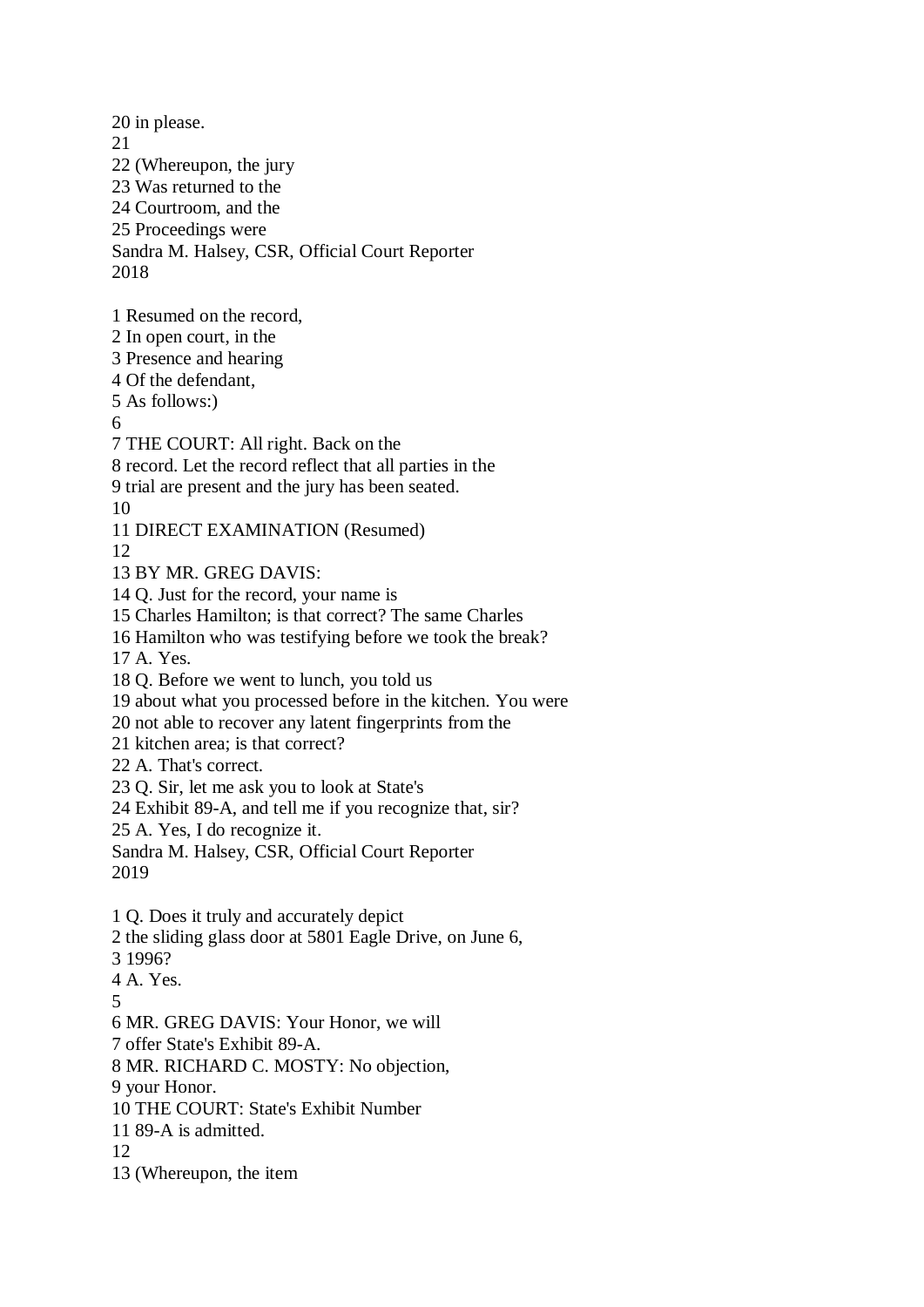20 in please. 21 22 (Whereupon, the jury 23 Was returned to the 24 Courtroom, and the 25 Proceedings were Sandra M. Halsey, CSR, Official Court Reporter 2018 1 Resumed on the record, 2 In open court, in the 3 Presence and hearing 4 Of the defendant, 5 As follows:) 6 7 THE COURT: All right. Back on the 8 record. Let the record reflect that all parties in the 9 trial are present and the jury has been seated. 10 11 DIRECT EXAMINATION (Resumed) 12 13 BY MR. GREG DAVIS: 14 Q. Just for the record, your name is 15 Charles Hamilton; is that correct? The same Charles 16 Hamilton who was testifying before we took the break? 17 A. Yes. 18 Q. Before we went to lunch, you told us 19 about what you processed before in the kitchen. You were 20 not able to recover any latent fingerprints from the 21 kitchen area; is that correct? 22 A. That's correct. 23 Q. Sir, let me ask you to look at State's 24 Exhibit 89-A, and tell me if you recognize that, sir? 25 A. Yes, I do recognize it. Sandra M. Halsey, CSR, Official Court Reporter 2019 1 Q. Does it truly and accurately depict 2 the sliding glass door at 5801 Eagle Drive, on June 6, 3 1996? 4 A. Yes. 5 6 MR. GREG DAVIS: Your Honor, we will 7 offer State's Exhibit 89-A. 8 MR. RICHARD C. MOSTY: No objection, 9 your Honor. 10 THE COURT: State's Exhibit Number 11 89-A is admitted. 12 13 (Whereupon, the item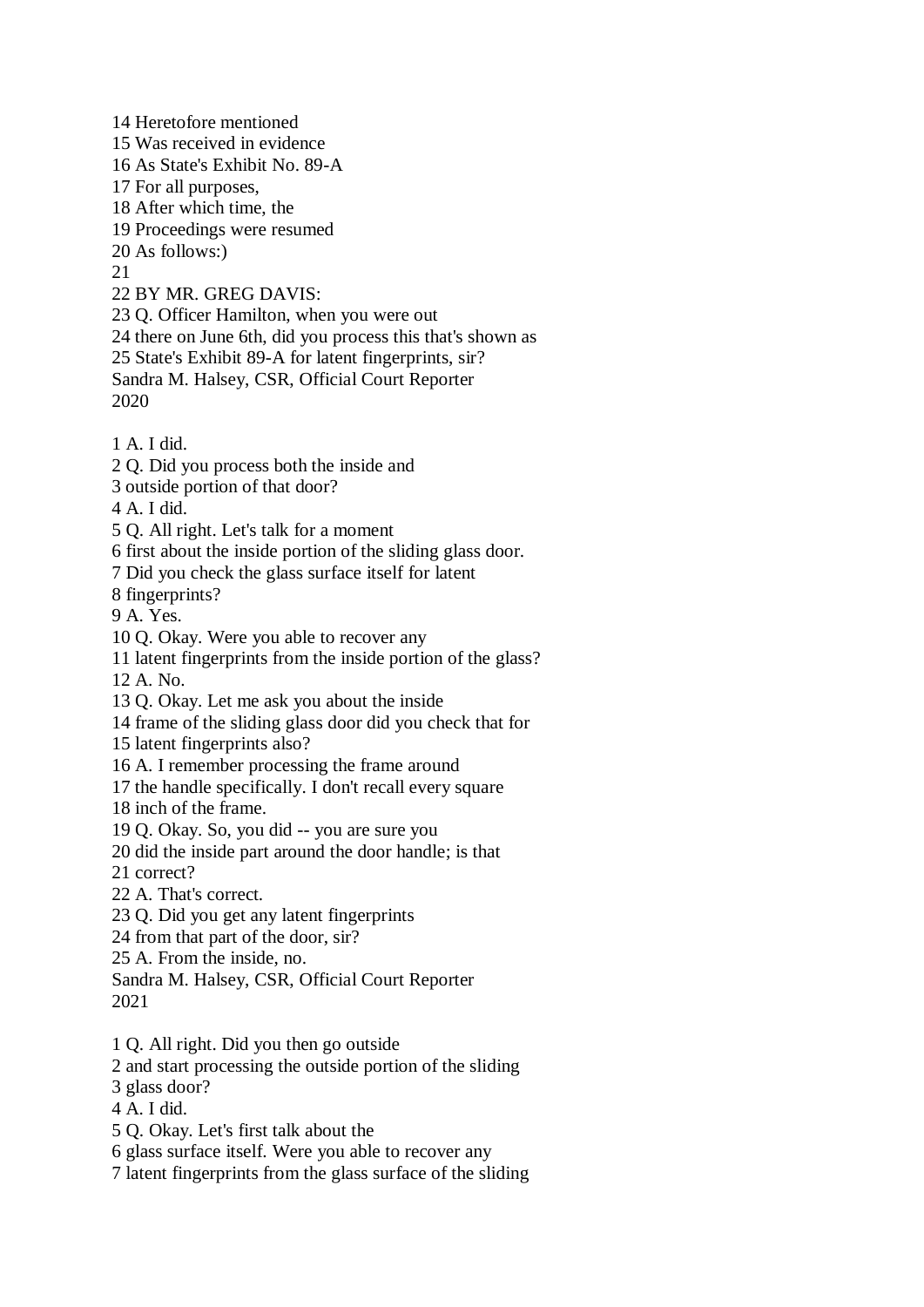14 Heretofore mentioned 15 Was received in evidence 16 As State's Exhibit No. 89-A 17 For all purposes, 18 After which time, the 19 Proceedings were resumed 20 As follows:)  $21$ 22 BY MR. GREG DAVIS: 23 Q. Officer Hamilton, when you were out 24 there on June 6th, did you process this that's shown as 25 State's Exhibit 89-A for latent fingerprints, sir? Sandra M. Halsey, CSR, Official Court Reporter 2020 1 A. I did. 2 Q. Did you process both the inside and 3 outside portion of that door? 4 A. I did. 5 Q. All right. Let's talk for a moment 6 first about the inside portion of the sliding glass door. 7 Did you check the glass surface itself for latent 8 fingerprints? 9 A. Yes. 10 Q. Okay. Were you able to recover any 11 latent fingerprints from the inside portion of the glass? 12 A. No. 13 Q. Okay. Let me ask you about the inside 14 frame of the sliding glass door did you check that for 15 latent fingerprints also? 16 A. I remember processing the frame around 17 the handle specifically. I don't recall every square 18 inch of the frame. 19 Q. Okay. So, you did -- you are sure you 20 did the inside part around the door handle; is that 21 correct? 22 A. That's correct. 23 Q. Did you get any latent fingerprints 24 from that part of the door, sir? 25 A. From the inside, no. Sandra M. Halsey, CSR, Official Court Reporter 2021 1 Q. All right. Did you then go outside 2 and start processing the outside portion of the sliding 3 glass door? 4 A. I did. 5 Q. Okay. Let's first talk about the 6 glass surface itself. Were you able to recover any

7 latent fingerprints from the glass surface of the sliding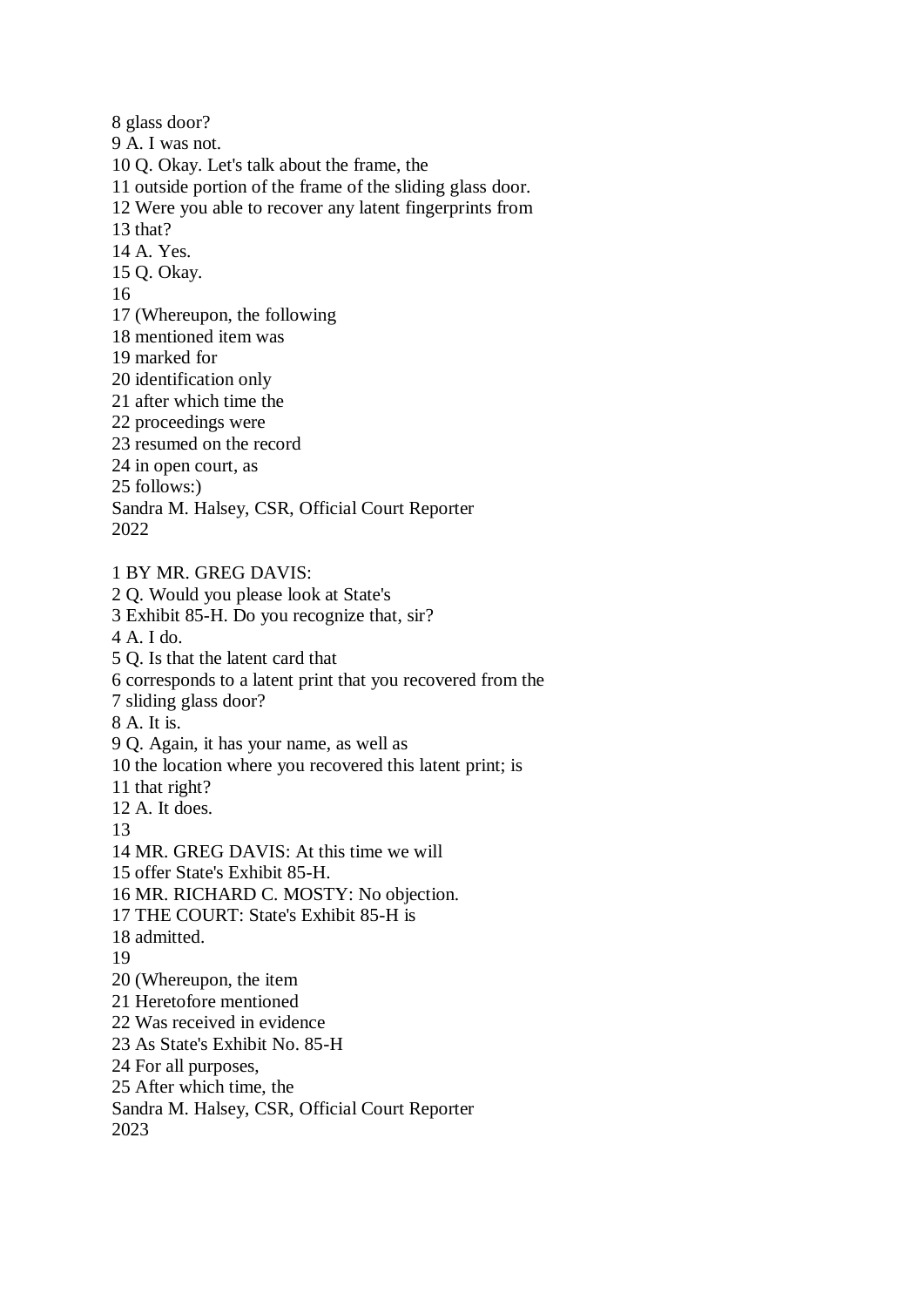8 glass door? 9 A. I was not. 10 Q. Okay. Let's talk about the frame, the 11 outside portion of the frame of the sliding glass door. 12 Were you able to recover any latent fingerprints from 13 that? 14 A. Yes. 15 Q. Okay. 16 17 (Whereupon, the following 18 mentioned item was 19 marked for 20 identification only 21 after which time the 22 proceedings were 23 resumed on the record 24 in open court, as 25 follows:) Sandra M. Halsey, CSR, Official Court Reporter 2022 1 BY MR. GREG DAVIS: 2 Q. Would you please look at State's 3 Exhibit 85-H. Do you recognize that, sir? 4 A. I do. 5 Q. Is that the latent card that 6 corresponds to a latent print that you recovered from the

7 sliding glass door?

8 A. It is.

9 Q. Again, it has your name, as well as

10 the location where you recovered this latent print; is

11 that right?

12 A. It does.

13

14 MR. GREG DAVIS: At this time we will

15 offer State's Exhibit 85-H.

16 MR. RICHARD C. MOSTY: No objection.

17 THE COURT: State's Exhibit 85-H is

18 admitted.

19

20 (Whereupon, the item

21 Heretofore mentioned

22 Was received in evidence

23 As State's Exhibit No. 85-H

24 For all purposes,

25 After which time, the

Sandra M. Halsey, CSR, Official Court Reporter

2023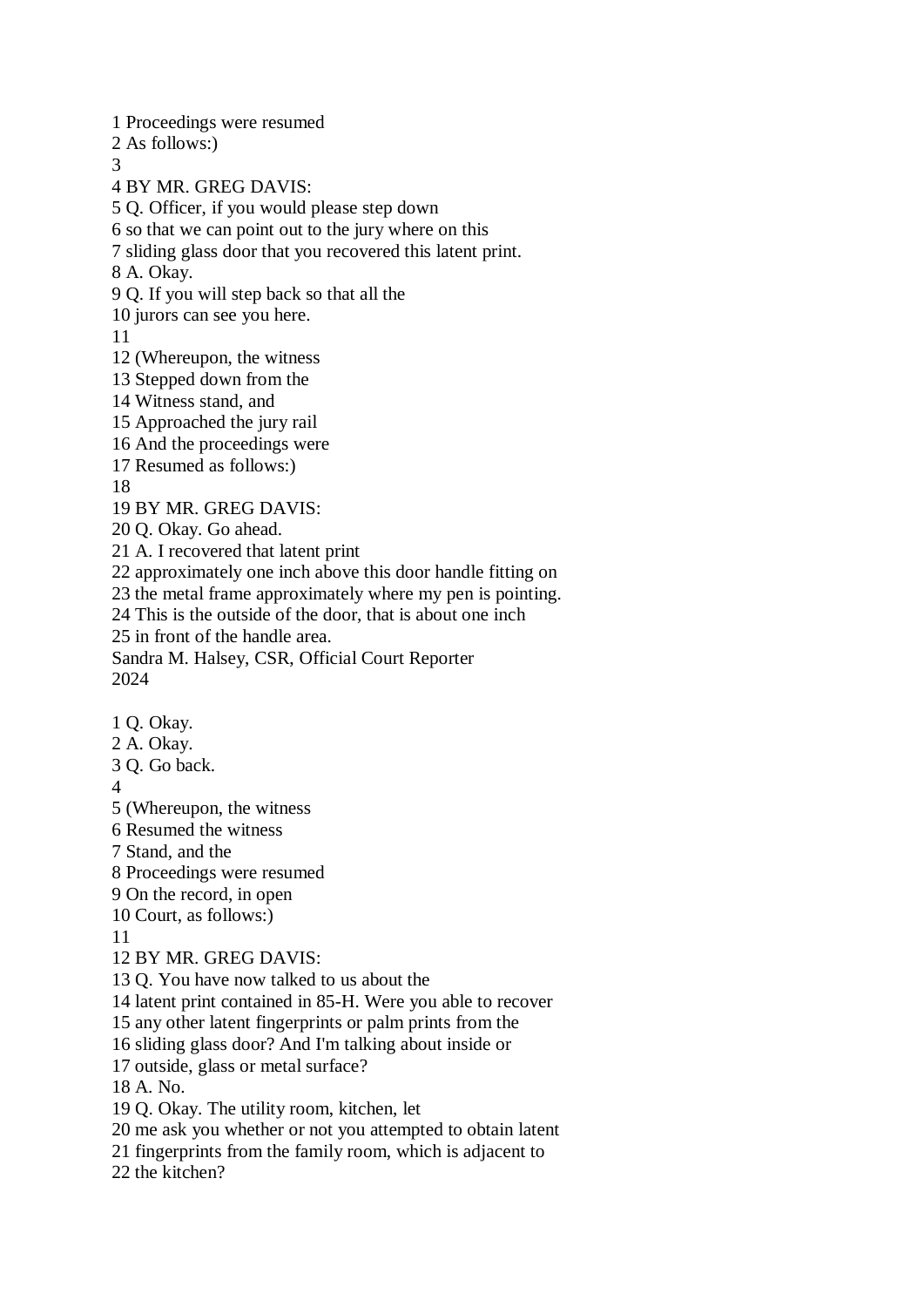1 Proceedings were resumed 2 As follows:) 3 4 BY MR. GREG DAVIS: 5 Q. Officer, if you would please step down 6 so that we can point out to the jury where on this 7 sliding glass door that you recovered this latent print. 8 A. Okay. 9 Q. If you will step back so that all the 10 jurors can see you here. 11 12 (Whereupon, the witness 13 Stepped down from the 14 Witness stand, and 15 Approached the jury rail 16 And the proceedings were 17 Resumed as follows:) 18 19 BY MR. GREG DAVIS: 20 Q. Okay. Go ahead. 21 A. I recovered that latent print 22 approximately one inch above this door handle fitting on 23 the metal frame approximately where my pen is pointing. 24 This is the outside of the door, that is about one inch 25 in front of the handle area. Sandra M. Halsey, CSR, Official Court Reporter 2024 1 Q. Okay. 2 A. Okay. 3 Q. Go back. 4 5 (Whereupon, the witness 6 Resumed the witness 7 Stand, and the 8 Proceedings were resumed 9 On the record, in open 10 Court, as follows:) 11 12 BY MR. GREG DAVIS: 13 Q. You have now talked to us about the 14 latent print contained in 85-H. Were you able to recover 15 any other latent fingerprints or palm prints from the 16 sliding glass door? And I'm talking about inside or 17 outside, glass or metal surface? 18 A. No. 19 Q. Okay. The utility room, kitchen, let 20 me ask you whether or not you attempted to obtain latent 21 fingerprints from the family room, which is adjacent to 22 the kitchen?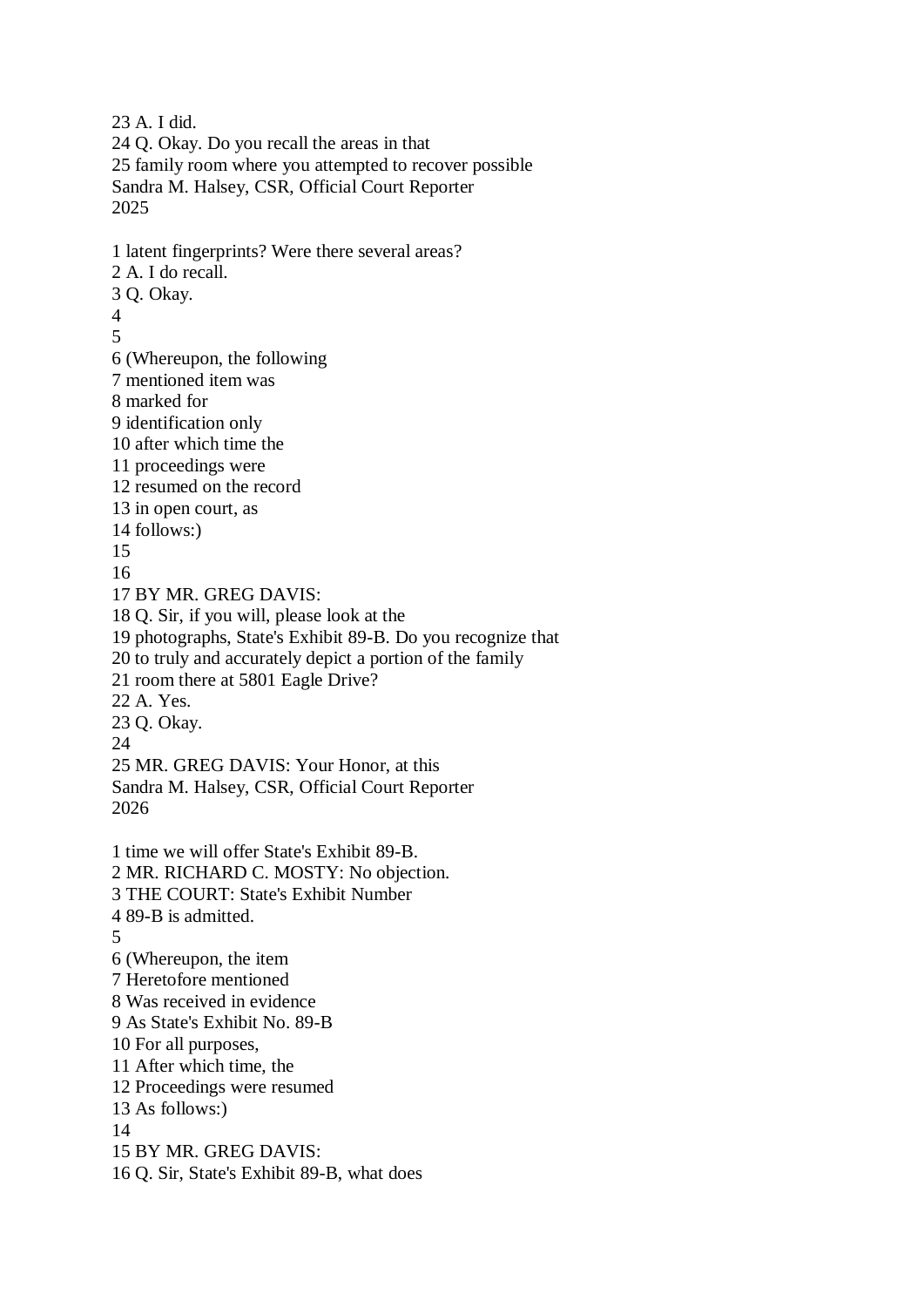23 A. I did. 24 Q. Okay. Do you recall the areas in that 25 family room where you attempted to recover possible Sandra M. Halsey, CSR, Official Court Reporter 2025 1 latent fingerprints? Were there several areas? 2 A. I do recall. 3 Q. Okay. 4 5 6 (Whereupon, the following 7 mentioned item was 8 marked for 9 identification only 10 after which time the 11 proceedings were 12 resumed on the record 13 in open court, as 14 follows:) 15 16 17 BY MR. GREG DAVIS: 18 Q. Sir, if you will, please look at the 19 photographs, State's Exhibit 89-B. Do you recognize that 20 to truly and accurately depict a portion of the family 21 room there at 5801 Eagle Drive? 22 A. Yes. 23 Q. Okay. 24 25 MR. GREG DAVIS: Your Honor, at this Sandra M. Halsey, CSR, Official Court Reporter 2026 1 time we will offer State's Exhibit 89-B. 2 MR. RICHARD C. MOSTY: No objection. 3 THE COURT: State's Exhibit Number 4 89-B is admitted. 5 6 (Whereupon, the item 7 Heretofore mentioned 8 Was received in evidence 9 As State's Exhibit No. 89-B 10 For all purposes, 11 After which time, the 12 Proceedings were resumed 13 As follows:) 14 15 BY MR. GREG DAVIS: 16 Q. Sir, State's Exhibit 89-B, what does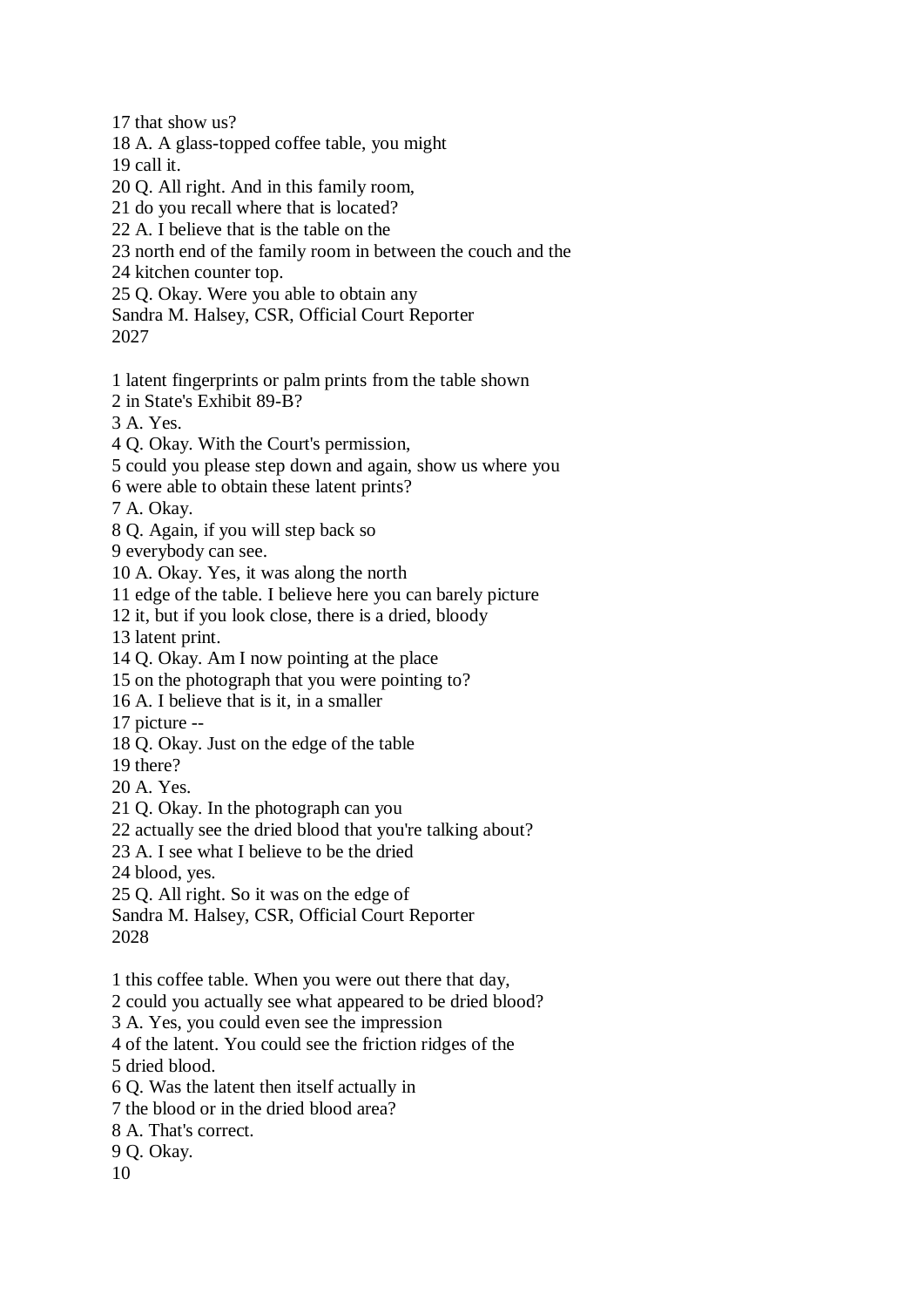17 that show us? 18 A. A glass-topped coffee table, you might 19 call it. 20 Q. All right. And in this family room, 21 do you recall where that is located? 22 A. I believe that is the table on the 23 north end of the family room in between the couch and the 24 kitchen counter top. 25 Q. Okay. Were you able to obtain any Sandra M. Halsey, CSR, Official Court Reporter 2027 1 latent fingerprints or palm prints from the table shown 2 in State's Exhibit 89-B? 3 A. Yes. 4 Q. Okay. With the Court's permission, 5 could you please step down and again, show us where you 6 were able to obtain these latent prints? 7 A. Okay. 8 Q. Again, if you will step back so 9 everybody can see. 10 A. Okay. Yes, it was along the north 11 edge of the table. I believe here you can barely picture 12 it, but if you look close, there is a dried, bloody 13 latent print. 14 Q. Okay. Am I now pointing at the place 15 on the photograph that you were pointing to? 16 A. I believe that is it, in a smaller 17 picture -- 18 Q. Okay. Just on the edge of the table 19 there? 20 A. Yes. 21 Q. Okay. In the photograph can you 22 actually see the dried blood that you're talking about? 23 A. I see what I believe to be the dried 24 blood, yes. 25 Q. All right. So it was on the edge of Sandra M. Halsey, CSR, Official Court Reporter 2028 1 this coffee table. When you were out there that day, 2 could you actually see what appeared to be dried blood? 3 A. Yes, you could even see the impression 4 of the latent. You could see the friction ridges of the 5 dried blood. 6 Q. Was the latent then itself actually in 7 the blood or in the dried blood area? 8 A. That's correct. 9 Q. Okay. 10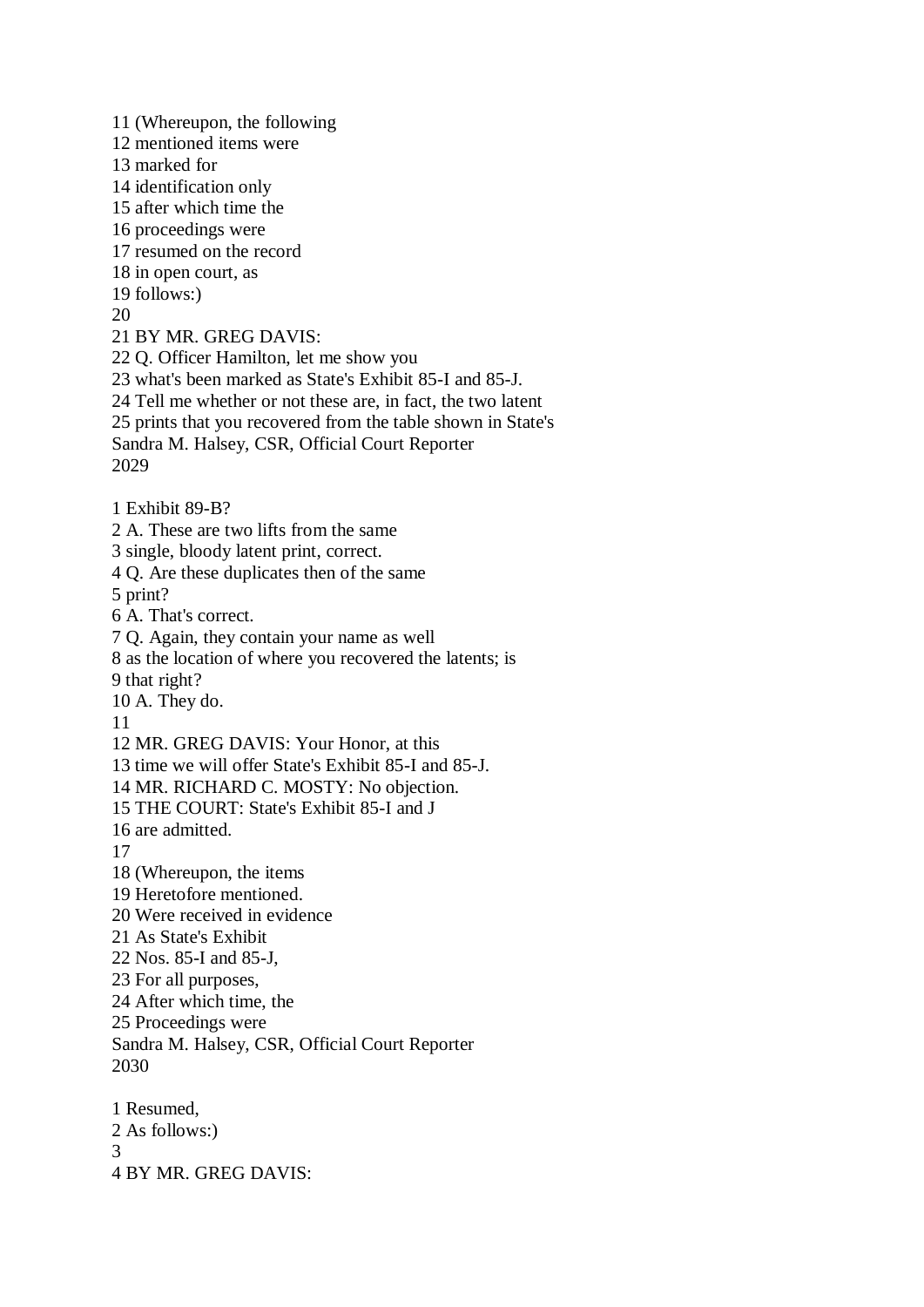11 (Whereupon, the following 12 mentioned items were 13 marked for 14 identification only 15 after which time the 16 proceedings were 17 resumed on the record 18 in open court, as 19 follows:) 20 21 BY MR. GREG DAVIS: 22 Q. Officer Hamilton, let me show you 23 what's been marked as State's Exhibit 85-I and 85-J. 24 Tell me whether or not these are, in fact, the two latent 25 prints that you recovered from the table shown in State's Sandra M. Halsey, CSR, Official Court Reporter 2029 1 Exhibit 89-B? 2 A. These are two lifts from the same 3 single, bloody latent print, correct. 4 Q. Are these duplicates then of the same 5 print? 6 A. That's correct. 7 Q. Again, they contain your name as well 8 as the location of where you recovered the latents; is 9 that right? 10 A. They do. 11 12 MR. GREG DAVIS: Your Honor, at this 13 time we will offer State's Exhibit 85-I and 85-J. 14 MR. RICHARD C. MOSTY: No objection. 15 THE COURT: State's Exhibit 85-I and J 16 are admitted. 17 18 (Whereupon, the items 19 Heretofore mentioned. 20 Were received in evidence 21 As State's Exhibit 22 Nos. 85-I and 85-J, 23 For all purposes, 24 After which time, the 25 Proceedings were Sandra M. Halsey, CSR, Official Court Reporter 2030 1 Resumed, 2 As follows:) 3 4 BY MR. GREG DAVIS: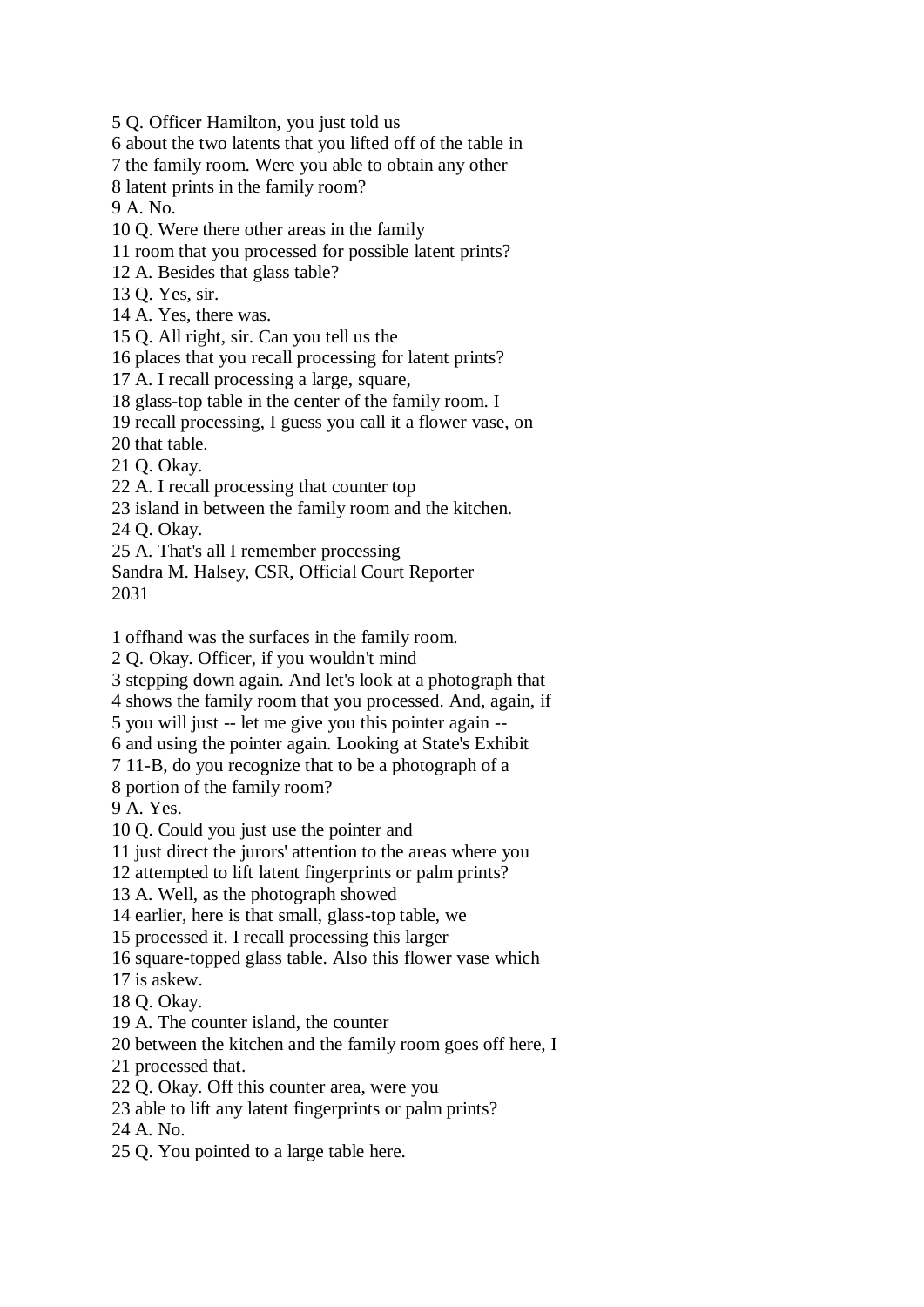5 Q. Officer Hamilton, you just told us

6 about the two latents that you lifted off of the table in

7 the family room. Were you able to obtain any other

8 latent prints in the family room?

9 A. No.

10 Q. Were there other areas in the family

11 room that you processed for possible latent prints?

12 A. Besides that glass table?

13 Q. Yes, sir.

14 A. Yes, there was.

15 Q. All right, sir. Can you tell us the

16 places that you recall processing for latent prints?

17 A. I recall processing a large, square,

18 glass-top table in the center of the family room. I

19 recall processing, I guess you call it a flower vase, on

20 that table.

21 Q. Okay.

22 A. I recall processing that counter top

23 island in between the family room and the kitchen.

24 Q. Okay.

25 A. That's all I remember processing

Sandra M. Halsey, CSR, Official Court Reporter 2031

1 offhand was the surfaces in the family room.

2 Q. Okay. Officer, if you wouldn't mind

3 stepping down again. And let's look at a photograph that

4 shows the family room that you processed. And, again, if

5 you will just -- let me give you this pointer again --

6 and using the pointer again. Looking at State's Exhibit

7 11-B, do you recognize that to be a photograph of a

8 portion of the family room?

9 A. Yes.

10 Q. Could you just use the pointer and

11 just direct the jurors' attention to the areas where you

12 attempted to lift latent fingerprints or palm prints?

13 A. Well, as the photograph showed

14 earlier, here is that small, glass-top table, we

15 processed it. I recall processing this larger

16 square-topped glass table. Also this flower vase which

17 is askew.

18 Q. Okay.

19 A. The counter island, the counter

20 between the kitchen and the family room goes off here, I

21 processed that.

22 Q. Okay. Off this counter area, were you

23 able to lift any latent fingerprints or palm prints?

24 A. No.

25 Q. You pointed to a large table here.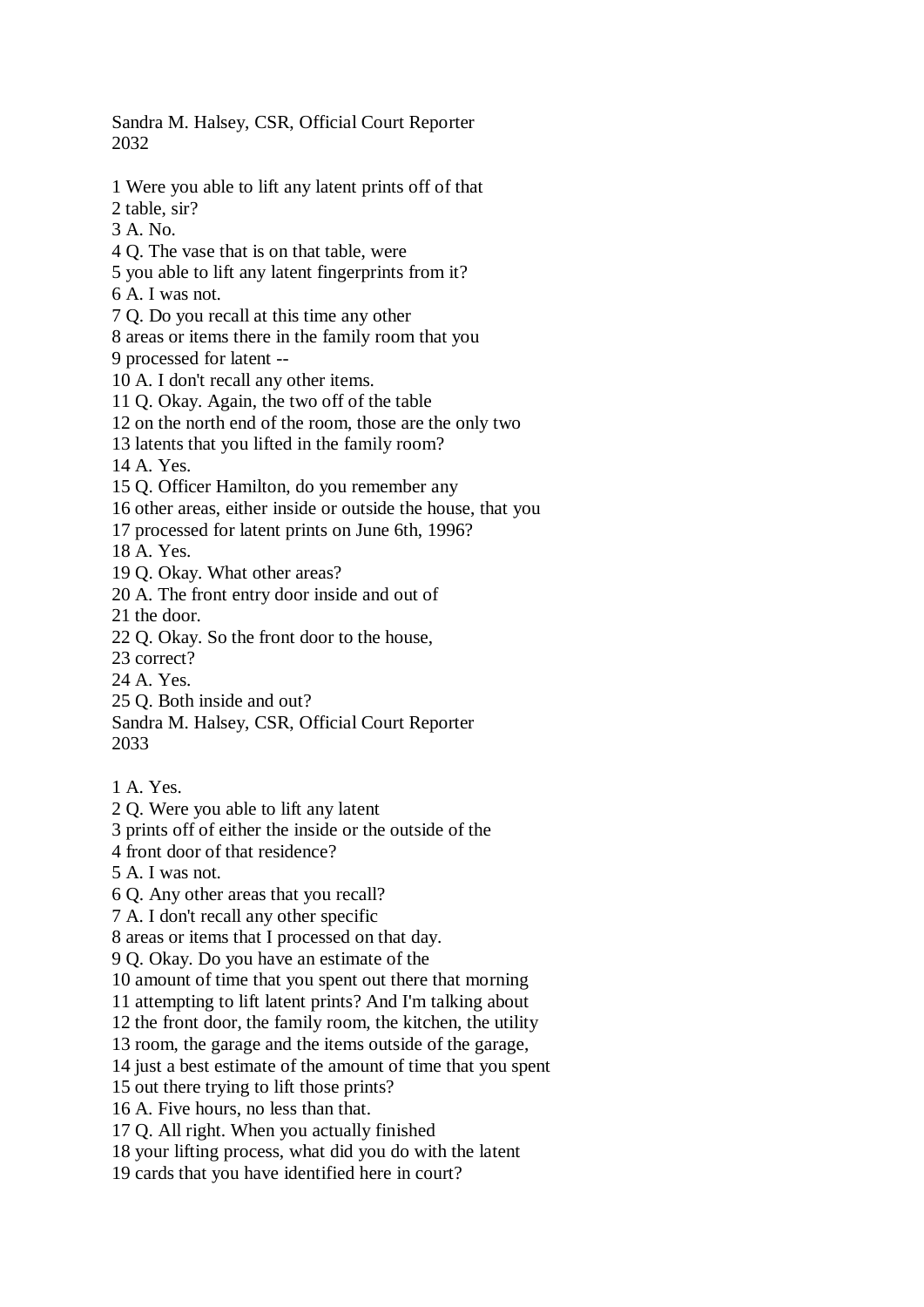Sandra M. Halsey, CSR, Official Court Reporter 2032

- 1 Were you able to lift any latent prints off of that
- 2 table, sir?
- 3 A. No.
- 4 Q. The vase that is on that table, were
- 5 you able to lift any latent fingerprints from it?
- 6 A. I was not.
- 7 Q. Do you recall at this time any other
- 8 areas or items there in the family room that you 9 processed for latent --
- 10 A. I don't recall any other items.
- 11 Q. Okay. Again, the two off of the table
- 12 on the north end of the room, those are the only two
- 13 latents that you lifted in the family room?

14 A. Yes.

- 15 Q. Officer Hamilton, do you remember any
- 16 other areas, either inside or outside the house, that you
- 17 processed for latent prints on June 6th, 1996?

18 A. Yes.

- 19 Q. Okay. What other areas?
- 20 A. The front entry door inside and out of
- 21 the door.
- 22 Q. Okay. So the front door to the house,
- 23 correct?
- 24 A. Yes.
- 25 Q. Both inside and out?
- Sandra M. Halsey, CSR, Official Court Reporter
- 2033
- 1 A. Yes.
- 2 Q. Were you able to lift any latent
- 3 prints off of either the inside or the outside of the
- 4 front door of that residence?
- 5 A. I was not.
- 6 Q. Any other areas that you recall?
- 7 A. I don't recall any other specific
- 8 areas or items that I processed on that day.
- 9 Q. Okay. Do you have an estimate of the
- 10 amount of time that you spent out there that morning
- 11 attempting to lift latent prints? And I'm talking about
- 12 the front door, the family room, the kitchen, the utility
- 13 room, the garage and the items outside of the garage,
- 14 just a best estimate of the amount of time that you spent
- 15 out there trying to lift those prints?
- 16 A. Five hours, no less than that.
- 17 Q. All right. When you actually finished
- 18 your lifting process, what did you do with the latent
- 19 cards that you have identified here in court?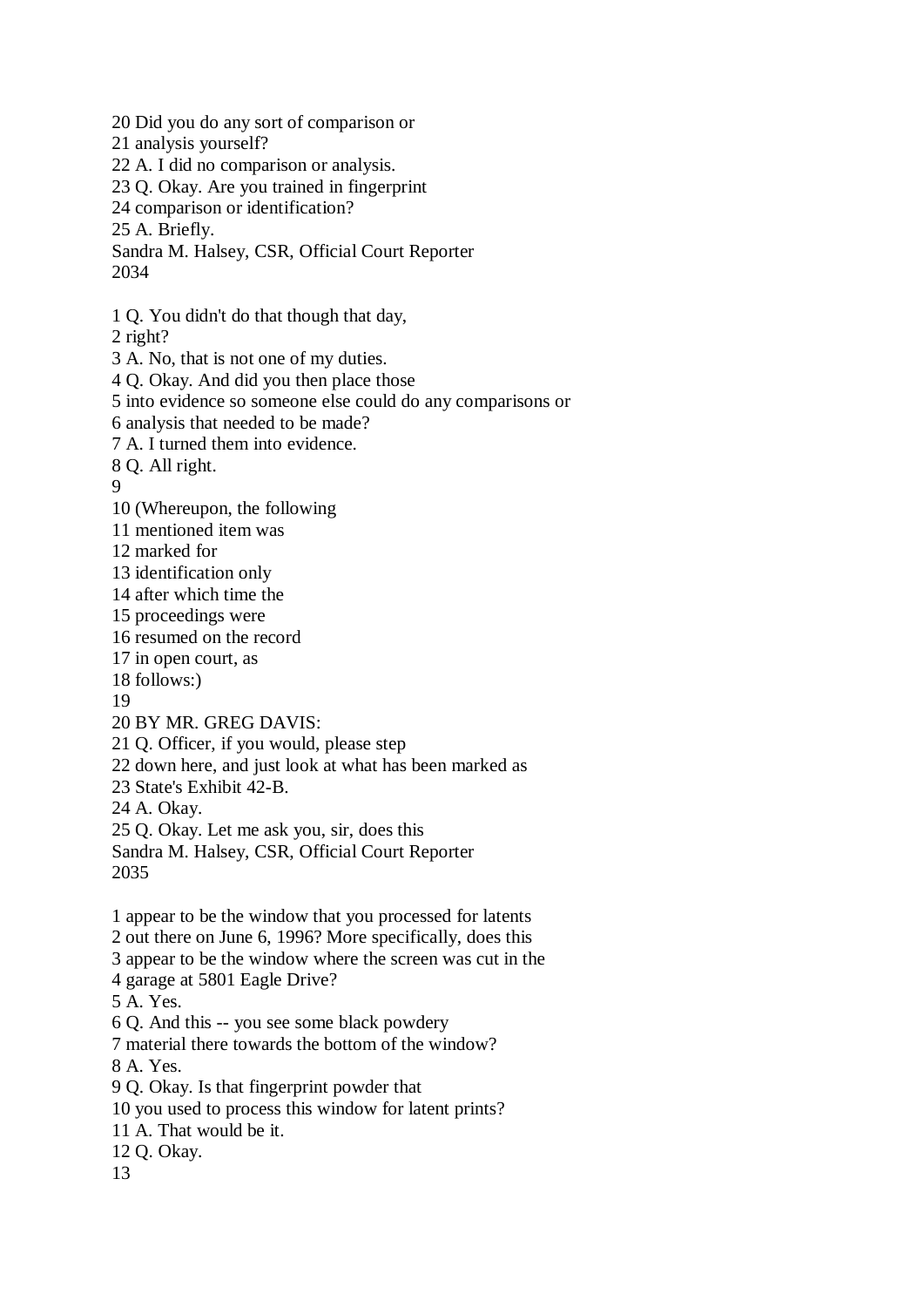20 Did you do any sort of comparison or 21 analysis yourself? 22 A. I did no comparison or analysis. 23 Q. Okay. Are you trained in fingerprint 24 comparison or identification? 25 A. Briefly. Sandra M. Halsey, CSR, Official Court Reporter 2034 1 Q. You didn't do that though that day, 2 right? 3 A. No, that is not one of my duties. 4 Q. Okay. And did you then place those 5 into evidence so someone else could do any comparisons or 6 analysis that needed to be made? 7 A. I turned them into evidence. 8 Q. All right. 9 10 (Whereupon, the following 11 mentioned item was 12 marked for 13 identification only 14 after which time the 15 proceedings were 16 resumed on the record 17 in open court, as 18 follows:) 19 20 BY MR. GREG DAVIS: 21 Q. Officer, if you would, please step 22 down here, and just look at what has been marked as 23 State's Exhibit 42-B. 24 A. Okay. 25 Q. Okay. Let me ask you, sir, does this Sandra M. Halsey, CSR, Official Court Reporter 2035 1 appear to be the window that you processed for latents 2 out there on June 6, 1996? More specifically, does this 3 appear to be the window where the screen was cut in the 4 garage at 5801 Eagle Drive? 5 A. Yes. 6 Q. And this -- you see some black powdery 7 material there towards the bottom of the window? 8 A. Yes. 9 Q. Okay. Is that fingerprint powder that 10 you used to process this window for latent prints? 11 A. That would be it. 12 Q. Okay. 13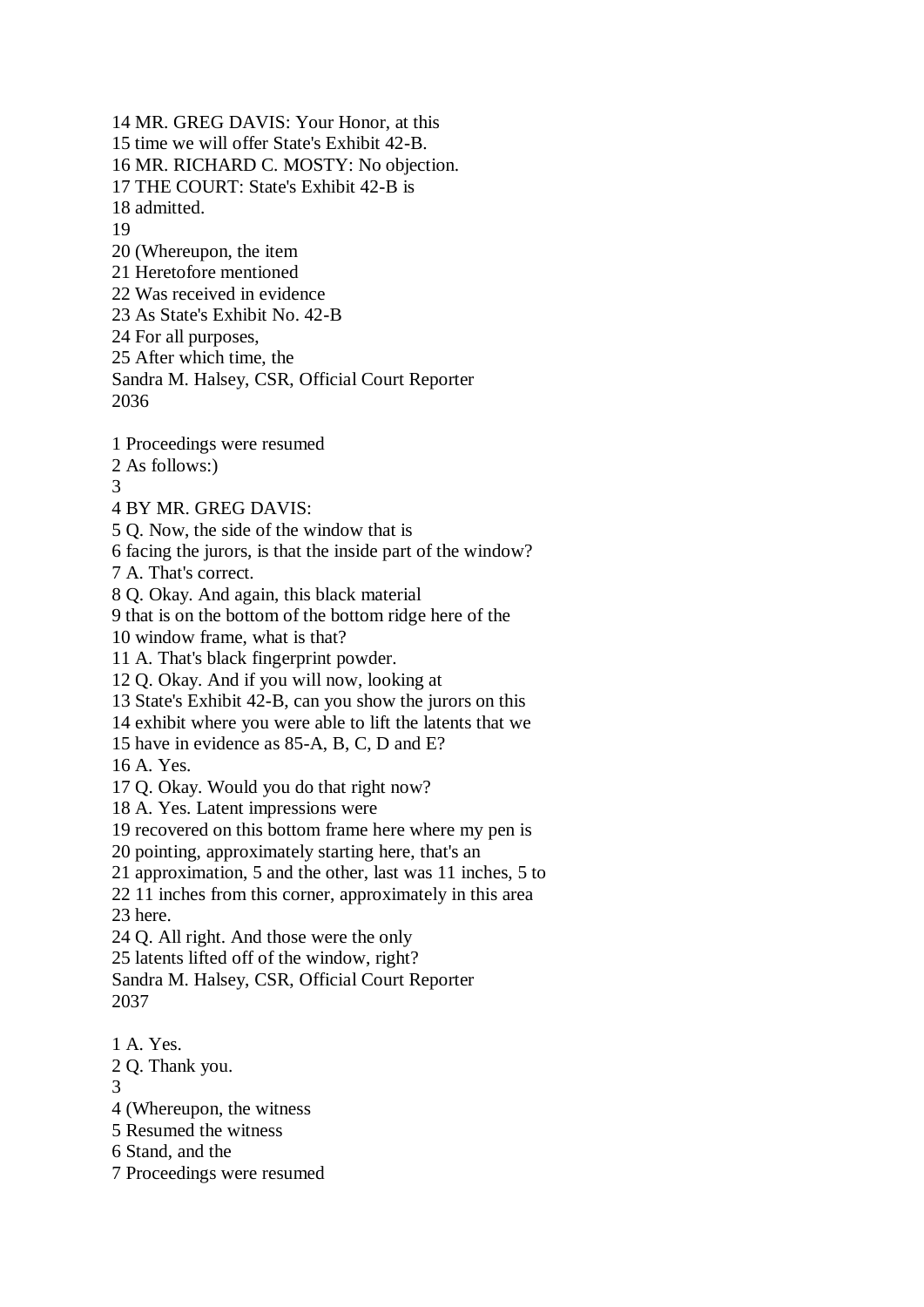14 MR. GREG DAVIS: Your Honor, at this 15 time we will offer State's Exhibit 42-B. 16 MR. RICHARD C. MOSTY: No objection. 17 THE COURT: State's Exhibit 42-B is 18 admitted. 19 20 (Whereupon, the item 21 Heretofore mentioned 22 Was received in evidence 23 As State's Exhibit No. 42-B 24 For all purposes, 25 After which time, the Sandra M. Halsey, CSR, Official Court Reporter 2036 1 Proceedings were resumed 2 As follows:) 3 4 BY MR. GREG DAVIS: 5 Q. Now, the side of the window that is 6 facing the jurors, is that the inside part of the window? 7 A. That's correct. 8 Q. Okay. And again, this black material 9 that is on the bottom of the bottom ridge here of the 10 window frame, what is that? 11 A. That's black fingerprint powder. 12 Q. Okay. And if you will now, looking at 13 State's Exhibit 42-B, can you show the jurors on this 14 exhibit where you were able to lift the latents that we 15 have in evidence as 85-A, B, C, D and E? 16 A. Yes. 17 Q. Okay. Would you do that right now? 18 A. Yes. Latent impressions were 19 recovered on this bottom frame here where my pen is 20 pointing, approximately starting here, that's an 21 approximation, 5 and the other, last was 11 inches, 5 to 22 11 inches from this corner, approximately in this area 23 here. 24 Q. All right. And those were the only 25 latents lifted off of the window, right? Sandra M. Halsey, CSR, Official Court Reporter 2037 1 A. Yes. 2 Q. Thank you. 3 4 (Whereupon, the witness

- 5 Resumed the witness
- 6 Stand, and the
- 7 Proceedings were resumed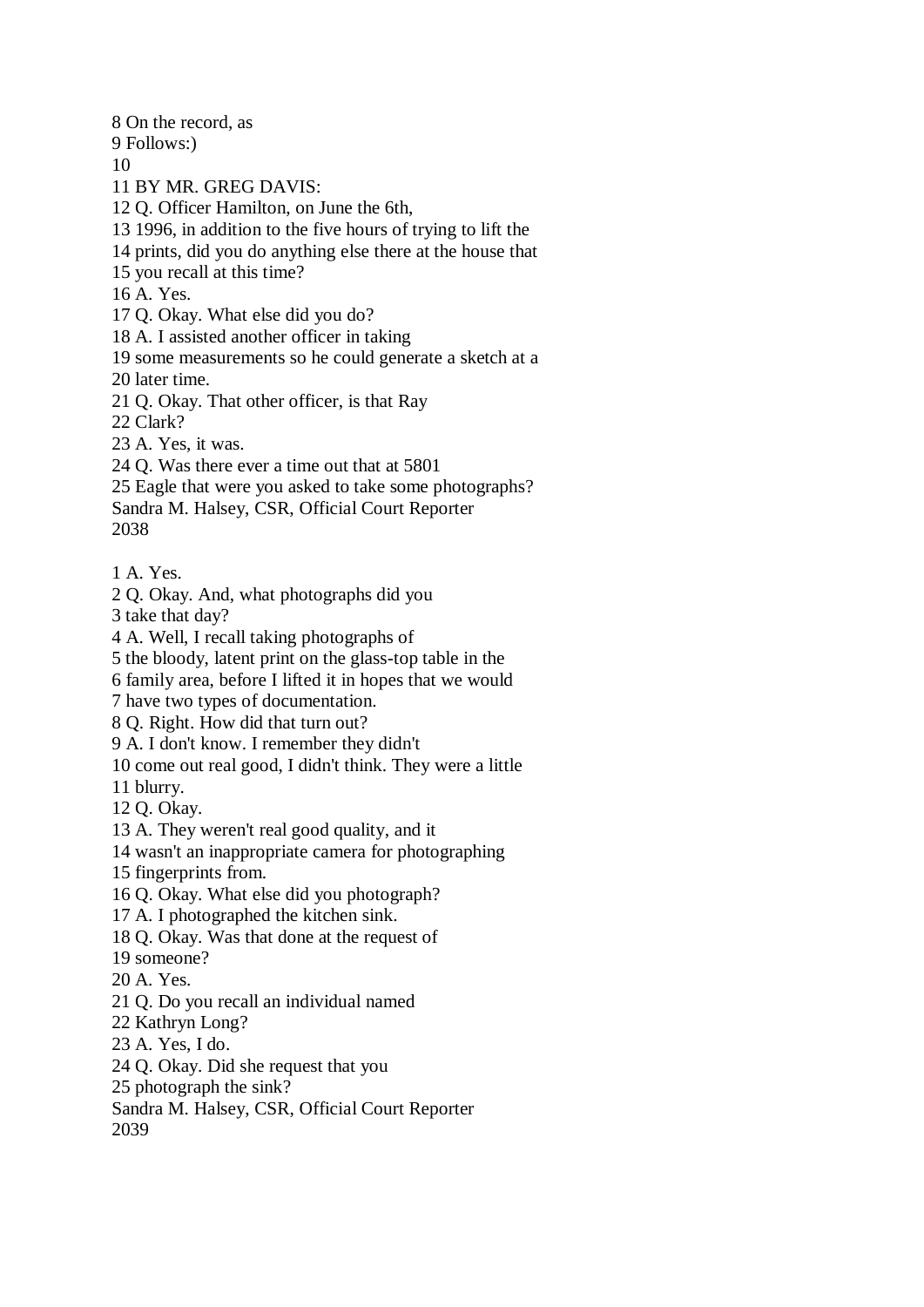8 On the record, as 9 Follows:) 10 11 BY MR. GREG DAVIS: 12 Q. Officer Hamilton, on June the 6th, 13 1996, in addition to the five hours of trying to lift the 14 prints, did you do anything else there at the house that 15 you recall at this time? 16 A. Yes. 17 Q. Okay. What else did you do? 18 A. I assisted another officer in taking 19 some measurements so he could generate a sketch at a 20 later time. 21 Q. Okay. That other officer, is that Ray 22 Clark? 23 A. Yes, it was. 24 Q. Was there ever a time out that at 5801 25 Eagle that were you asked to take some photographs? Sandra M. Halsey, CSR, Official Court Reporter 2038 1 A. Yes. 2 Q. Okay. And, what photographs did you 3 take that day? 4 A. Well, I recall taking photographs of 5 the bloody, latent print on the glass-top table in the 6 family area, before I lifted it in hopes that we would 7 have two types of documentation. 8 Q. Right. How did that turn out? 9 A. I don't know. I remember they didn't 10 come out real good, I didn't think. They were a little 11 blurry. 12 Q. Okay. 13 A. They weren't real good quality, and it 14 wasn't an inappropriate camera for photographing 15 fingerprints from. 16 Q. Okay. What else did you photograph? 17 A. I photographed the kitchen sink. 18 Q. Okay. Was that done at the request of 19 someone? 20 A. Yes. 21 Q. Do you recall an individual named 22 Kathryn Long? 23 A. Yes, I do. 24 Q. Okay. Did she request that you 25 photograph the sink? Sandra M. Halsey, CSR, Official Court Reporter 2039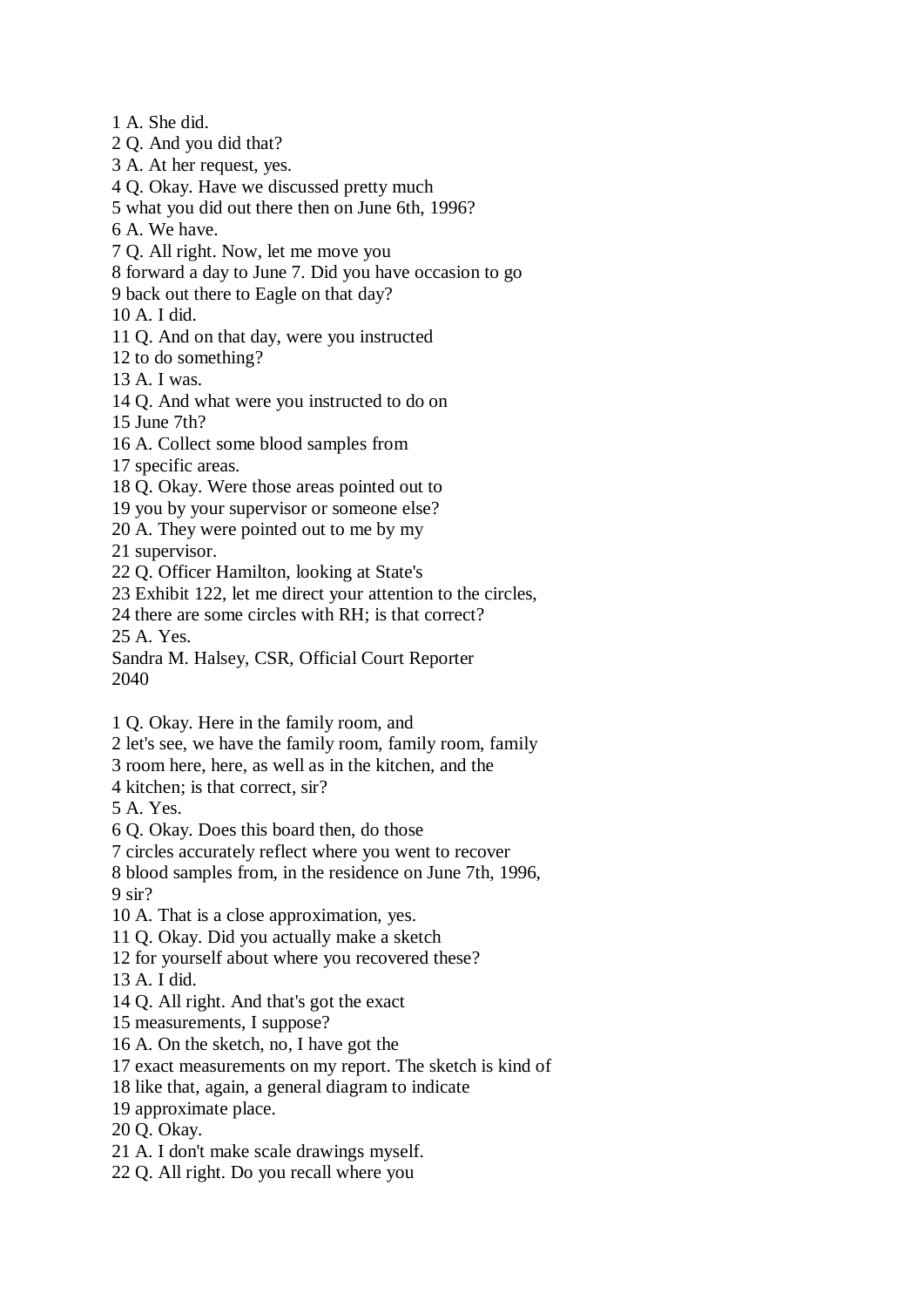1 A. She did. 2 Q. And you did that?

- 3 A. At her request, yes.
- 4 Q. Okay. Have we discussed pretty much
- 5 what you did out there then on June 6th, 1996?
- 6 A. We have.
- 7 Q. All right. Now, let me move you
- 8 forward a day to June 7. Did you have occasion to go
- 9 back out there to Eagle on that day?

10 A. I did.

- 11 Q. And on that day, were you instructed
- 12 to do something?
- 13 A. I was.
- 14 Q. And what were you instructed to do on
- 15 June 7th?
- 16 A. Collect some blood samples from
- 17 specific areas.
- 18 Q. Okay. Were those areas pointed out to
- 19 you by your supervisor or someone else?
- 20 A. They were pointed out to me by my

21 supervisor.

- 22 Q. Officer Hamilton, looking at State's
- 23 Exhibit 122, let me direct your attention to the circles,
- 24 there are some circles with RH; is that correct?

25 A. Yes.

- Sandra M. Halsey, CSR, Official Court Reporter 2040
- 1 Q. Okay. Here in the family room, and
- 2 let's see, we have the family room, family room, family
- 3 room here, here, as well as in the kitchen, and the
- 4 kitchen; is that correct, sir?
- 5 A. Yes.
- 6 Q. Okay. Does this board then, do those
- 7 circles accurately reflect where you went to recover
- 8 blood samples from, in the residence on June 7th, 1996, 9 sir?
- 10 A. That is a close approximation, yes.
- 11 Q. Okay. Did you actually make a sketch
- 12 for yourself about where you recovered these?
- 13 A. I did.
- 14 Q. All right. And that's got the exact
- 15 measurements, I suppose?
- 16 A. On the sketch, no, I have got the
- 17 exact measurements on my report. The sketch is kind of
- 18 like that, again, a general diagram to indicate
- 19 approximate place.
- 20 Q. Okay.
- 21 A. I don't make scale drawings myself.
- 22 Q. All right. Do you recall where you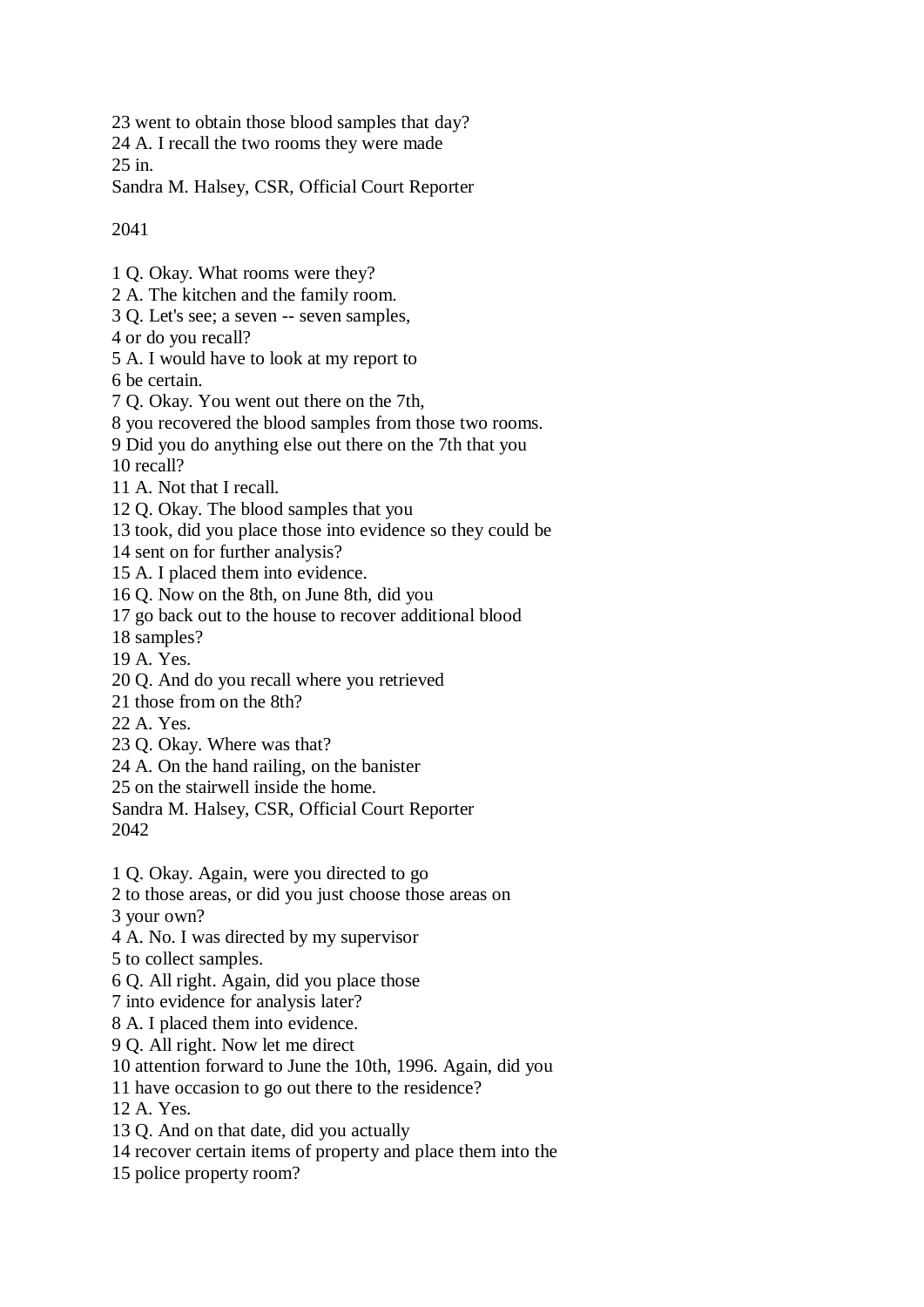23 went to obtain those blood samples that day?

24 A. I recall the two rooms they were made

25 in.

Sandra M. Halsey, CSR, Official Court Reporter

2041

- 1 Q. Okay. What rooms were they?
- 2 A. The kitchen and the family room.
- 3 Q. Let's see; a seven -- seven samples,
- 4 or do you recall?
- 5 A. I would have to look at my report to

6 be certain.

- 7 Q. Okay. You went out there on the 7th,
- 8 you recovered the blood samples from those two rooms.
- 9 Did you do anything else out there on the 7th that you

10 recall?

- 11 A. Not that I recall.
- 12 Q. Okay. The blood samples that you
- 13 took, did you place those into evidence so they could be
- 14 sent on for further analysis?
- 15 A. I placed them into evidence.
- 16 Q. Now on the 8th, on June 8th, did you
- 17 go back out to the house to recover additional blood
- 18 samples?
- 19 A. Yes.
- 20 Q. And do you recall where you retrieved
- 21 those from on the 8th?
- 22 A. Yes.
- 23 Q. Okay. Where was that?
- 24 A. On the hand railing, on the banister
- 25 on the stairwell inside the home.
- Sandra M. Halsey, CSR, Official Court Reporter

2042

1 Q. Okay. Again, were you directed to go

- 2 to those areas, or did you just choose those areas on
- 3 your own?
- 4 A. No. I was directed by my supervisor
- 5 to collect samples.
- 6 Q. All right. Again, did you place those
- 7 into evidence for analysis later?
- 8 A. I placed them into evidence.
- 9 Q. All right. Now let me direct
- 10 attention forward to June the 10th, 1996. Again, did you
- 11 have occasion to go out there to the residence?

12 A. Yes.

- 13 Q. And on that date, did you actually
- 14 recover certain items of property and place them into the
- 15 police property room?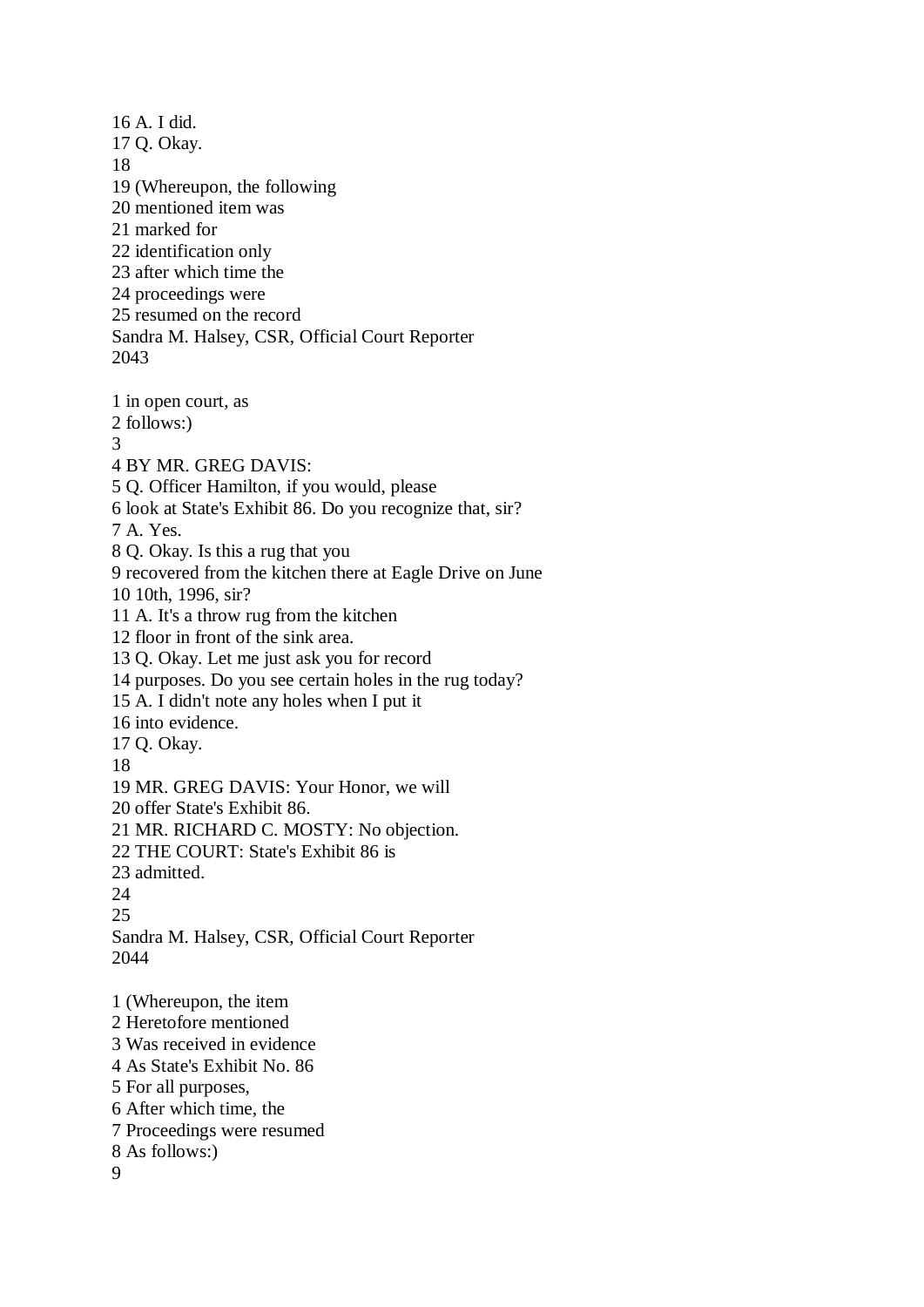16 A. I did. 17 Q. Okay. 18 19 (Whereupon, the following 20 mentioned item was 21 marked for 22 identification only 23 after which time the 24 proceedings were 25 resumed on the record Sandra M. Halsey, CSR, Official Court Reporter 2043 1 in open court, as 2 follows:) 3 4 BY MR. GREG DAVIS: 5 Q. Officer Hamilton, if you would, please 6 look at State's Exhibit 86. Do you recognize that, sir? 7 A. Yes. 8 Q. Okay. Is this a rug that you 9 recovered from the kitchen there at Eagle Drive on June 10 10th, 1996, sir? 11 A. It's a throw rug from the kitchen 12 floor in front of the sink area. 13 Q. Okay. Let me just ask you for record 14 purposes. Do you see certain holes in the rug today? 15 A. I didn't note any holes when I put it 16 into evidence. 17 Q. Okay. 18 19 MR. GREG DAVIS: Your Honor, we will 20 offer State's Exhibit 86. 21 MR. RICHARD C. MOSTY: No objection. 22 THE COURT: State's Exhibit 86 is 23 admitted. 24 25 Sandra M. Halsey, CSR, Official Court Reporter 2044 1 (Whereupon, the item 2 Heretofore mentioned 3 Was received in evidence 4 As State's Exhibit No. 86 5 For all purposes, 6 After which time, the 7 Proceedings were resumed 8 As follows:) 9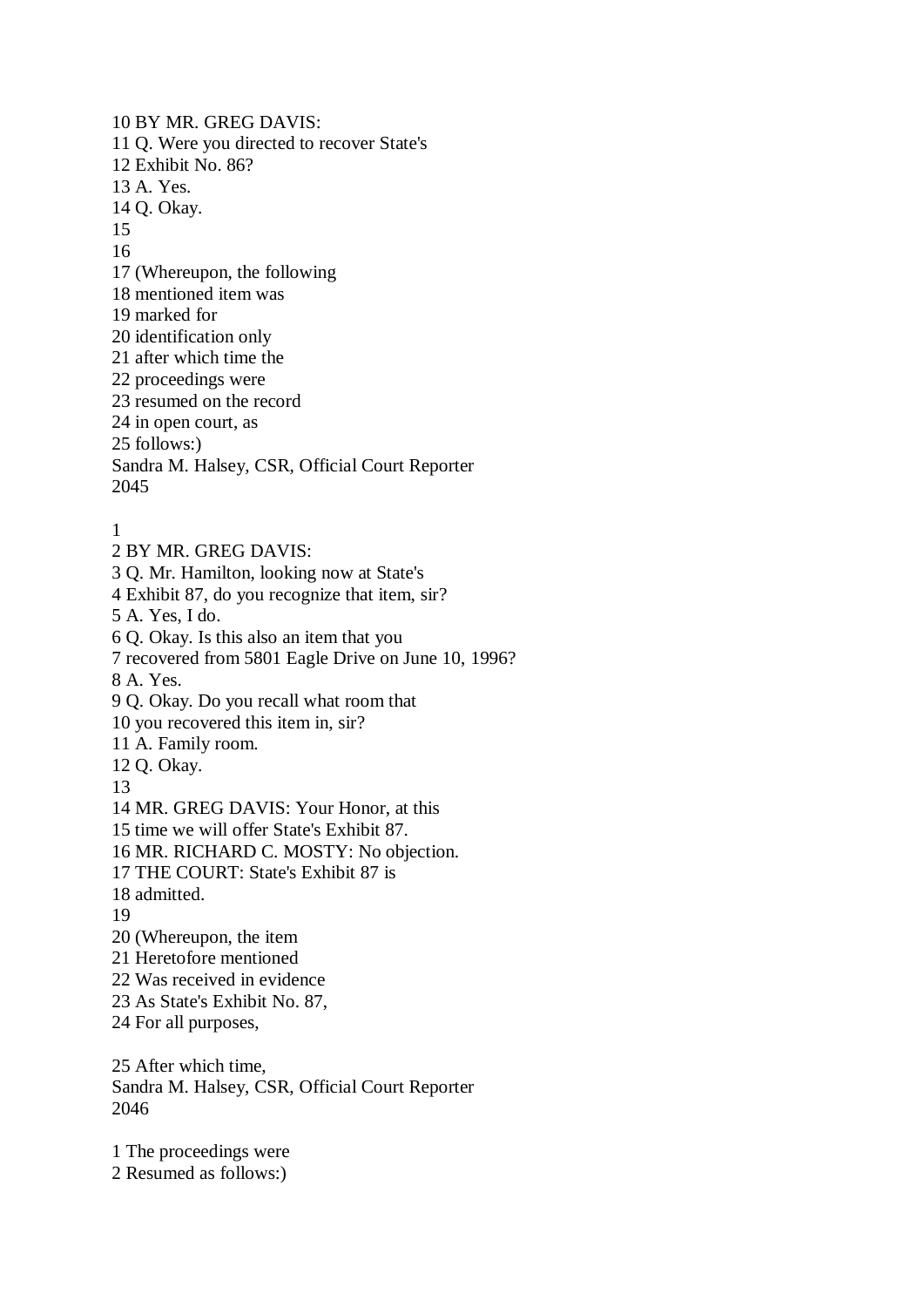10 BY MR. GREG DAVIS: 11 Q. Were you directed to recover State's 12 Exhibit No. 86? 13 A. Yes. 14 Q. Okay. 15 16 17 (Whereupon, the following 18 mentioned item was 19 marked for 20 identification only 21 after which time the 22 proceedings were 23 resumed on the record 24 in open court, as 25 follows:) Sandra M. Halsey, CSR, Official Court Reporter 2045 1

2 BY MR. GREG DAVIS: 3 Q. Mr. Hamilton, looking now at State's 4 Exhibit 87, do you recognize that item, sir? 5 A. Yes, I do. 6 Q. Okay. Is this also an item that you 7 recovered from 5801 Eagle Drive on June 10, 1996? 8 A. Yes. 9 Q. Okay. Do you recall what room that 10 you recovered this item in, sir? 11 A. Family room. 12 Q. Okay. 13 14 MR. GREG DAVIS: Your Honor, at this 15 time we will offer State's Exhibit 87. 16 MR. RICHARD C. MOSTY: No objection. 17 THE COURT: State's Exhibit 87 is 18 admitted. 19 20 (Whereupon, the item 21 Heretofore mentioned 22 Was received in evidence 23 As State's Exhibit No. 87, 24 For all purposes, 25 After which time, Sandra M. Halsey, CSR, Official Court Reporter 2046

1 The proceedings were 2 Resumed as follows:)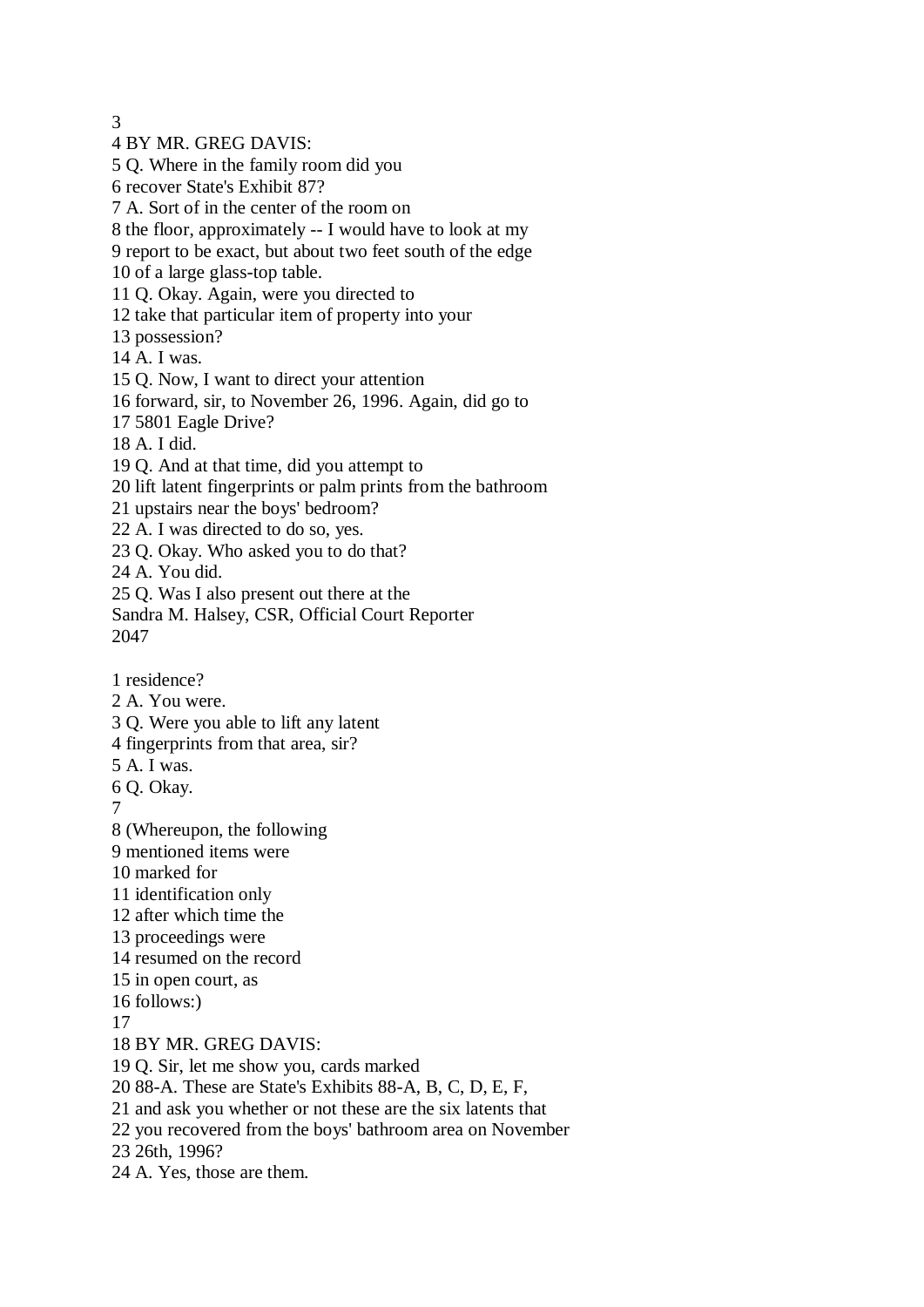3

4 BY MR. GREG DAVIS:

5 Q. Where in the family room did you

6 recover State's Exhibit 87?

7 A. Sort of in the center of the room on

8 the floor, approximately -- I would have to look at my

- 9 report to be exact, but about two feet south of the edge
- 10 of a large glass-top table.
- 11 Q. Okay. Again, were you directed to
- 12 take that particular item of property into your
- 13 possession?
- 14 A. I was.

15 Q. Now, I want to direct your attention

- 16 forward, sir, to November 26, 1996. Again, did go to
- 17 5801 Eagle Drive?
- 18 A. I did.

19 Q. And at that time, did you attempt to

- 20 lift latent fingerprints or palm prints from the bathroom
- 21 upstairs near the boys' bedroom?
- 22 A. I was directed to do so, yes.
- 23 Q. Okay. Who asked you to do that?

24 A. You did.

25 Q. Was I also present out there at the

- Sandra M. Halsey, CSR, Official Court Reporter 2047
- 1 residence?
- 2 A. You were.
- 3 Q. Were you able to lift any latent
- 4 fingerprints from that area, sir?
- 5 A. I was.
- 6 Q. Okay.
- 7

8 (Whereupon, the following

- 9 mentioned items were
- 10 marked for
- 11 identification only
- 12 after which time the
- 13 proceedings were
- 14 resumed on the record
- 15 in open court, as
- 16 follows:)
- 17
- 18 BY MR. GREG DAVIS:
- 19 Q. Sir, let me show you, cards marked
- 20 88-A. These are State's Exhibits 88-A, B, C, D, E, F,
- 21 and ask you whether or not these are the six latents that
- 22 you recovered from the boys' bathroom area on November
- 23 26th, 1996?
- 24 A. Yes, those are them.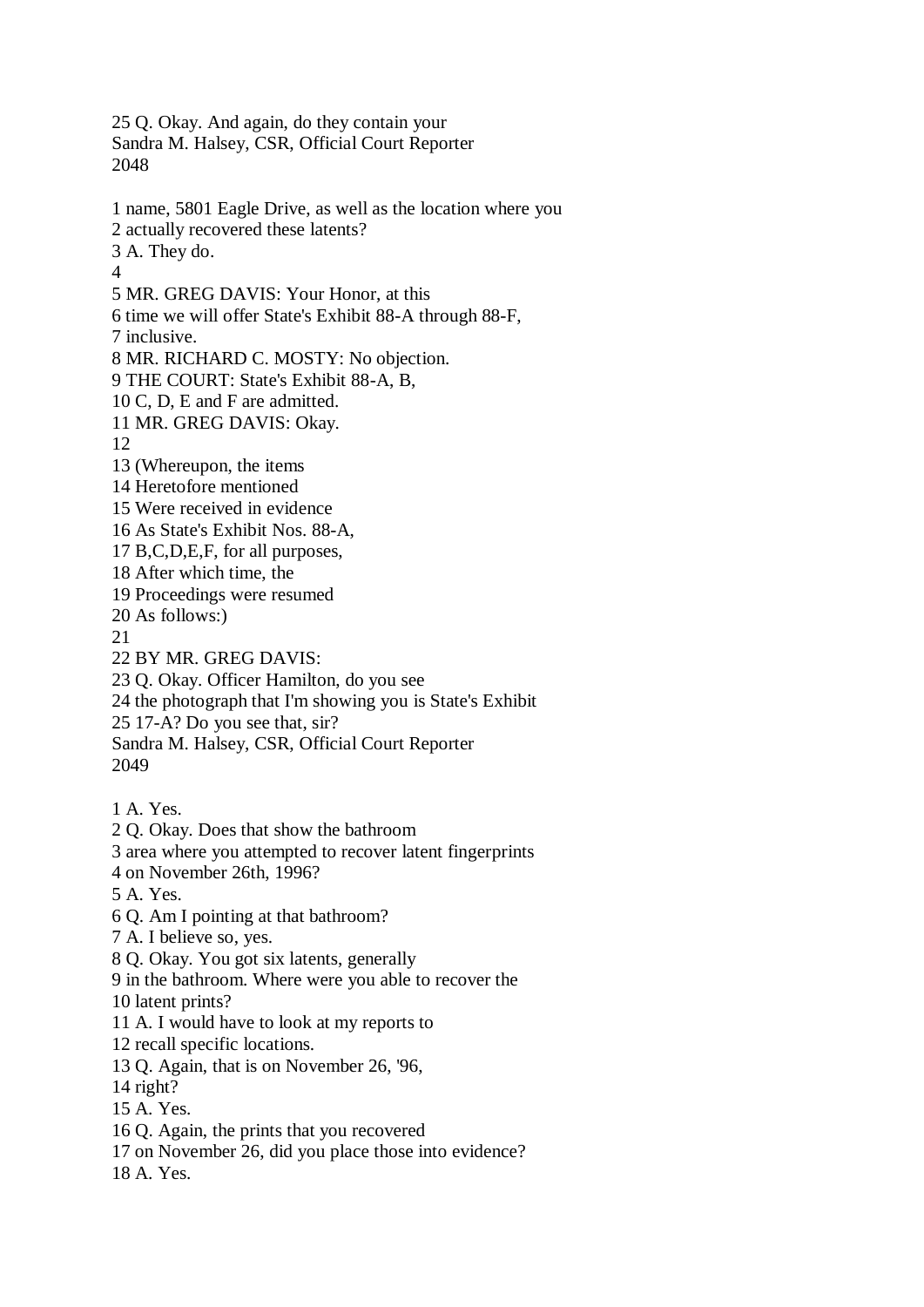Sandra M. Halsey, CSR, Official Court Reporter 2048 1 name, 5801 Eagle Drive, as well as the location where you 2 actually recovered these latents? 3 A. They do. 4 5 MR. GREG DAVIS: Your Honor, at this 6 time we will offer State's Exhibit 88-A through 88-F, 7 inclusive. 8 MR. RICHARD C. MOSTY: No objection. 9 THE COURT: State's Exhibit 88-A, B, 10 C, D, E and F are admitted. 11 MR. GREG DAVIS: Okay. 12 13 (Whereupon, the items 14 Heretofore mentioned 15 Were received in evidence 16 As State's Exhibit Nos. 88-A, 17 B,C,D,E,F, for all purposes, 18 After which time, the 19 Proceedings were resumed 20 As follows:) 21 22 BY MR. GREG DAVIS: 23 Q. Okay. Officer Hamilton, do you see 24 the photograph that I'm showing you is State's Exhibit 25 17-A? Do you see that, sir? Sandra M. Halsey, CSR, Official Court Reporter 2049 1 A. Yes. 2 Q. Okay. Does that show the bathroom 3 area where you attempted to recover latent fingerprints 4 on November 26th, 1996? 5 A. Yes. 6 Q. Am I pointing at that bathroom? 7 A. I believe so, yes. 8 Q. Okay. You got six latents, generally 9 in the bathroom. Where were you able to recover the 10 latent prints? 11 A. I would have to look at my reports to 12 recall specific locations. 13 Q. Again, that is on November 26, '96, 14 right? 15 A. Yes. 16 Q. Again, the prints that you recovered 17 on November 26, did you place those into evidence? 18 A. Yes.

25 Q. Okay. And again, do they contain your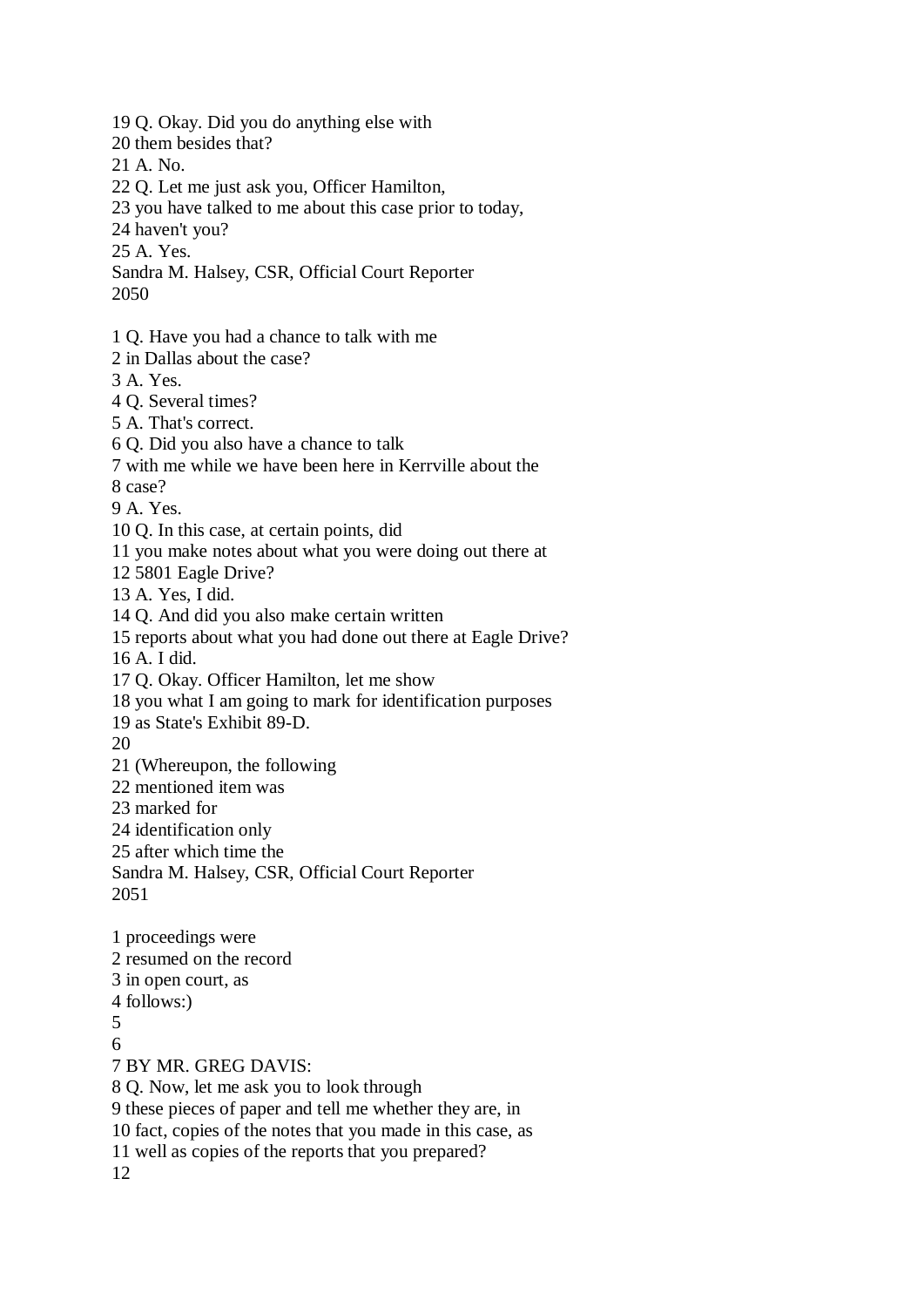19 Q. Okay. Did you do anything else with 20 them besides that? 21 A. No. 22 Q. Let me just ask you, Officer Hamilton, 23 you have talked to me about this case prior to today, 24 haven't you? 25 A. Yes. Sandra M. Halsey, CSR, Official Court Reporter 2050 1 Q. Have you had a chance to talk with me 2 in Dallas about the case? 3 A. Yes. 4 Q. Several times? 5 A. That's correct. 6 Q. Did you also have a chance to talk 7 with me while we have been here in Kerrville about the 8 case? 9 A. Yes. 10 Q. In this case, at certain points, did 11 you make notes about what you were doing out there at 12 5801 Eagle Drive? 13 A. Yes, I did. 14 Q. And did you also make certain written 15 reports about what you had done out there at Eagle Drive? 16 A. I did. 17 Q. Okay. Officer Hamilton, let me show 18 you what I am going to mark for identification purposes 19 as State's Exhibit 89-D. 20 21 (Whereupon, the following 22 mentioned item was 23 marked for 24 identification only 25 after which time the Sandra M. Halsey, CSR, Official Court Reporter 2051 1 proceedings were 2 resumed on the record 3 in open court, as 4 follows:) 5 6 7 BY MR. GREG DAVIS: 8 Q. Now, let me ask you to look through 9 these pieces of paper and tell me whether they are, in 10 fact, copies of the notes that you made in this case, as 11 well as copies of the reports that you prepared?

12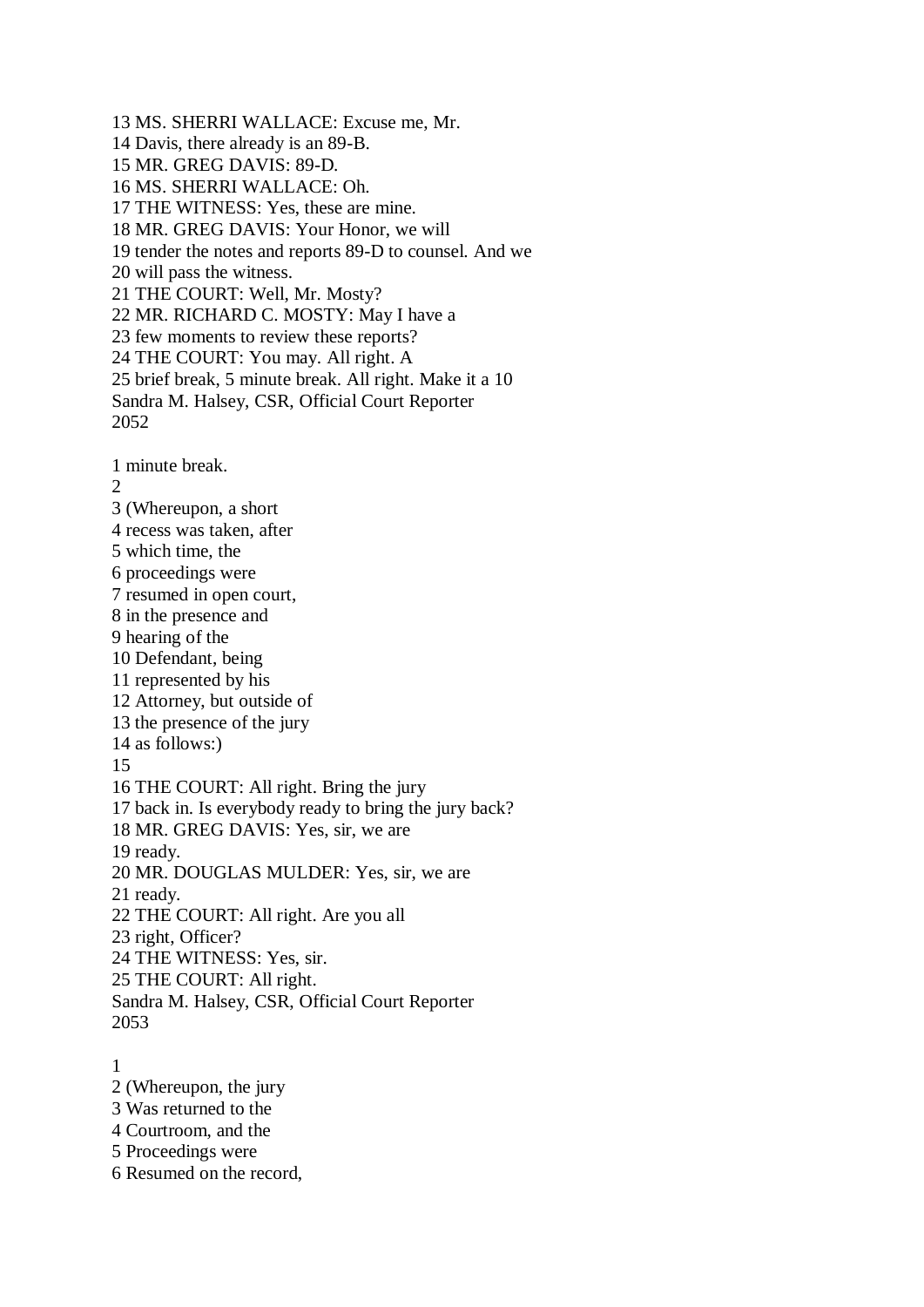13 MS. SHERRI WALLACE: Excuse me, Mr. 14 Davis, there already is an 89-B. 15 MR. GREG DAVIS: 89-D. 16 MS. SHERRI WALLACE: Oh. 17 THE WITNESS: Yes, these are mine. 18 MR. GREG DAVIS: Your Honor, we will 19 tender the notes and reports 89-D to counsel. And we 20 will pass the witness. 21 THE COURT: Well, Mr. Mosty? 22 MR. RICHARD C. MOSTY: May I have a 23 few moments to review these reports? 24 THE COURT: You may. All right. A 25 brief break, 5 minute break. All right. Make it a 10 Sandra M. Halsey, CSR, Official Court Reporter 2052 1 minute break. 2 3 (Whereupon, a short 4 recess was taken, after 5 which time, the 6 proceedings were 7 resumed in open court, 8 in the presence and 9 hearing of the 10 Defendant, being 11 represented by his 12 Attorney, but outside of 13 the presence of the jury 14 as follows:) 15 16 THE COURT: All right. Bring the jury 17 back in. Is everybody ready to bring the jury back? 18 MR. GREG DAVIS: Yes, sir, we are 19 ready. 20 MR. DOUGLAS MULDER: Yes, sir, we are 21 ready. 22 THE COURT: All right. Are you all 23 right, Officer? 24 THE WITNESS: Yes, sir. 25 THE COURT: All right. Sandra M. Halsey, CSR, Official Court Reporter 2053 1

2 (Whereupon, the jury

3 Was returned to the

4 Courtroom, and the

5 Proceedings were

6 Resumed on the record,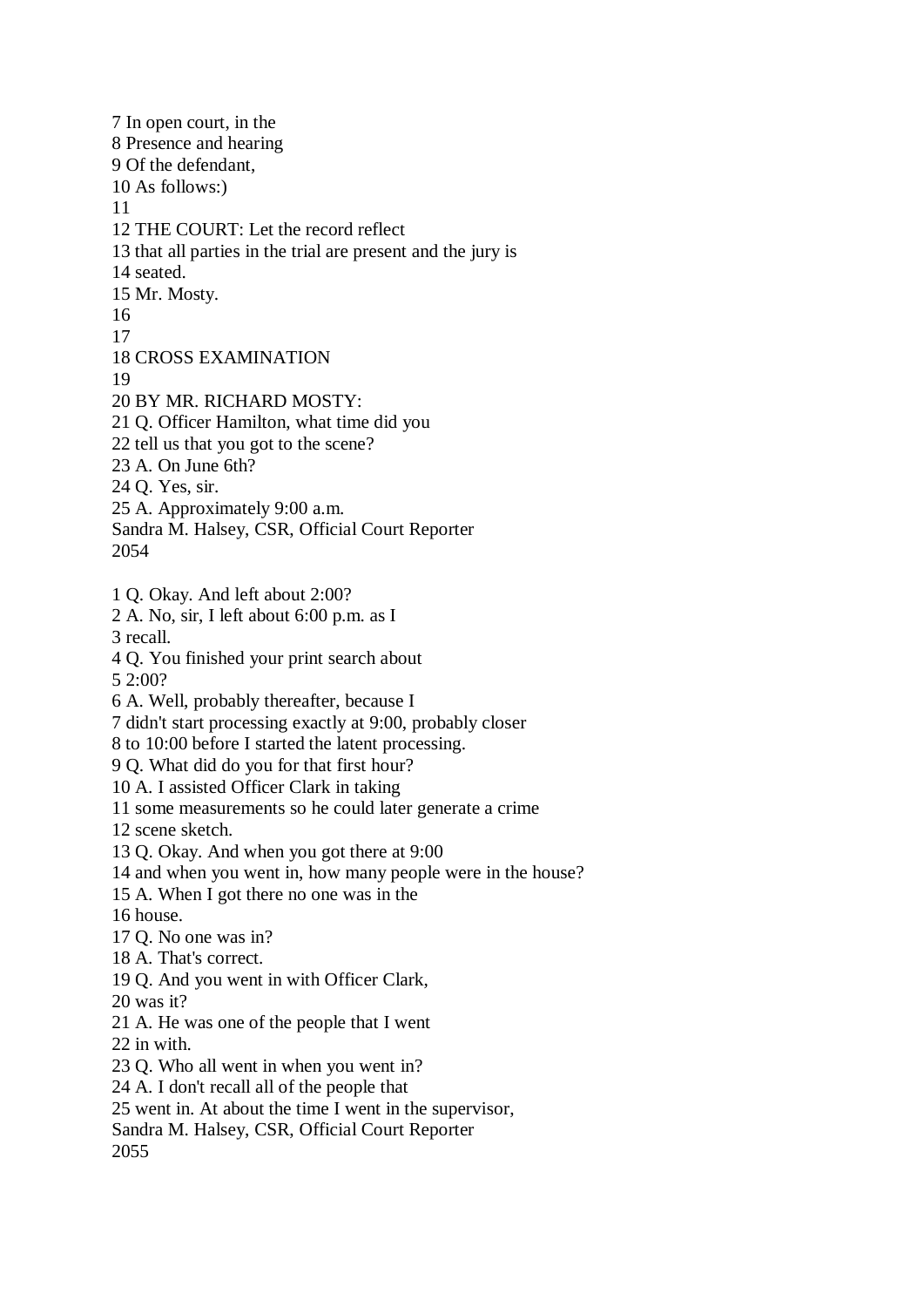7 In open court, in the 8 Presence and hearing 9 Of the defendant, 10 As follows:) 11 12 THE COURT: Let the record reflect 13 that all parties in the trial are present and the jury is 14 seated. 15 Mr. Mosty. 16 17 18 CROSS EXAMINATION 19 20 BY MR. RICHARD MOSTY: 21 Q. Officer Hamilton, what time did you 22 tell us that you got to the scene? 23 A. On June 6th? 24 Q. Yes, sir. 25 A. Approximately 9:00 a.m. Sandra M. Halsey, CSR, Official Court Reporter 2054 1 Q. Okay. And left about 2:00? 2 A. No, sir, I left about 6:00 p.m. as I 3 recall. 4 Q. You finished your print search about 5 2:00? 6 A. Well, probably thereafter, because I 7 didn't start processing exactly at 9:00, probably closer 8 to 10:00 before I started the latent processing. 9 Q. What did do you for that first hour? 10 A. I assisted Officer Clark in taking 11 some measurements so he could later generate a crime 12 scene sketch. 13 Q. Okay. And when you got there at 9:00 14 and when you went in, how many people were in the house? 15 A. When I got there no one was in the 16 house. 17 Q. No one was in? 18 A. That's correct. 19 Q. And you went in with Officer Clark, 20 was it? 21 A. He was one of the people that I went 22 in with. 23 Q. Who all went in when you went in? 24 A. I don't recall all of the people that 25 went in. At about the time I went in the supervisor, Sandra M. Halsey, CSR, Official Court Reporter 2055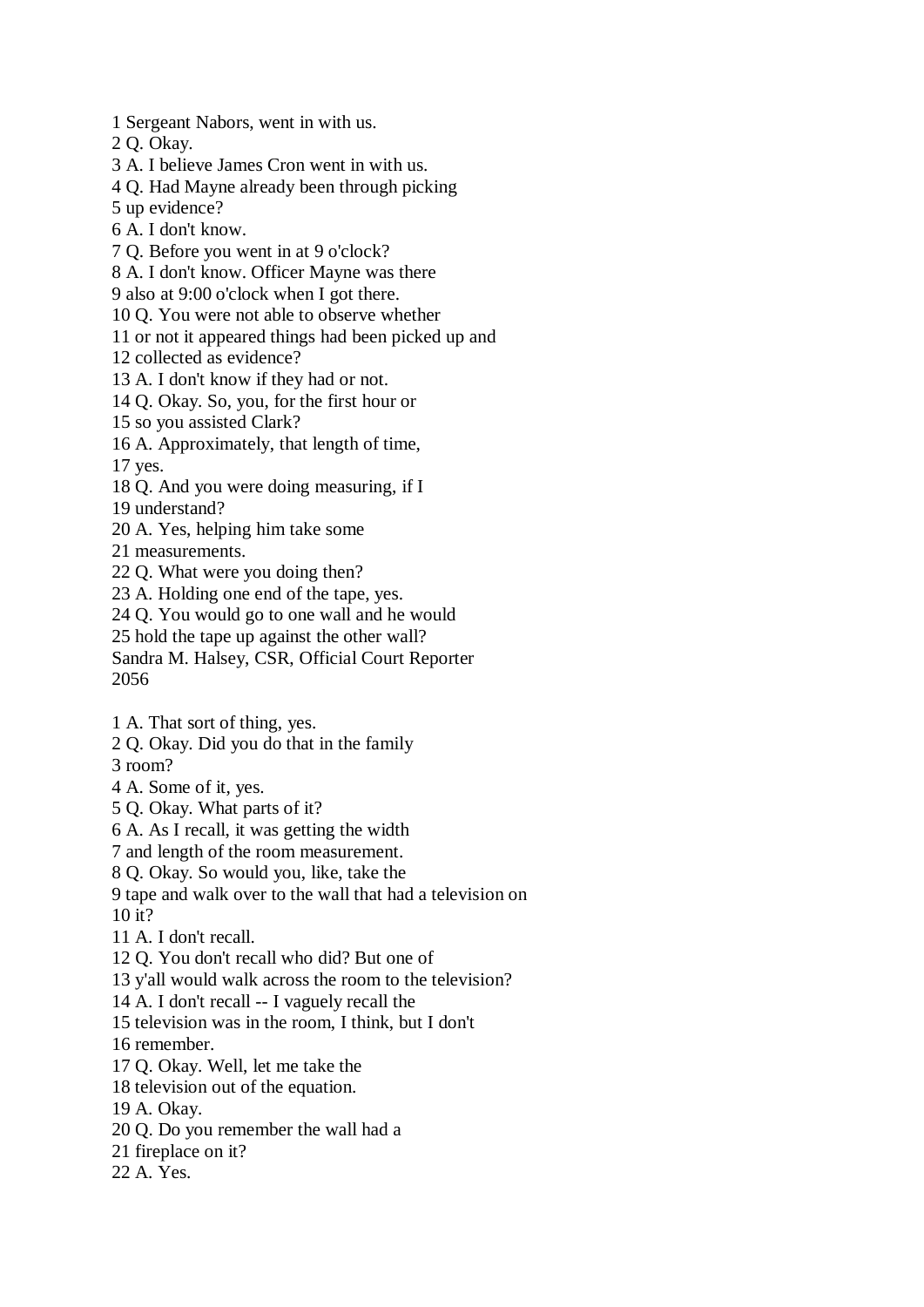1 Sergeant Nabors, went in with us.

2 Q. Okay.

3 A. I believe James Cron went in with us.

4 Q. Had Mayne already been through picking

5 up evidence?

6 A. I don't know.

7 Q. Before you went in at 9 o'clock?

8 A. I don't know. Officer Mayne was there

9 also at 9:00 o'clock when I got there.

10 Q. You were not able to observe whether

11 or not it appeared things had been picked up and

12 collected as evidence?

13 A. I don't know if they had or not.

14 Q. Okay. So, you, for the first hour or

15 so you assisted Clark?

16 A. Approximately, that length of time,

17 yes.

18 Q. And you were doing measuring, if I

19 understand?

20 A. Yes, helping him take some

21 measurements.

22 Q. What were you doing then?

23 A. Holding one end of the tape, yes.

24 Q. You would go to one wall and he would

25 hold the tape up against the other wall?

Sandra M. Halsey, CSR, Official Court Reporter 2056

1 A. That sort of thing, yes.

2 Q. Okay. Did you do that in the family

3 room?

4 A. Some of it, yes.

5 Q. Okay. What parts of it?

6 A. As I recall, it was getting the width

7 and length of the room measurement.

8 Q. Okay. So would you, like, take the

9 tape and walk over to the wall that had a television on 10 it?

11 A. I don't recall.

12 Q. You don't recall who did? But one of

13 y'all would walk across the room to the television?

14 A. I don't recall -- I vaguely recall the

15 television was in the room, I think, but I don't

16 remember.

17 Q. Okay. Well, let me take the

18 television out of the equation.

19 A. Okay.

20 Q. Do you remember the wall had a

21 fireplace on it?

22 A. Yes.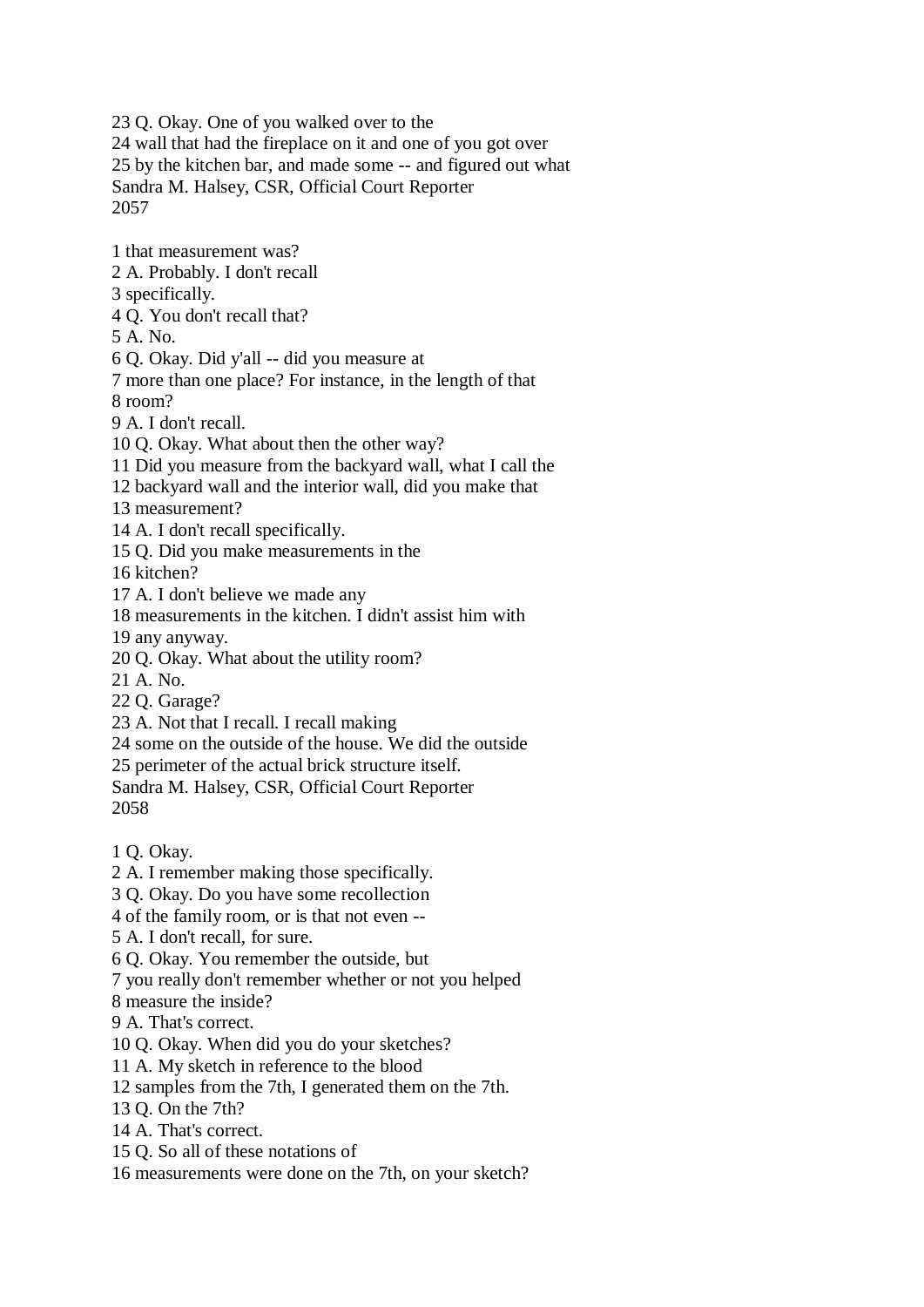23 Q. Okay. One of you walked over to the 24 wall that had the fireplace on it and one of you got over 25 by the kitchen bar, and made some -- and figured out what Sandra M. Halsey, CSR, Official Court Reporter 2057

1 that measurement was? 2 A. Probably. I don't recall 3 specifically. 4 Q. You don't recall that? 5 A. No. 6 Q. Okay. Did y'all -- did you measure at 7 more than one place? For instance, in the length of that 8 room? 9 A. I don't recall. 10 Q. Okay. What about then the other way? 11 Did you measure from the backyard wall, what I call the 12 backyard wall and the interior wall, did you make that 13 measurement? 14 A. I don't recall specifically. 15 Q. Did you make measurements in the 16 kitchen? 17 A. I don't believe we made any 18 measurements in the kitchen. I didn't assist him with 19 any anyway. 20 Q. Okay. What about the utility room? 21 A. No. 22 Q. Garage? 23 A. Not that I recall. I recall making 24 some on the outside of the house. We did the outside 25 perimeter of the actual brick structure itself. Sandra M. Halsey, CSR, Official Court Reporter 2058 1 Q. Okay. 2 A. I remember making those specifically. 3 Q. Okay. Do you have some recollection 4 of the family room, or is that not even -- 5 A. I don't recall, for sure. 6 Q. Okay. You remember the outside, but 7 you really don't remember whether or not you helped 8 measure the inside? 9 A. That's correct. 10 Q. Okay. When did you do your sketches? 11 A. My sketch in reference to the blood 12 samples from the 7th, I generated them on the 7th. 13 Q. On the 7th? 14 A. That's correct. 15 Q. So all of these notations of

16 measurements were done on the 7th, on your sketch?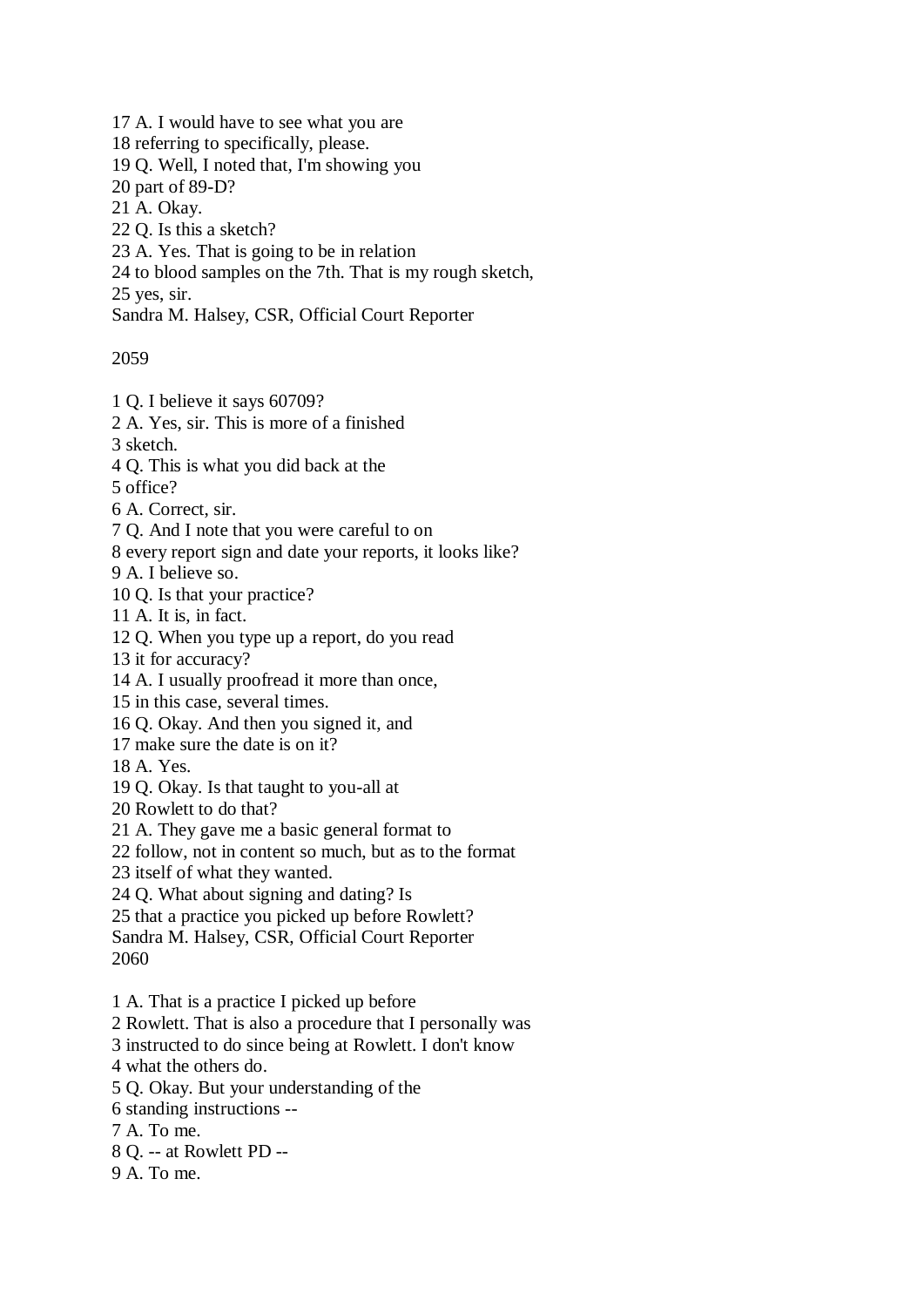17 A. I would have to see what you are

18 referring to specifically, please.

19 Q. Well, I noted that, I'm showing you

20 part of 89-D?

21 A. Okay.

22 Q. Is this a sketch?

23 A. Yes. That is going to be in relation

24 to blood samples on the 7th. That is my rough sketch,

25 yes, sir.

Sandra M. Halsey, CSR, Official Court Reporter

2059

1 Q. I believe it says 60709?

2 A. Yes, sir. This is more of a finished

3 sketch.

4 Q. This is what you did back at the

5 office?

6 A. Correct, sir.

7 Q. And I note that you were careful to on

8 every report sign and date your reports, it looks like?

9 A. I believe so.

10 Q. Is that your practice?

11 A. It is, in fact.

12 Q. When you type up a report, do you read

13 it for accuracy?

14 A. I usually proofread it more than once,

15 in this case, several times.

16 Q. Okay. And then you signed it, and

17 make sure the date is on it?

18 A. Yes.

19 Q. Okay. Is that taught to you-all at

20 Rowlett to do that?

21 A. They gave me a basic general format to

22 follow, not in content so much, but as to the format

23 itself of what they wanted.

24 Q. What about signing and dating? Is

25 that a practice you picked up before Rowlett?

Sandra M. Halsey, CSR, Official Court Reporter 2060

1 A. That is a practice I picked up before

2 Rowlett. That is also a procedure that I personally was

3 instructed to do since being at Rowlett. I don't know

4 what the others do.

5 Q. Okay. But your understanding of the

6 standing instructions --

7 A. To me.

8 Q. -- at Rowlett PD --

9 A. To me.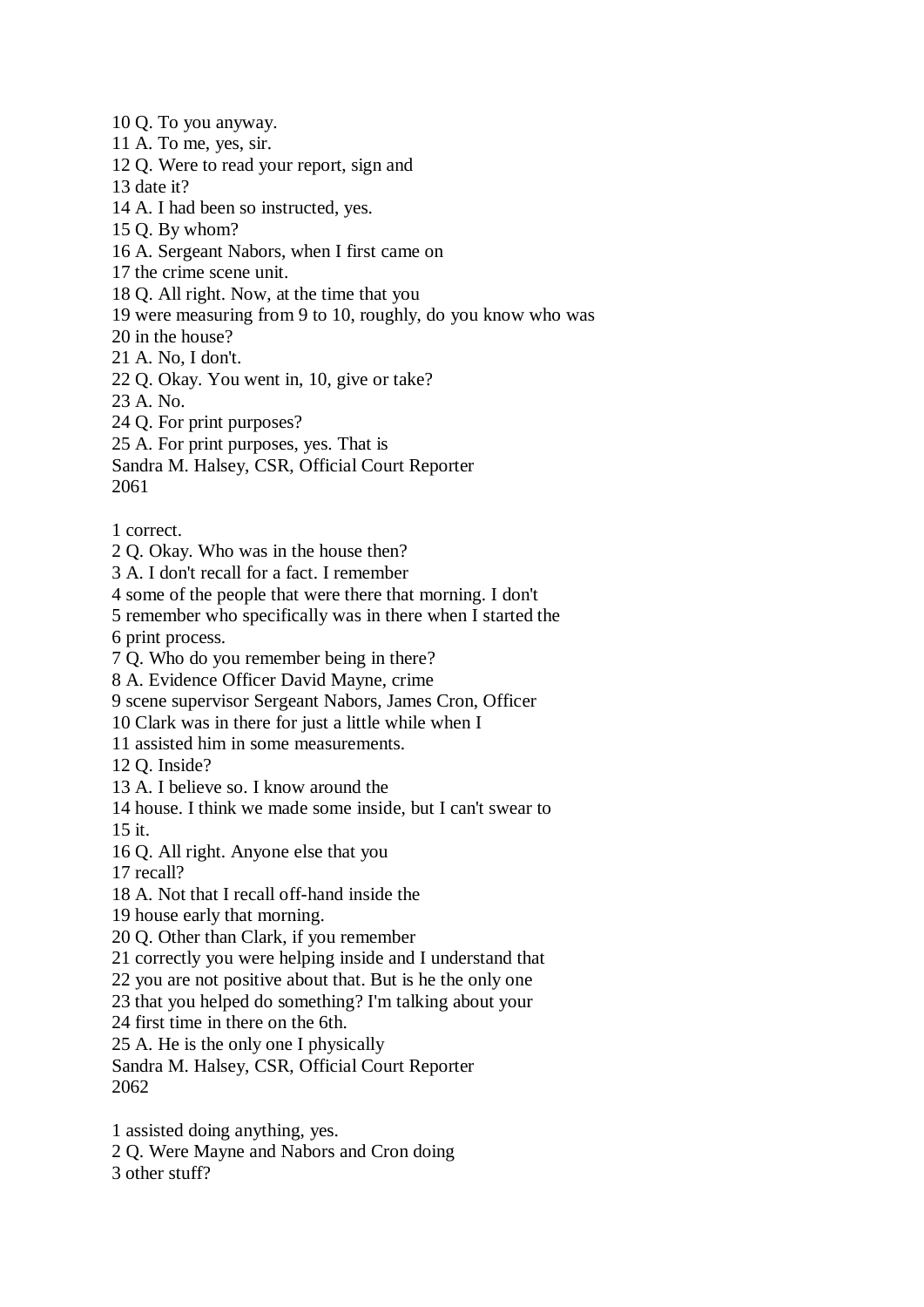10 Q. To you anyway.

11 A. To me, yes, sir.

12 Q. Were to read your report, sign and

13 date it?

14 A. I had been so instructed, yes.

- 15 Q. By whom?
- 16 A. Sergeant Nabors, when I first came on
- 17 the crime scene unit.
- 18 Q. All right. Now, at the time that you
- 19 were measuring from 9 to 10, roughly, do you know who was
- 20 in the house?
- 21 A. No, I don't.
- 22 Q. Okay. You went in, 10, give or take?
- 23 A. No.
- 24 Q. For print purposes?
- 25 A. For print purposes, yes. That is
- Sandra M. Halsey, CSR, Official Court Reporter 2061
- 1 correct.
- 2 Q. Okay. Who was in the house then?
- 3 A. I don't recall for a fact. I remember
- 4 some of the people that were there that morning. I don't
- 5 remember who specifically was in there when I started the
- 6 print process.
- 7 Q. Who do you remember being in there?
- 8 A. Evidence Officer David Mayne, crime
- 9 scene supervisor Sergeant Nabors, James Cron, Officer
- 10 Clark was in there for just a little while when I
- 11 assisted him in some measurements.
- 12 Q. Inside?
- 13 A. I believe so. I know around the
- 14 house. I think we made some inside, but I can't swear to
- 15 it.
- 16 Q. All right. Anyone else that you
- 17 recall?
- 18 A. Not that I recall off-hand inside the
- 19 house early that morning.
- 20 Q. Other than Clark, if you remember
- 21 correctly you were helping inside and I understand that
- 22 you are not positive about that. But is he the only one
- 23 that you helped do something? I'm talking about your
- 24 first time in there on the 6th.
- 25 A. He is the only one I physically
- Sandra M. Halsey, CSR, Official Court Reporter 2062
- 1 assisted doing anything, yes.
- 2 Q. Were Mayne and Nabors and Cron doing
- 3 other stuff?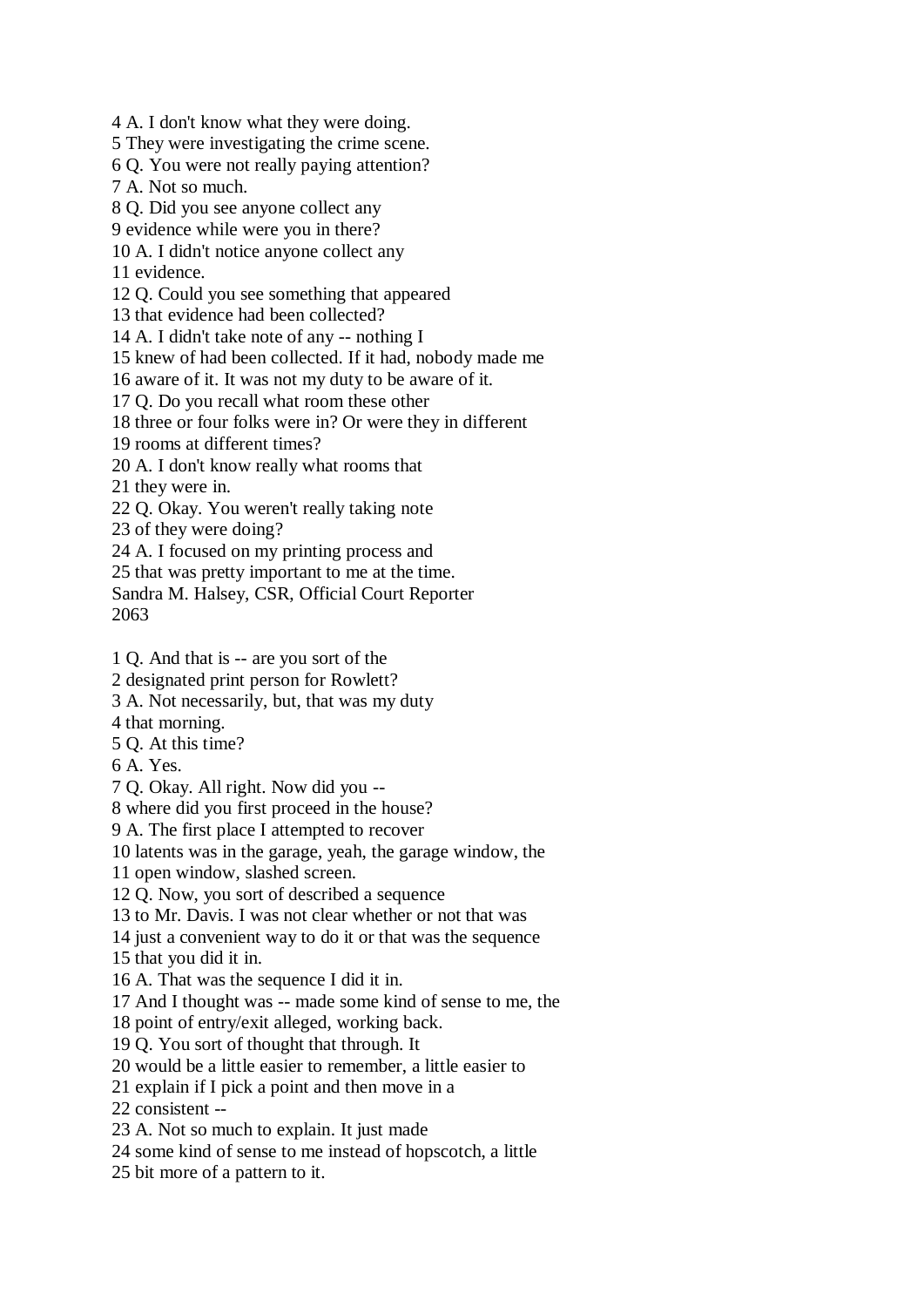4 A. I don't know what they were doing. 5 They were investigating the crime scene. 6 Q. You were not really paying attention? 7 A. Not so much. 8 Q. Did you see anyone collect any 9 evidence while were you in there? 10 A. I didn't notice anyone collect any 11 evidence. 12 Q. Could you see something that appeared 13 that evidence had been collected? 14 A. I didn't take note of any -- nothing I 15 knew of had been collected. If it had, nobody made me 16 aware of it. It was not my duty to be aware of it. 17 Q. Do you recall what room these other 18 three or four folks were in? Or were they in different 19 rooms at different times? 20 A. I don't know really what rooms that 21 they were in. 22 Q. Okay. You weren't really taking note 23 of they were doing? 24 A. I focused on my printing process and 25 that was pretty important to me at the time. Sandra M. Halsey, CSR, Official Court Reporter 1 Q. And that is -- are you sort of the 2 designated print person for Rowlett? 3 A. Not necessarily, but, that was my duty 4 that morning. 5 Q. At this time? 7 Q. Okay. All right. Now did you -- 8 where did you first proceed in the house? 9 A. The first place I attempted to recover 10 latents was in the garage, yeah, the garage window, the 11 open window, slashed screen. 12 Q. Now, you sort of described a sequence 13 to Mr. Davis. I was not clear whether or not that was 14 just a convenient way to do it or that was the sequence

15 that you did it in.

2063

6 A. Yes.

- 16 A. That was the sequence I did it in.
- 17 And I thought was -- made some kind of sense to me, the
- 18 point of entry/exit alleged, working back.
- 19 Q. You sort of thought that through. It
- 20 would be a little easier to remember, a little easier to
- 21 explain if I pick a point and then move in a
- 22 consistent --
- 23 A. Not so much to explain. It just made
- 24 some kind of sense to me instead of hopscotch, a little
- 25 bit more of a pattern to it.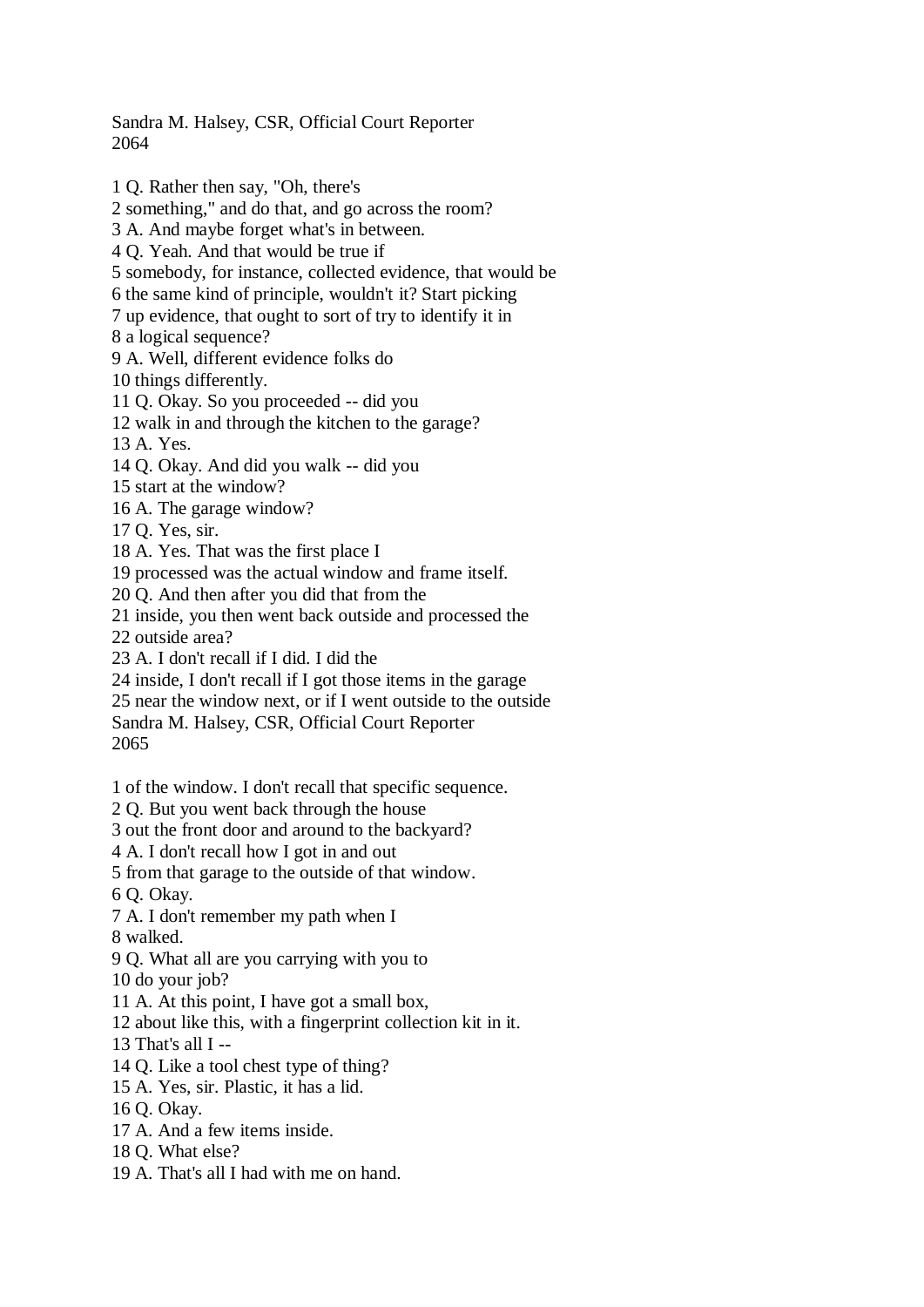Sandra M. Halsey, CSR, Official Court Reporter 2064

1 Q. Rather then say, "Oh, there's

2 something," and do that, and go across the room?

3 A. And maybe forget what's in between.

4 Q. Yeah. And that would be true if

5 somebody, for instance, collected evidence, that would be

6 the same kind of principle, wouldn't it? Start picking

7 up evidence, that ought to sort of try to identify it in

8 a logical sequence?

9 A. Well, different evidence folks do

10 things differently.

11 Q. Okay. So you proceeded -- did you

12 walk in and through the kitchen to the garage?

13 A. Yes.

14 Q. Okay. And did you walk -- did you

15 start at the window?

16 A. The garage window?

17 Q. Yes, sir.

18 A. Yes. That was the first place I

19 processed was the actual window and frame itself.

20 Q. And then after you did that from the

21 inside, you then went back outside and processed the

22 outside area?

23 A. I don't recall if I did. I did the

24 inside, I don't recall if I got those items in the garage

25 near the window next, or if I went outside to the outside

Sandra M. Halsey, CSR, Official Court Reporter

2065

1 of the window. I don't recall that specific sequence.

2 Q. But you went back through the house

3 out the front door and around to the backyard?

4 A. I don't recall how I got in and out

5 from that garage to the outside of that window.

6 Q. Okay.

7 A. I don't remember my path when I 8 walked.

9 Q. What all are you carrying with you to

10 do your job?

11 A. At this point, I have got a small box,

12 about like this, with a fingerprint collection kit in it.

13 That's all I --

14 Q. Like a tool chest type of thing?

15 A. Yes, sir. Plastic, it has a lid.

16 Q. Okay.

17 A. And a few items inside.

18 Q. What else?

19 A. That's all I had with me on hand.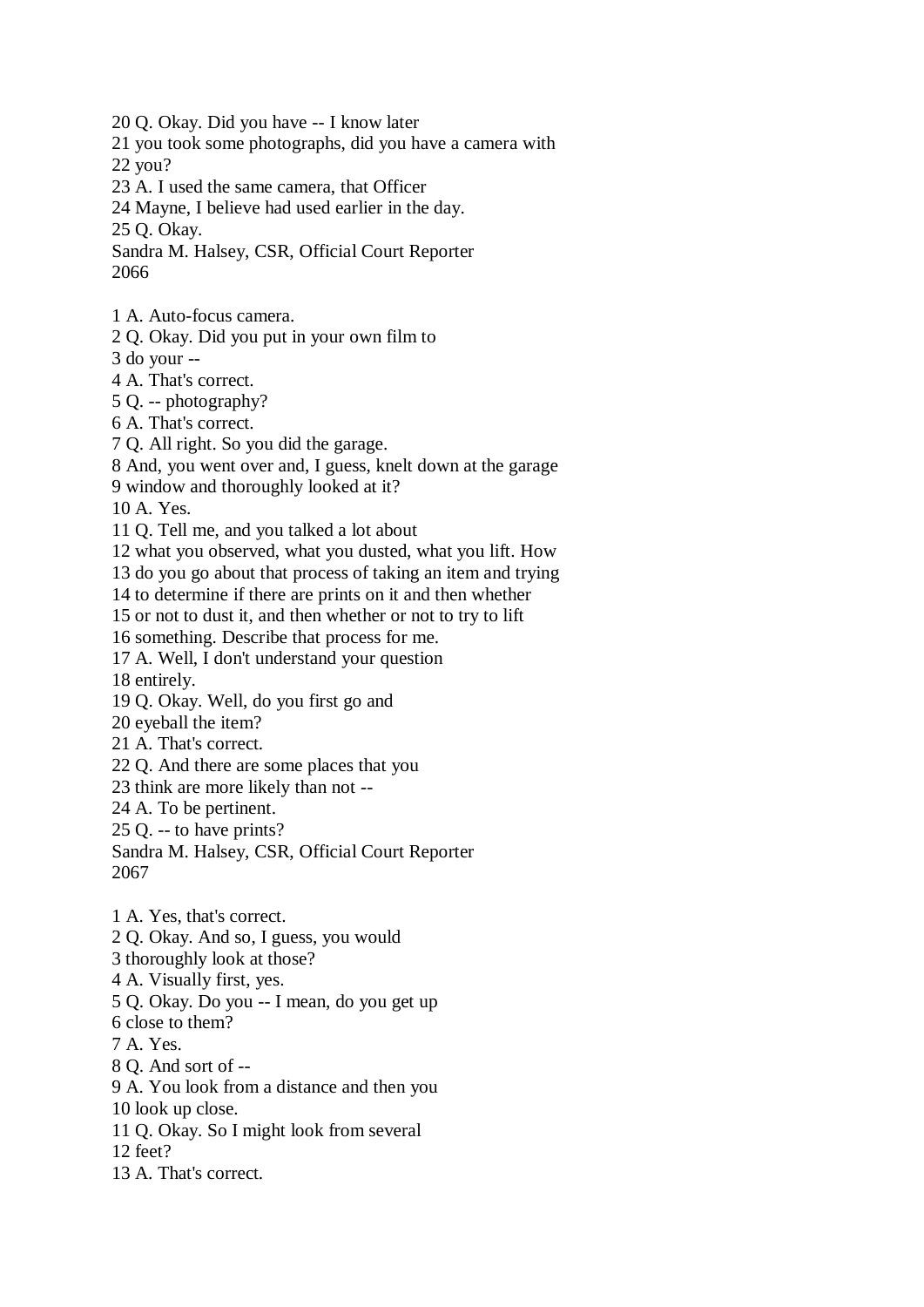20 Q. Okay. Did you have -- I know later

21 you took some photographs, did you have a camera with

22 you?

23 A. I used the same camera, that Officer

24 Mayne, I believe had used earlier in the day.

25 Q. Okay.

Sandra M. Halsey, CSR, Official Court Reporter 2066

1 A. Auto-focus camera.

2 Q. Okay. Did you put in your own film to

3 do your --

4 A. That's correct.

5 Q. -- photography?

6 A. That's correct.

7 Q. All right. So you did the garage.

8 And, you went over and, I guess, knelt down at the garage

9 window and thoroughly looked at it?

10 A. Yes.

11 Q. Tell me, and you talked a lot about

12 what you observed, what you dusted, what you lift. How

13 do you go about that process of taking an item and trying

14 to determine if there are prints on it and then whether

15 or not to dust it, and then whether or not to try to lift

16 something. Describe that process for me.

17 A. Well, I don't understand your question

18 entirely.

19 Q. Okay. Well, do you first go and

20 eyeball the item?

21 A. That's correct.

22 Q. And there are some places that you

23 think are more likely than not --

24 A. To be pertinent.

25 Q. -- to have prints?

Sandra M. Halsey, CSR, Official Court Reporter 2067

1 A. Yes, that's correct. 2 Q. Okay. And so, I guess, you would 3 thoroughly look at those? 4 A. Visually first, yes. 5 Q. Okay. Do you -- I mean, do you get up 6 close to them? 7 A. Yes. 8 Q. And sort of -- 9 A. You look from a distance and then you 10 look up close. 11 Q. Okay. So I might look from several 12 feet?

13 A. That's correct.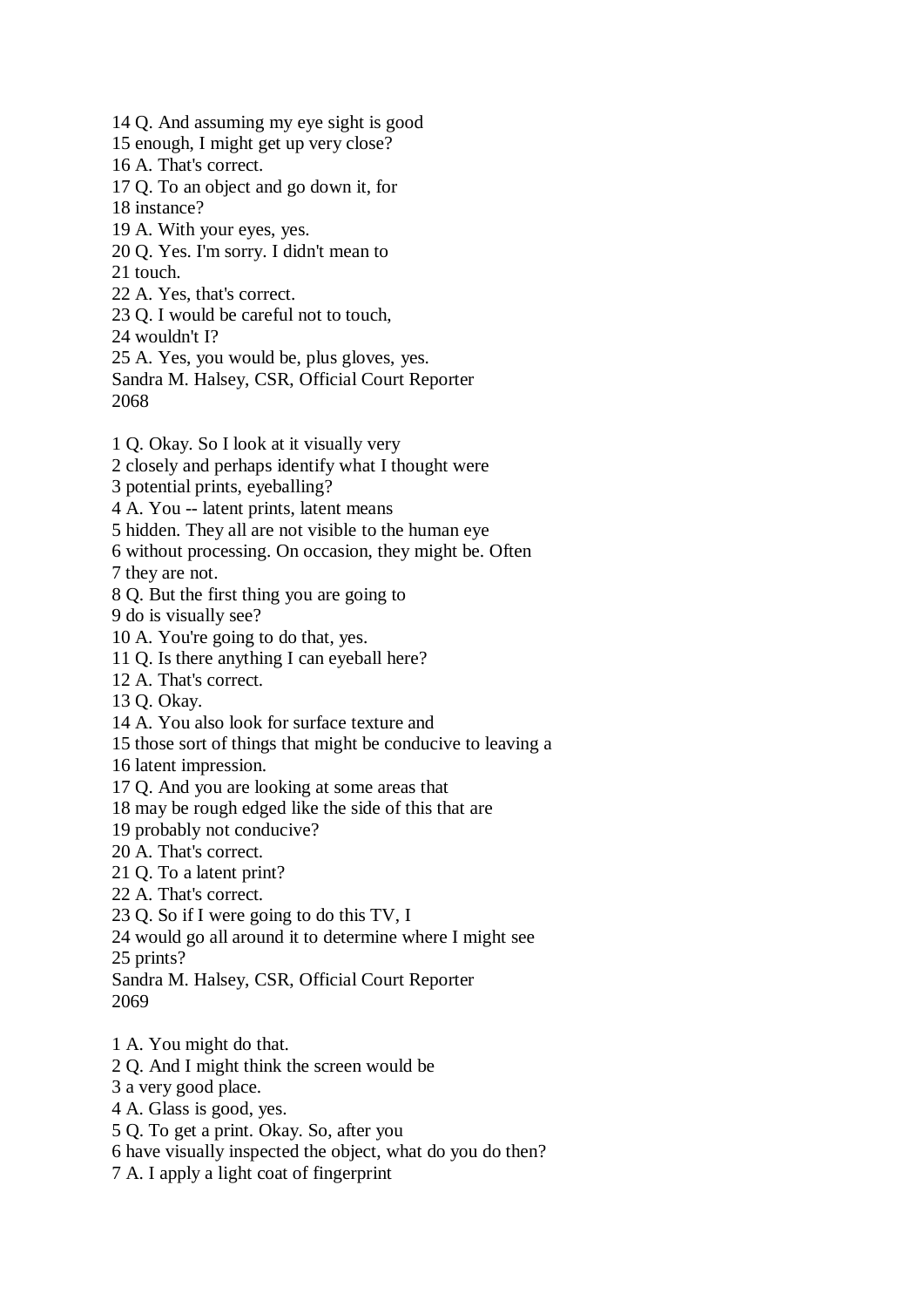14 Q. And assuming my eye sight is good 15 enough, I might get up very close? 16 A. That's correct. 17 Q. To an object and go down it, for 18 instance? 19 A. With your eyes, yes. 20 Q. Yes. I'm sorry. I didn't mean to 21 touch. 22 A. Yes, that's correct. 23 Q. I would be careful not to touch, 24 wouldn't I? 25 A. Yes, you would be, plus gloves, yes. Sandra M. Halsey, CSR, Official Court Reporter 2068 1 Q. Okay. So I look at it visually very 2 closely and perhaps identify what I thought were 3 potential prints, eyeballing? 4 A. You -- latent prints, latent means 5 hidden. They all are not visible to the human eye 6 without processing. On occasion, they might be. Often 7 they are not. 8 Q. But the first thing you are going to 9 do is visually see? 10 A. You're going to do that, yes. 11 Q. Is there anything I can eyeball here? 12 A. That's correct. 13 Q. Okay. 14 A. You also look for surface texture and 15 those sort of things that might be conducive to leaving a 16 latent impression. 17 Q. And you are looking at some areas that 18 may be rough edged like the side of this that are 19 probably not conducive? 20 A. That's correct. 21 Q. To a latent print? 22 A. That's correct. 23 Q. So if I were going to do this TV, I 24 would go all around it to determine where I might see 25 prints? Sandra M. Halsey, CSR, Official Court Reporter 2069 1 A. You might do that. 2 Q. And I might think the screen would be 3 a very good place. 4 A. Glass is good, yes. 5 Q. To get a print. Okay. So, after you

6 have visually inspected the object, what do you do then?

7 A. I apply a light coat of fingerprint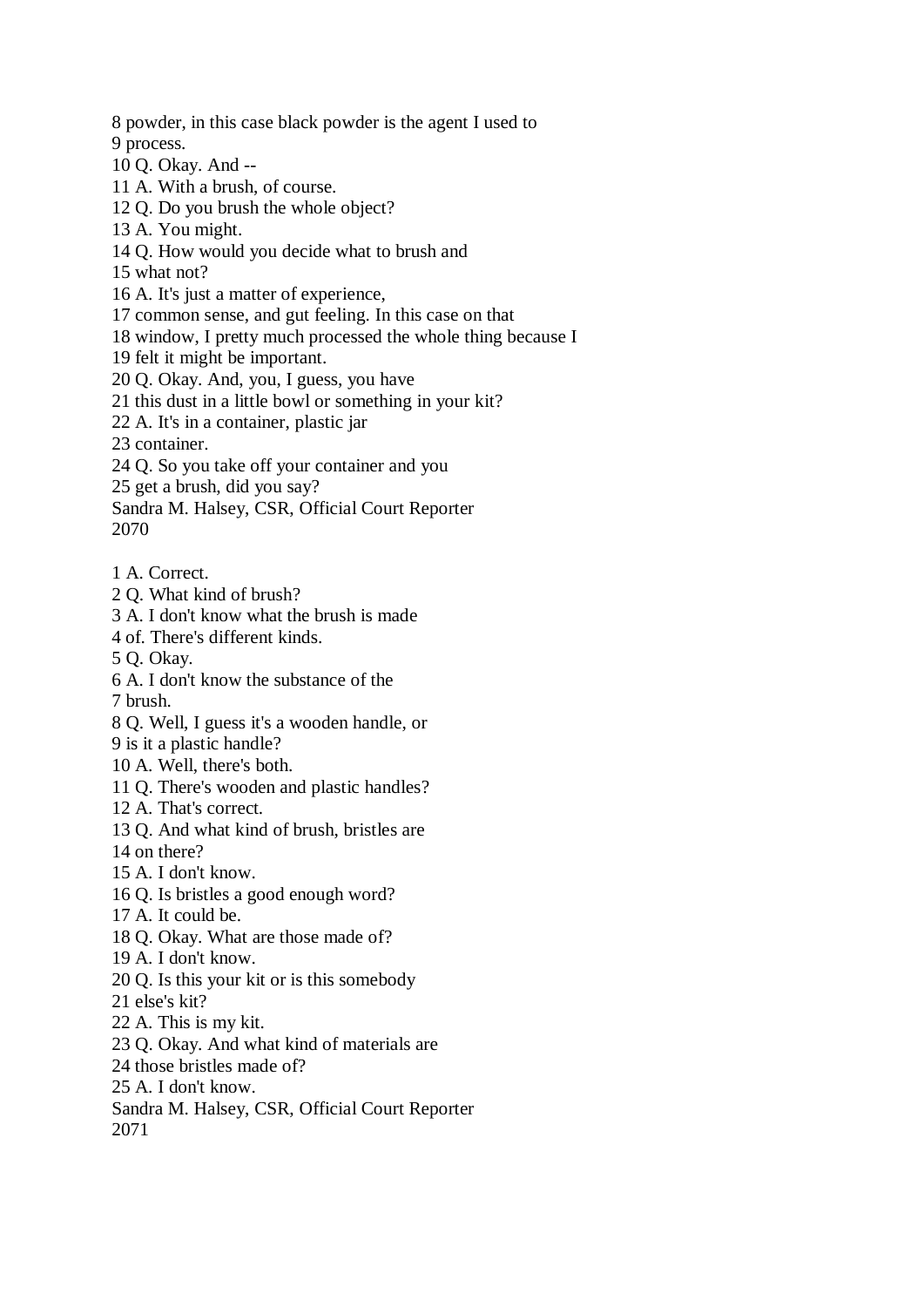8 powder, in this case black powder is the agent I used to 9 process.

10 Q. Okay. And --

11 A. With a brush, of course.

12 Q. Do you brush the whole object?

13 A. You might.

14 Q. How would you decide what to brush and

15 what not?

16 A. It's just a matter of experience,

17 common sense, and gut feeling. In this case on that

18 window, I pretty much processed the whole thing because I

19 felt it might be important.

20 Q. Okay. And, you, I guess, you have

21 this dust in a little bowl or something in your kit?

22 A. It's in a container, plastic jar

23 container.

24 Q. So you take off your container and you

25 get a brush, did you say?

Sandra M. Halsey, CSR, Official Court Reporter 2070

1 A. Correct.

2 Q. What kind of brush?

3 A. I don't know what the brush is made

4 of. There's different kinds.

5 Q. Okay.

6 A. I don't know the substance of the

7 brush.

8 Q. Well, I guess it's a wooden handle, or

9 is it a plastic handle?

10 A. Well, there's both.

11 Q. There's wooden and plastic handles?

12 A. That's correct.

13 Q. And what kind of brush, bristles are

14 on there?

15 A. I don't know.

16 Q. Is bristles a good enough word?

17 A. It could be.

18 Q. Okay. What are those made of?

19 A. I don't know.

20 Q. Is this your kit or is this somebody

21 else's kit?

22 A. This is my kit.

23 Q. Okay. And what kind of materials are

24 those bristles made of?

25 A. I don't know.

Sandra M. Halsey, CSR, Official Court Reporter 2071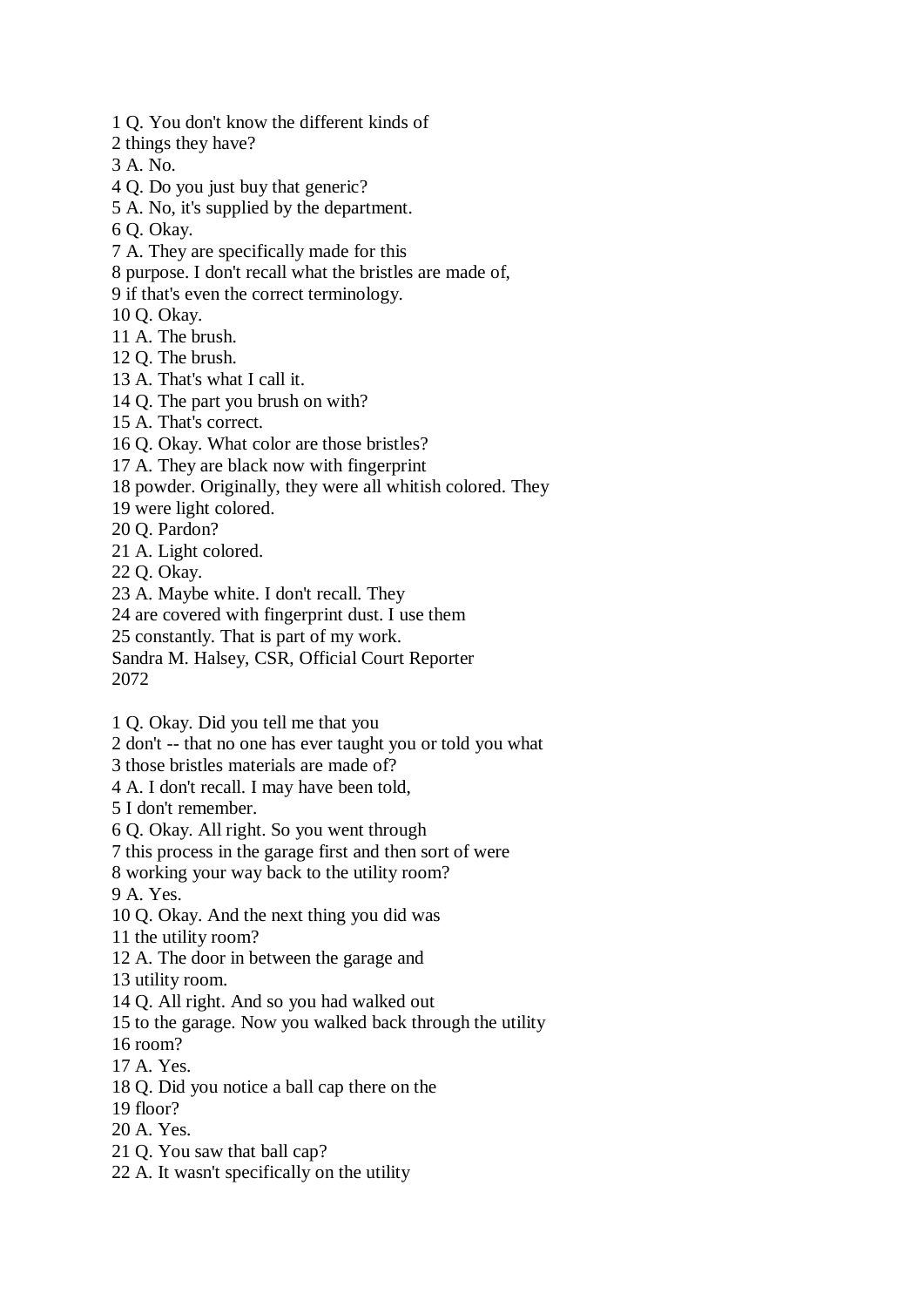- 1 Q. You don't know the different kinds of
- 2 things they have?
- 3 A. No.
- 4 Q. Do you just buy that generic?
- 5 A. No, it's supplied by the department.
- 6 Q. Okay.
- 7 A. They are specifically made for this
- 8 purpose. I don't recall what the bristles are made of,
- 9 if that's even the correct terminology.
- 10 Q. Okay.
- 11 A. The brush.
- 12 Q. The brush.
- 13 A. That's what I call it.
- 14 Q. The part you brush on with?
- 15 A. That's correct.
- 16 Q. Okay. What color are those bristles?
- 17 A. They are black now with fingerprint
- 18 powder. Originally, they were all whitish colored. They
- 19 were light colored.
- 20 Q. Pardon?
- 21 A. Light colored.
- 22 Q. Okay.
- 23 A. Maybe white. I don't recall. They
- 24 are covered with fingerprint dust. I use them
- 25 constantly. That is part of my work.
- Sandra M. Halsey, CSR, Official Court Reporter
- 2072
- 1 Q. Okay. Did you tell me that you
- 2 don't -- that no one has ever taught you or told you what
- 3 those bristles materials are made of?
- 4 A. I don't recall. I may have been told,
- 5 I don't remember.
- 6 Q. Okay. All right. So you went through
- 7 this process in the garage first and then sort of were
- 8 working your way back to the utility room?
- 9 A. Yes.
- 10 Q. Okay. And the next thing you did was
- 11 the utility room?
- 12 A. The door in between the garage and
- 13 utility room.
- 14 Q. All right. And so you had walked out
- 15 to the garage. Now you walked back through the utility
- 16 room?
- 17 A. Yes.
- 18 Q. Did you notice a ball cap there on the
- 19 floor?
- 20 A. Yes.
- 21 Q. You saw that ball cap?
- 22 A. It wasn't specifically on the utility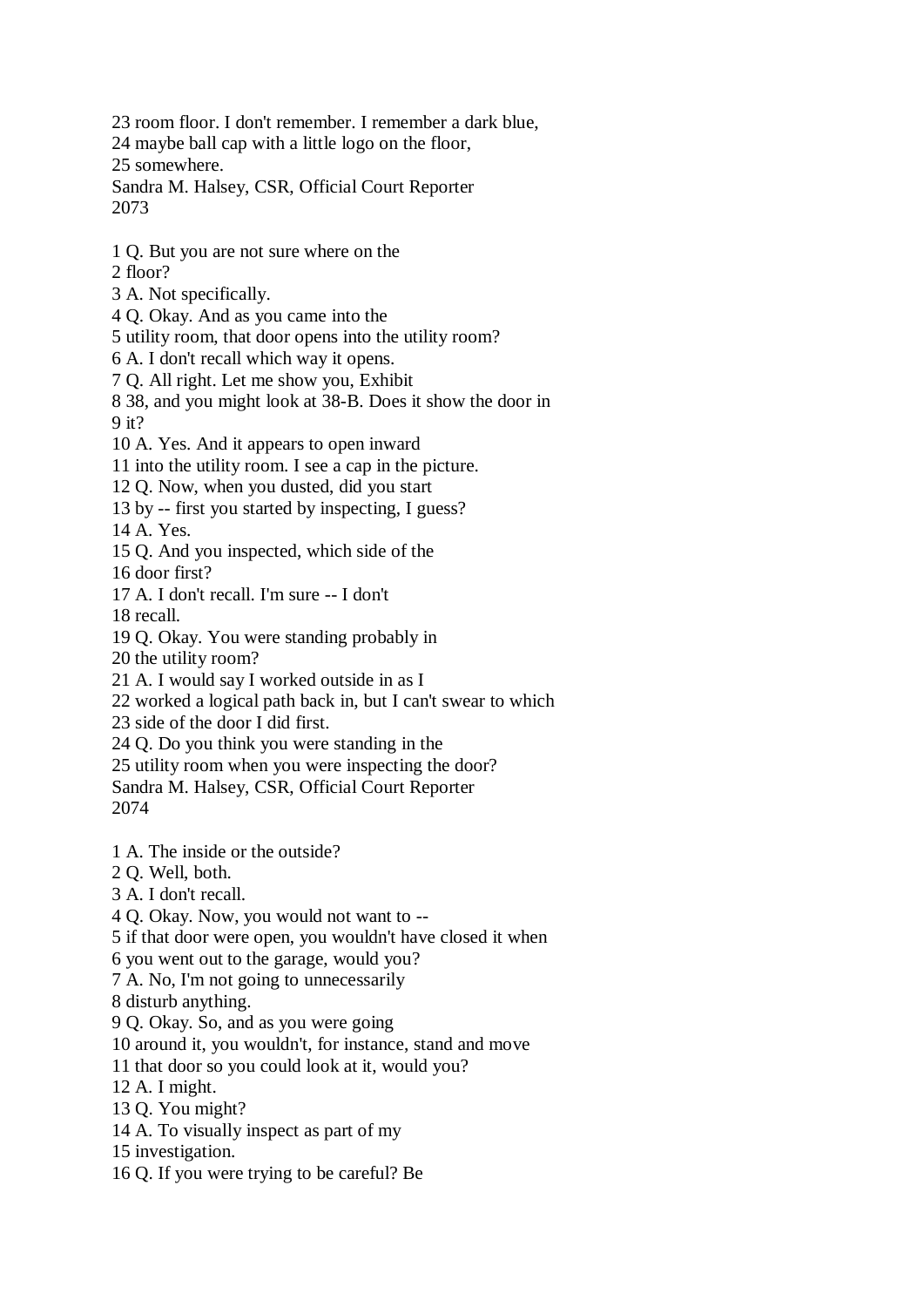23 room floor. I don't remember. I remember a dark blue,

24 maybe ball cap with a little logo on the floor,

25 somewhere.

Sandra M. Halsey, CSR, Official Court Reporter 2073

- 1 Q. But you are not sure where on the
- 2 floor?
- 3 A. Not specifically.
- 4 Q. Okay. And as you came into the
- 5 utility room, that door opens into the utility room?
- 6 A. I don't recall which way it opens.
- 7 Q. All right. Let me show you, Exhibit

8 38, and you might look at 38-B. Does it show the door in 9 it?

- 10 A. Yes. And it appears to open inward
- 11 into the utility room. I see a cap in the picture.
- 12 Q. Now, when you dusted, did you start
- 13 by -- first you started by inspecting, I guess?
- 14 A. Yes.
- 15 Q. And you inspected, which side of the

16 door first?

17 A. I don't recall. I'm sure -- I don't

18 recall.

- 19 Q. Okay. You were standing probably in
- 20 the utility room?
- 21 A. I would say I worked outside in as I
- 22 worked a logical path back in, but I can't swear to which
- 23 side of the door I did first.
- 24 Q. Do you think you were standing in the
- 25 utility room when you were inspecting the door?
- Sandra M. Halsey, CSR, Official Court Reporter 2074
- 1 A. The inside or the outside?
- 2 Q. Well, both.
- 3 A. I don't recall.
- 4 Q. Okay. Now, you would not want to --
- 5 if that door were open, you wouldn't have closed it when
- 6 you went out to the garage, would you?
- 7 A. No, I'm not going to unnecessarily
- 8 disturb anything.
- 9 Q. Okay. So, and as you were going
- 10 around it, you wouldn't, for instance, stand and move
- 11 that door so you could look at it, would you?
- 12 A. I might.
- 13 Q. You might?
- 14 A. To visually inspect as part of my
- 15 investigation.
- 16 Q. If you were trying to be careful? Be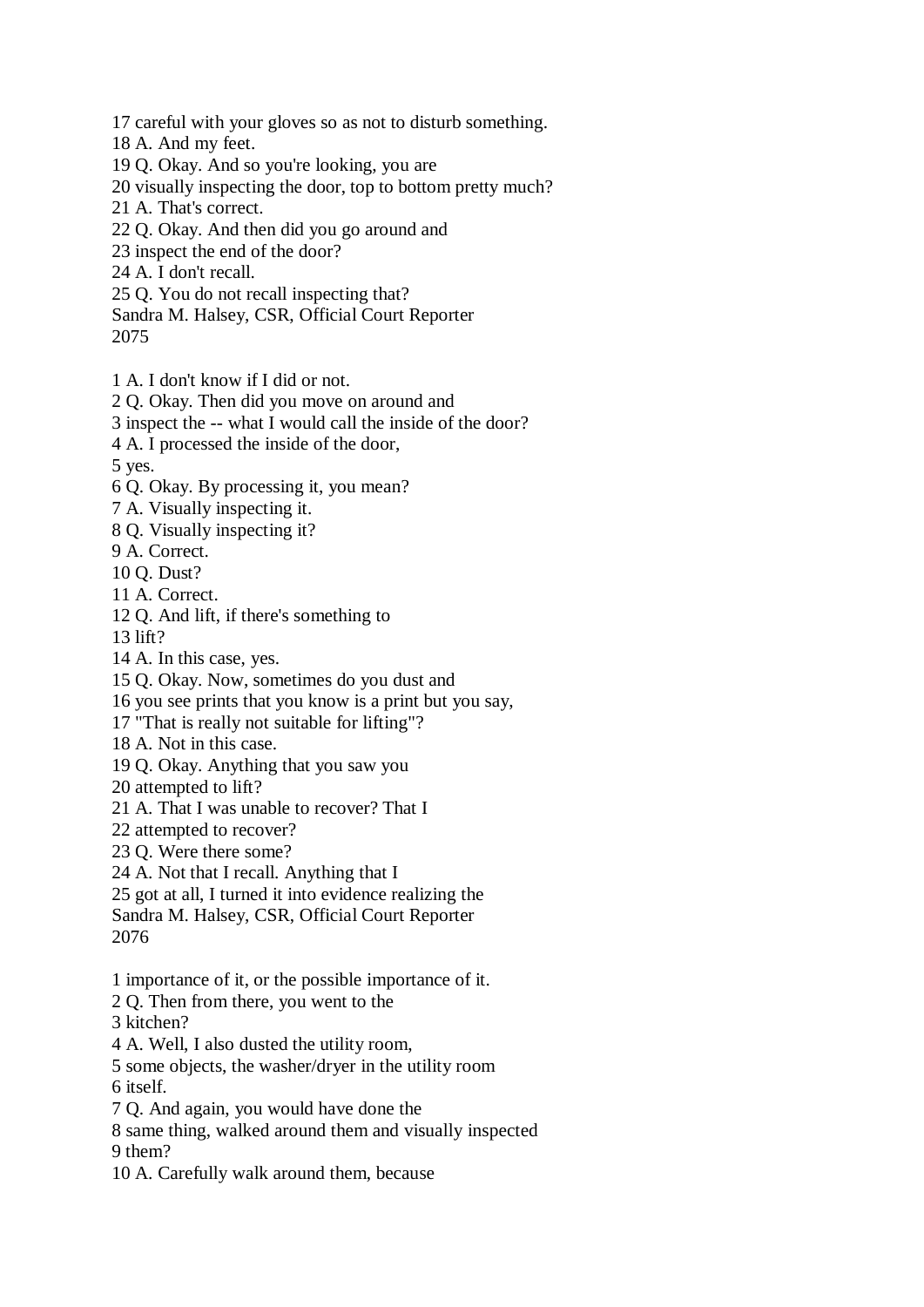17 careful with your gloves so as not to disturb something.

18 A. And my feet.

19 Q. Okay. And so you're looking, you are

20 visually inspecting the door, top to bottom pretty much?

21 A. That's correct.

22 Q. Okay. And then did you go around and

23 inspect the end of the door?

24 A. I don't recall.

25 Q. You do not recall inspecting that?

Sandra M. Halsey, CSR, Official Court Reporter

2075

1 A. I don't know if I did or not.

2 Q. Okay. Then did you move on around and

3 inspect the -- what I would call the inside of the door?

4 A. I processed the inside of the door,

5 yes.

6 Q. Okay. By processing it, you mean?

7 A. Visually inspecting it.

8 Q. Visually inspecting it?

9 A. Correct.

10 Q. Dust?

11 A. Correct.

12 Q. And lift, if there's something to

13 lift?

14 A. In this case, yes.

15 Q. Okay. Now, sometimes do you dust and

16 you see prints that you know is a print but you say,

17 "That is really not suitable for lifting"?

18 A. Not in this case.

19 Q. Okay. Anything that you saw you

20 attempted to lift?

21 A. That I was unable to recover? That I

22 attempted to recover?

23 Q. Were there some?

24 A. Not that I recall. Anything that I

25 got at all, I turned it into evidence realizing the Sandra M. Halsey, CSR, Official Court Reporter

2076

1 importance of it, or the possible importance of it.

2 Q. Then from there, you went to the

3 kitchen?

4 A. Well, I also dusted the utility room,

5 some objects, the washer/dryer in the utility room 6 itself.

7 Q. And again, you would have done the

8 same thing, walked around them and visually inspected 9 them?

10 A. Carefully walk around them, because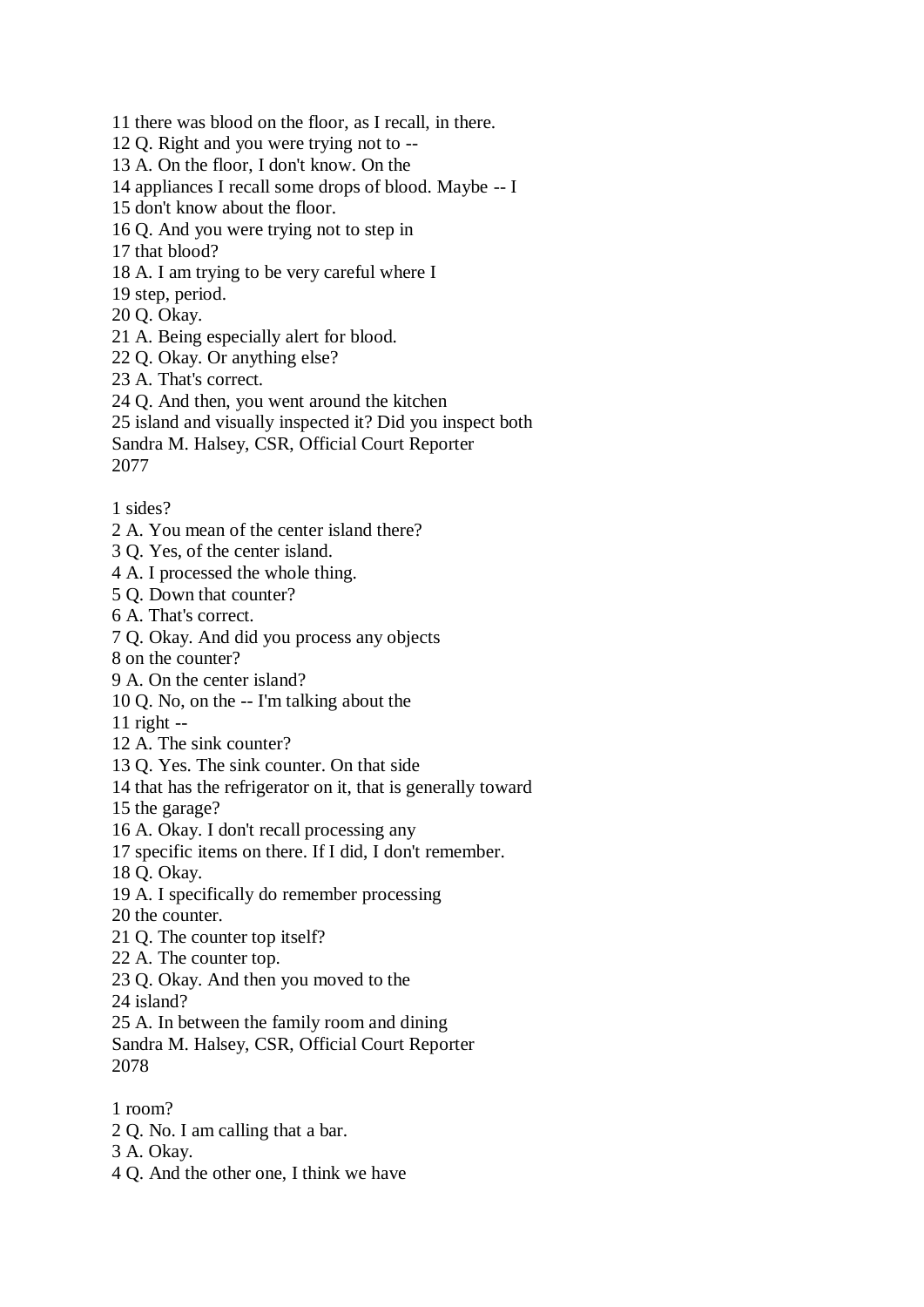11 there was blood on the floor, as I recall, in there. 12 Q. Right and you were trying not to -- 13 A. On the floor, I don't know. On the 14 appliances I recall some drops of blood. Maybe -- I 15 don't know about the floor. 16 Q. And you were trying not to step in 17 that blood? 18 A. I am trying to be very careful where I 19 step, period. 20 Q. Okay. 21 A. Being especially alert for blood. 22 Q. Okay. Or anything else? 23 A. That's correct. 24 Q. And then, you went around the kitchen 25 island and visually inspected it? Did you inspect both Sandra M. Halsey, CSR, Official Court Reporter 2077

1 sides?

- 2 A. You mean of the center island there?
- 3 Q. Yes, of the center island.
- 4 A. I processed the whole thing.
- 5 Q. Down that counter?
- 6 A. That's correct.
- 7 Q. Okay. And did you process any objects
- 8 on the counter?
- 9 A. On the center island?
- 10 Q. No, on the -- I'm talking about the

11 right --

- 12 A. The sink counter?
- 13 Q. Yes. The sink counter. On that side
- 14 that has the refrigerator on it, that is generally toward
- 15 the garage?
- 16 A. Okay. I don't recall processing any
- 17 specific items on there. If I did, I don't remember.
- 18 Q. Okay.
- 19 A. I specifically do remember processing
- 20 the counter.
- 21 Q. The counter top itself?
- 22 A. The counter top.
- 23 Q. Okay. And then you moved to the
- 24 island?
- 25 A. In between the family room and dining
- Sandra M. Halsey, CSR, Official Court Reporter 2078
- 1 room?
- 2 Q. No. I am calling that a bar.
- 3 A. Okay.
- 4 Q. And the other one, I think we have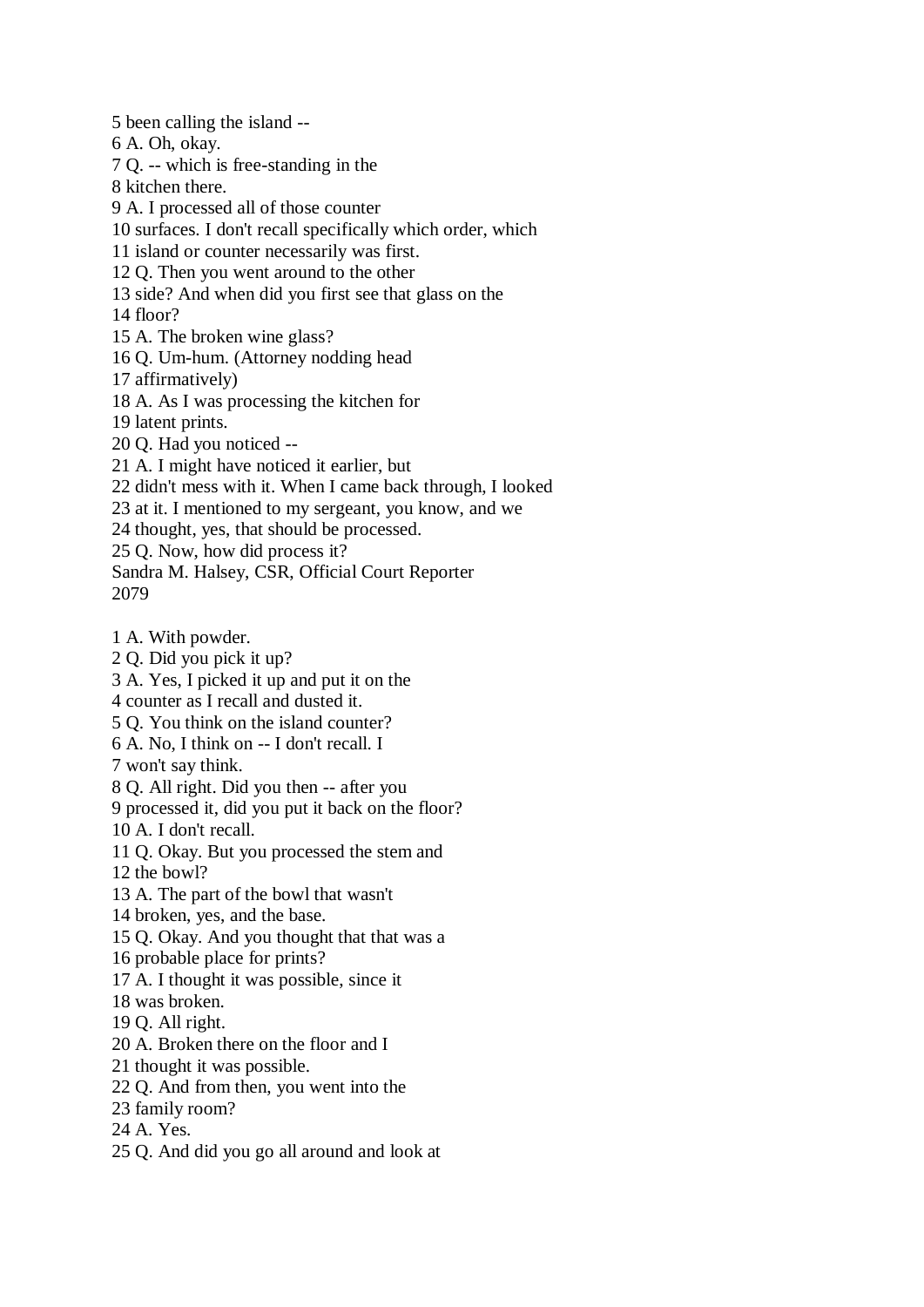5 been calling the island --

6 A. Oh, okay.

7 Q. -- which is free-standing in the

8 kitchen there.

9 A. I processed all of those counter

10 surfaces. I don't recall specifically which order, which

11 island or counter necessarily was first.

12 Q. Then you went around to the other

13 side? And when did you first see that glass on the

14 floor?

15 A. The broken wine glass?

16 Q. Um-hum. (Attorney nodding head

17 affirmatively)

18 A. As I was processing the kitchen for

19 latent prints.

20 Q. Had you noticed --

21 A. I might have noticed it earlier, but

22 didn't mess with it. When I came back through, I looked

23 at it. I mentioned to my sergeant, you know, and we

24 thought, yes, that should be processed.

25 Q. Now, how did process it?

Sandra M. Halsey, CSR, Official Court Reporter 2079

1 A. With powder.

2 Q. Did you pick it up?

3 A. Yes, I picked it up and put it on the

4 counter as I recall and dusted it.

5 Q. You think on the island counter?

6 A. No, I think on -- I don't recall. I

7 won't say think.

8 Q. All right. Did you then -- after you

9 processed it, did you put it back on the floor?

10 A. I don't recall.

11 Q. Okay. But you processed the stem and

12 the bowl?

13 A. The part of the bowl that wasn't

14 broken, yes, and the base.

15 Q. Okay. And you thought that that was a

16 probable place for prints?

17 A. I thought it was possible, since it

18 was broken.

19 Q. All right.

20 A. Broken there on the floor and I

21 thought it was possible.

22 Q. And from then, you went into the

23 family room?

24 A. Yes.

25 Q. And did you go all around and look at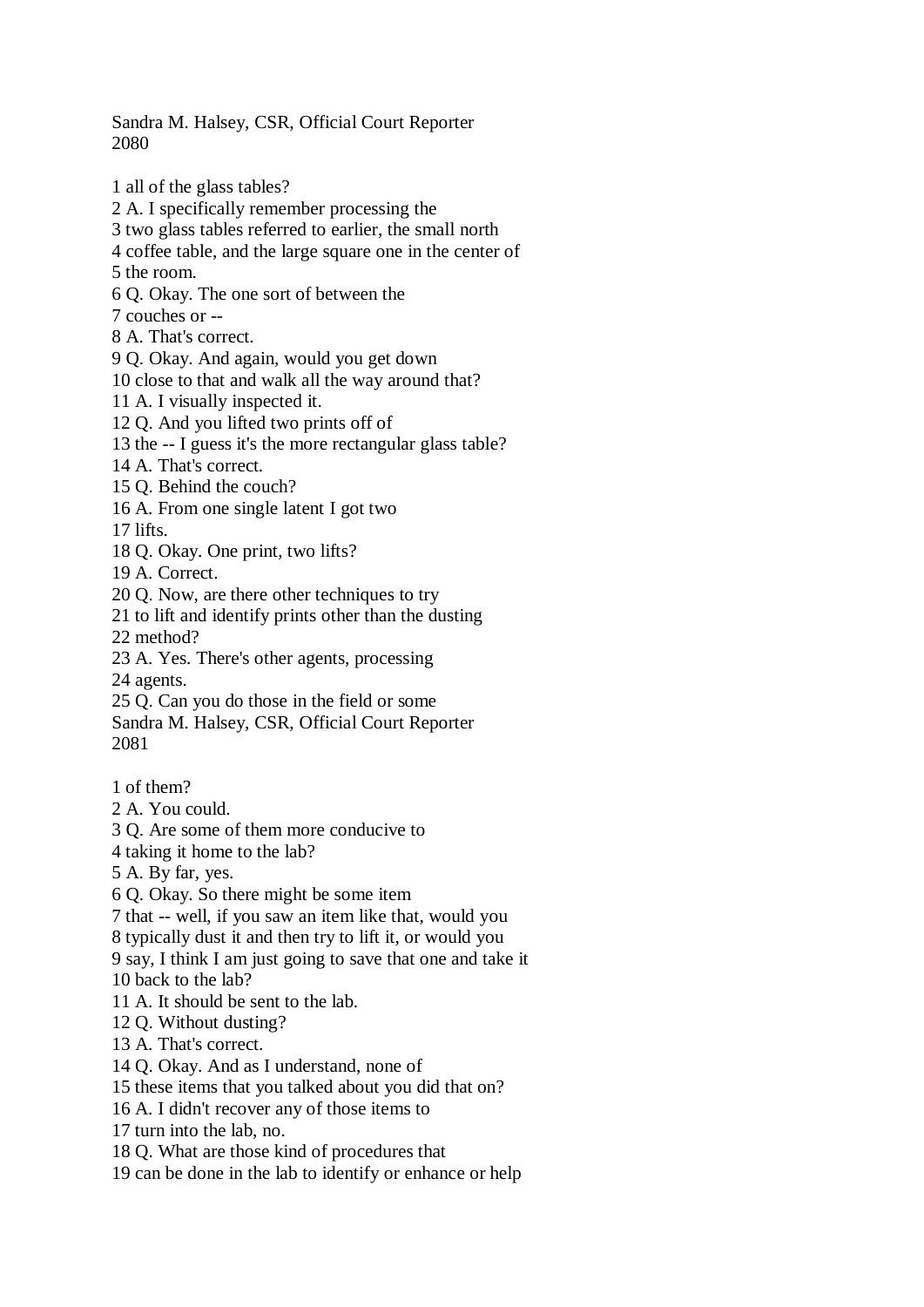Sandra M. Halsey, CSR, Official Court Reporter 2080

1 all of the glass tables? 2 A. I specifically remember processing the 3 two glass tables referred to earlier, the small north 4 coffee table, and the large square one in the center of 5 the room. 6 Q. Okay. The one sort of between the 7 couches or -- 8 A. That's correct. 9 Q. Okay. And again, would you get down 10 close to that and walk all the way around that? 11 A. I visually inspected it. 12 Q. And you lifted two prints off of 13 the -- I guess it's the more rectangular glass table? 14 A. That's correct. 15 Q. Behind the couch? 16 A. From one single latent I got two 17 lifts. 18 Q. Okay. One print, two lifts? 19 A. Correct. 20 Q. Now, are there other techniques to try 21 to lift and identify prints other than the dusting 22 method? 23 A. Yes. There's other agents, processing 24 agents. 25 Q. Can you do those in the field or some Sandra M. Halsey, CSR, Official Court Reporter 2081 1 of them? 2 A. You could. 3 Q. Are some of them more conducive to 4 taking it home to the lab? 5 A. By far, yes. 6 Q. Okay. So there might be some item 7 that -- well, if you saw an item like that, would you 8 typically dust it and then try to lift it, or would you 9 say, I think I am just going to save that one and take it 10 back to the lab? 11 A. It should be sent to the lab. 12 Q. Without dusting? 13 A. That's correct. 14 Q. Okay. And as I understand, none of 15 these items that you talked about you did that on? 16 A. I didn't recover any of those items to 17 turn into the lab, no.

18 Q. What are those kind of procedures that

19 can be done in the lab to identify or enhance or help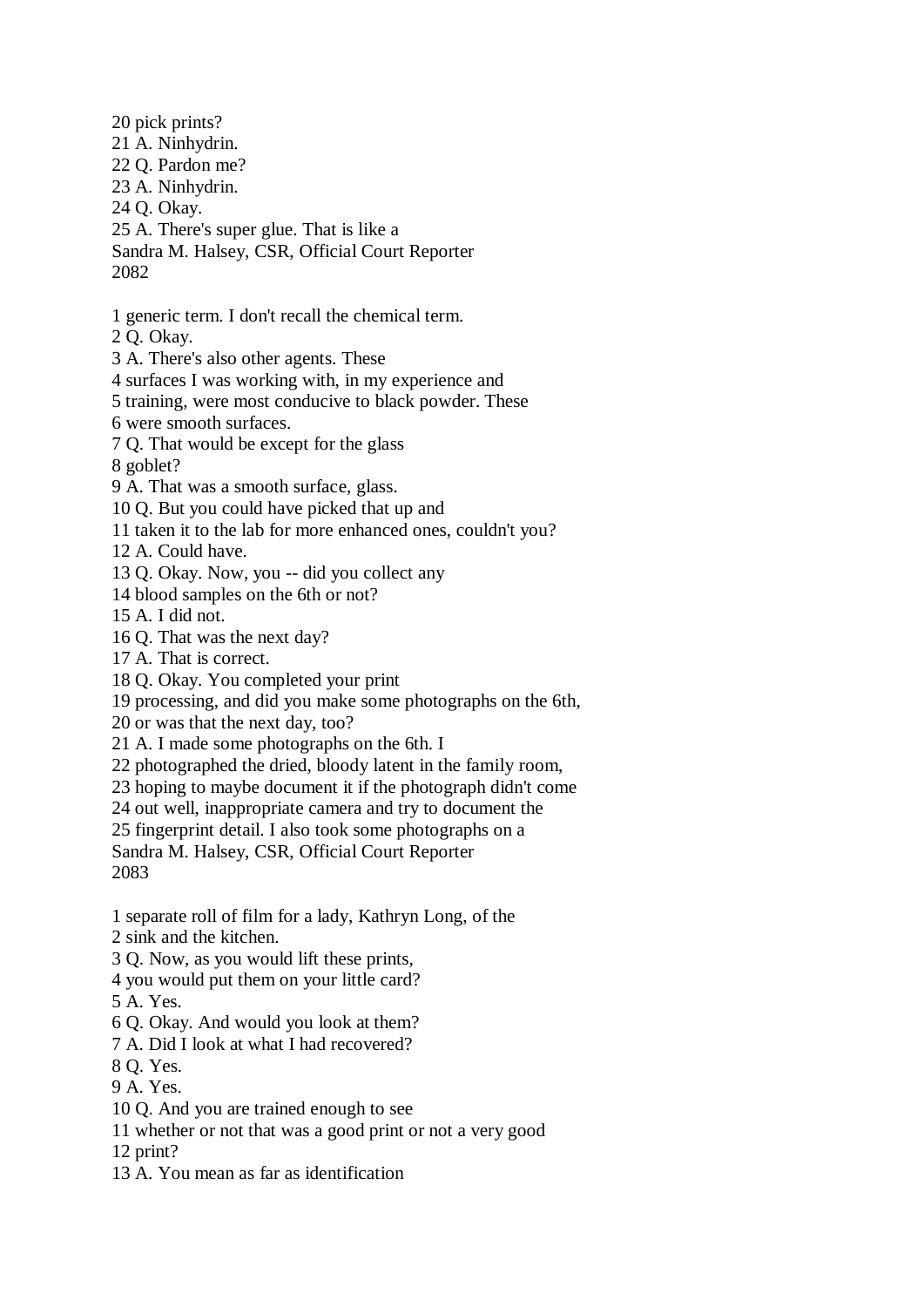20 pick prints? 21 A. Ninhydrin. 22 Q. Pardon me? 23 A. Ninhydrin. 24 Q. Okay. 25 A. There's super glue. That is like a Sandra M. Halsey, CSR, Official Court Reporter 2082 1 generic term. I don't recall the chemical term. 2 Q. Okay. 3 A. There's also other agents. These 4 surfaces I was working with, in my experience and 5 training, were most conducive to black powder. These 6 were smooth surfaces. 7 Q. That would be except for the glass 8 goblet? 9 A. That was a smooth surface, glass. 10 Q. But you could have picked that up and 11 taken it to the lab for more enhanced ones, couldn't you? 12 A. Could have. 13 Q. Okay. Now, you -- did you collect any 14 blood samples on the 6th or not? 15 A. I did not. 16 Q. That was the next day? 17 A. That is correct. 18 Q. Okay. You completed your print 19 processing, and did you make some photographs on the 6th, 20 or was that the next day, too? 21 A. I made some photographs on the 6th. I 22 photographed the dried, bloody latent in the family room, 23 hoping to maybe document it if the photograph didn't come 24 out well, inappropriate camera and try to document the 25 fingerprint detail. I also took some photographs on a Sandra M. Halsey, CSR, Official Court Reporter 2083 1 separate roll of film for a lady, Kathryn Long, of the 2 sink and the kitchen. 3 Q. Now, as you would lift these prints, 4 you would put them on your little card? 5 A. Yes. 6 Q. Okay. And would you look at them? 7 A. Did I look at what I had recovered? 8 Q. Yes.

9 A. Yes.

10 Q. And you are trained enough to see

11 whether or not that was a good print or not a very good

12 print?

13 A. You mean as far as identification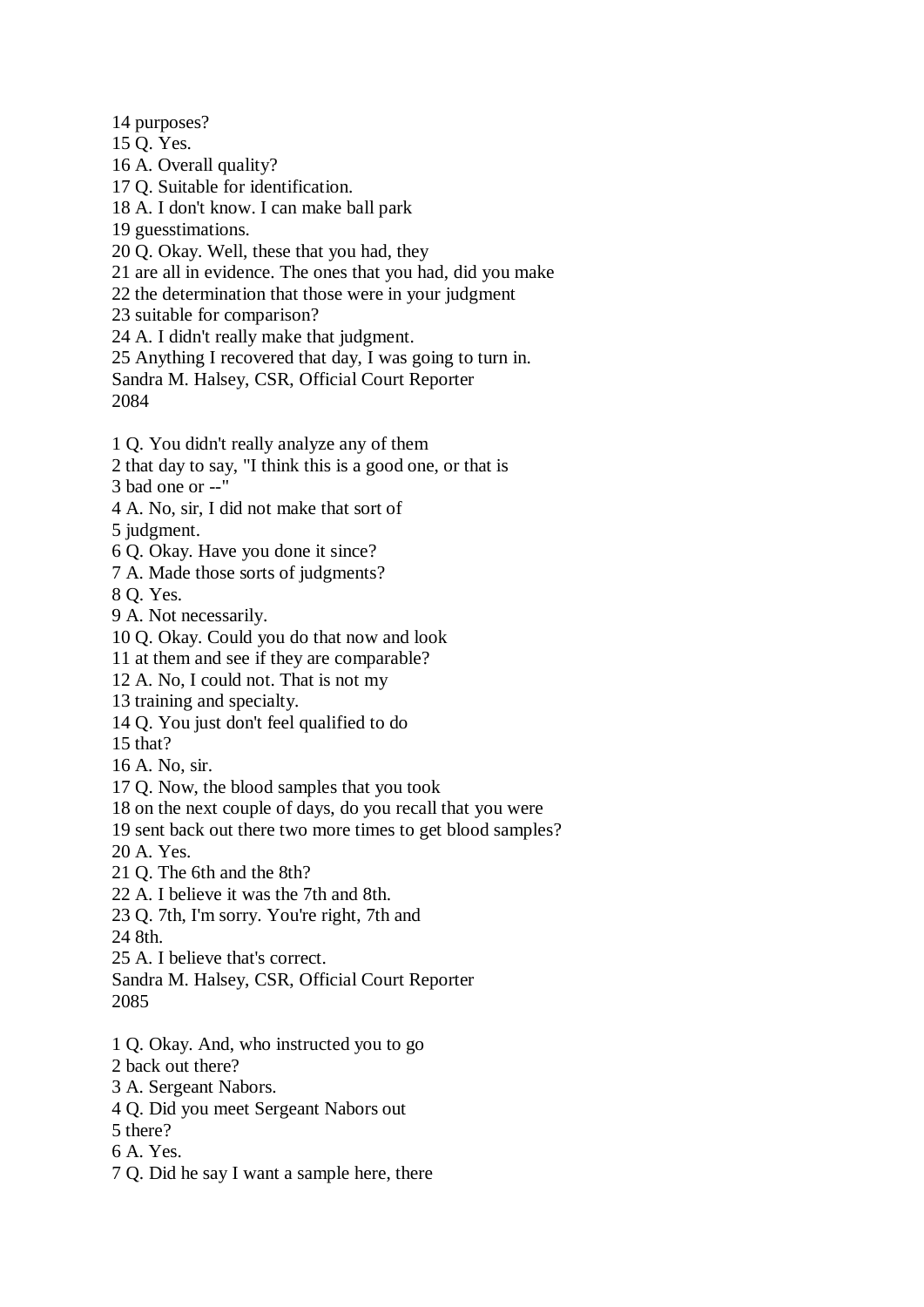14 purposes?

- 15 Q. Yes.
- 16 A. Overall quality?
- 17 Q. Suitable for identification.
- 18 A. I don't know. I can make ball park
- 19 guesstimations.
- 20 Q. Okay. Well, these that you had, they
- 21 are all in evidence. The ones that you had, did you make
- 22 the determination that those were in your judgment
- 23 suitable for comparison?
- 24 A. I didn't really make that judgment.
- 25 Anything I recovered that day, I was going to turn in.
- Sandra M. Halsey, CSR, Official Court Reporter 2084
- 1 Q. You didn't really analyze any of them
- 2 that day to say, "I think this is a good one, or that is
- 3 bad one or --"
- 4 A. No, sir, I did not make that sort of
- 5 judgment.
- 6 Q. Okay. Have you done it since?
- 7 A. Made those sorts of judgments?
- 8 Q. Yes.
- 9 A. Not necessarily.
- 10 Q. Okay. Could you do that now and look
- 11 at them and see if they are comparable?
- 12 A. No, I could not. That is not my
- 13 training and specialty.
- 14 Q. You just don't feel qualified to do
- 15 that?
- 16 A. No, sir.
- 17 Q. Now, the blood samples that you took
- 18 on the next couple of days, do you recall that you were
- 19 sent back out there two more times to get blood samples?
- 20 A. Yes.
- 21 Q. The 6th and the 8th?
- 22 A. I believe it was the 7th and 8th.
- 23 Q. 7th, I'm sorry. You're right, 7th and
- 24 8th.
- 25 A. I believe that's correct.
- Sandra M. Halsey, CSR, Official Court Reporter
- 2085
- 1 Q. Okay. And, who instructed you to go
- 2 back out there?
- 3 A. Sergeant Nabors.
- 4 Q. Did you meet Sergeant Nabors out
- 5 there?
- 6 A. Yes.
- 7 Q. Did he say I want a sample here, there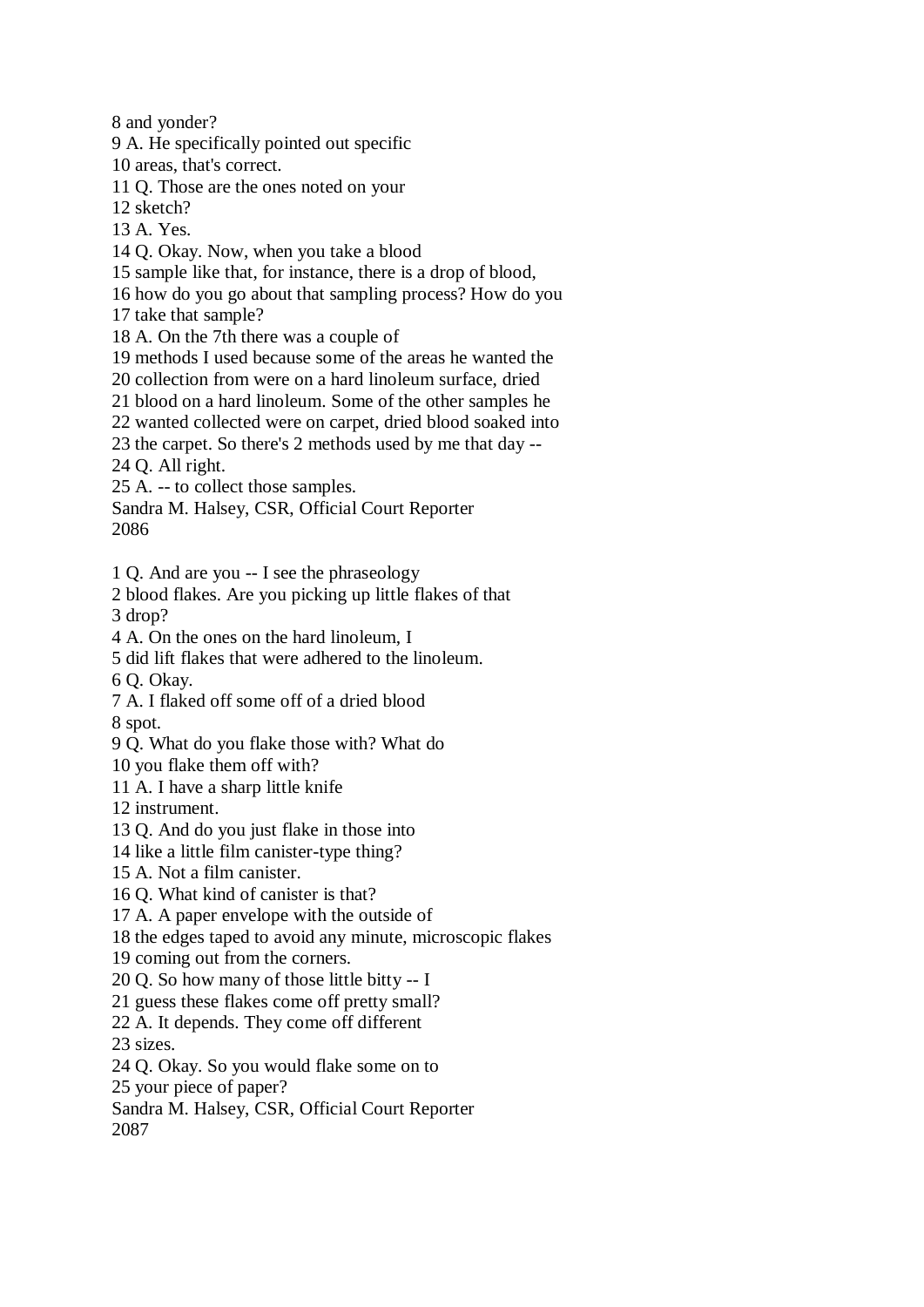8 and yonder?

9 A. He specifically pointed out specific

10 areas, that's correct.

11 Q. Those are the ones noted on your

12 sketch?

13 A. Yes.

14 Q. Okay. Now, when you take a blood

15 sample like that, for instance, there is a drop of blood,

16 how do you go about that sampling process? How do you

17 take that sample?

18 A. On the 7th there was a couple of

19 methods I used because some of the areas he wanted the

20 collection from were on a hard linoleum surface, dried

21 blood on a hard linoleum. Some of the other samples he

22 wanted collected were on carpet, dried blood soaked into

23 the carpet. So there's 2 methods used by me that day --

24 Q. All right.

25 A. -- to collect those samples.

Sandra M. Halsey, CSR, Official Court Reporter

2086

1 Q. And are you -- I see the phraseology

2 blood flakes. Are you picking up little flakes of that 3 drop?

4 A. On the ones on the hard linoleum, I

5 did lift flakes that were adhered to the linoleum.

6 Q. Okay.

7 A. I flaked off some off of a dried blood

8 spot.

9 Q. What do you flake those with? What do

10 you flake them off with?

11 A. I have a sharp little knife

12 instrument.

13 Q. And do you just flake in those into

14 like a little film canister-type thing?

15 A. Not a film canister.

16 Q. What kind of canister is that?

17 A. A paper envelope with the outside of

18 the edges taped to avoid any minute, microscopic flakes

19 coming out from the corners.

20 Q. So how many of those little bitty -- I

21 guess these flakes come off pretty small?

22 A. It depends. They come off different

23 sizes.

24 Q. Okay. So you would flake some on to

25 your piece of paper?

Sandra M. Halsey, CSR, Official Court Reporter

2087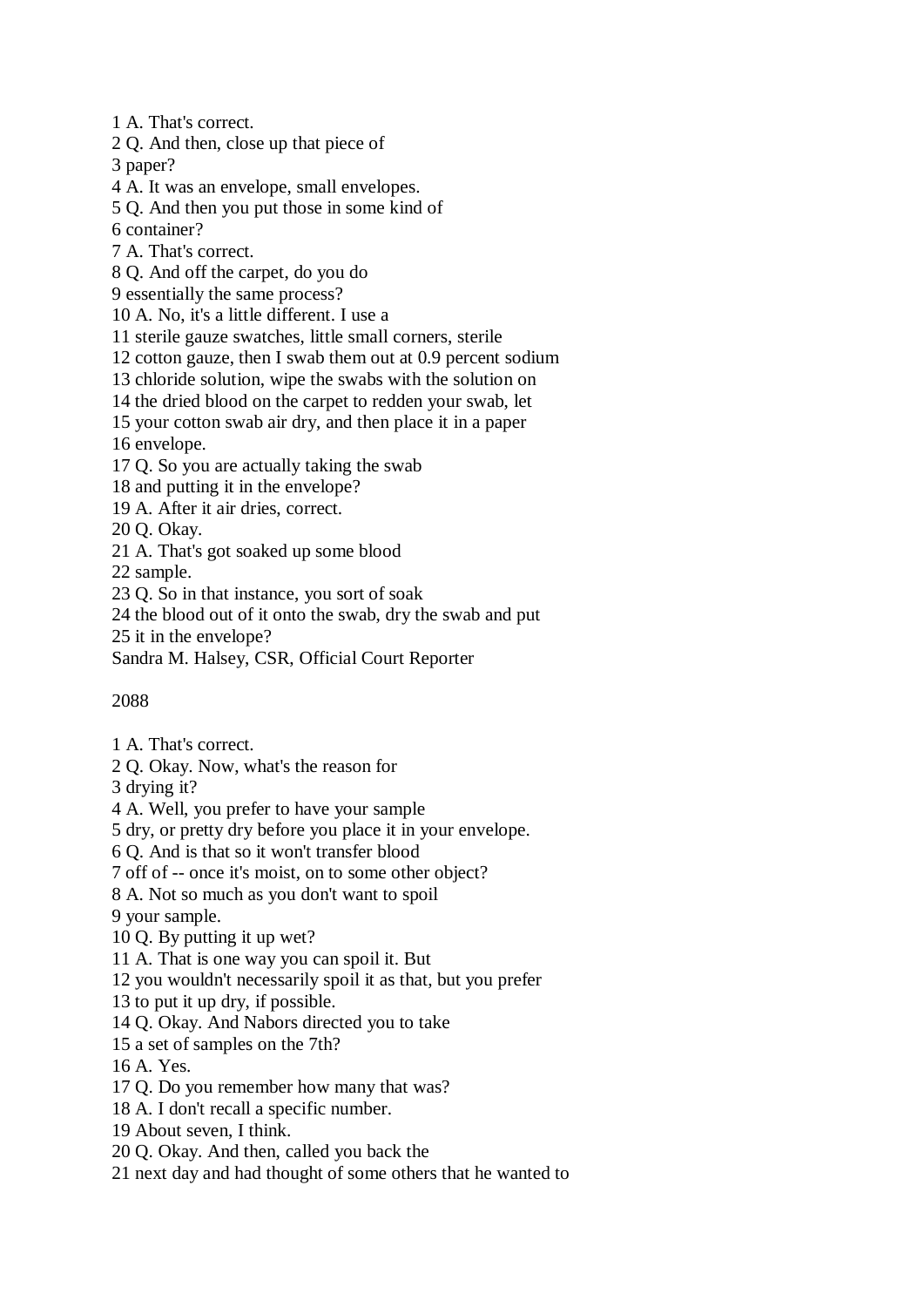1 A. That's correct.

2 Q. And then, close up that piece of

3 paper?

4 A. It was an envelope, small envelopes.

5 Q. And then you put those in some kind of

6 container?

7 A. That's correct.

8 Q. And off the carpet, do you do

9 essentially the same process?

10 A. No, it's a little different. I use a

11 sterile gauze swatches, little small corners, sterile

12 cotton gauze, then I swab them out at 0.9 percent sodium

13 chloride solution, wipe the swabs with the solution on

14 the dried blood on the carpet to redden your swab, let

15 your cotton swab air dry, and then place it in a paper

16 envelope.

17 Q. So you are actually taking the swab

18 and putting it in the envelope?

19 A. After it air dries, correct.

20 Q. Okay.

21 A. That's got soaked up some blood

22 sample.

23 Q. So in that instance, you sort of soak

24 the blood out of it onto the swab, dry the swab and put

25 it in the envelope?

Sandra M. Halsey, CSR, Official Court Reporter

## 2088

- 1 A. That's correct.
- 2 Q. Okay. Now, what's the reason for

3 drying it?

4 A. Well, you prefer to have your sample

5 dry, or pretty dry before you place it in your envelope.

6 Q. And is that so it won't transfer blood

7 off of -- once it's moist, on to some other object?

8 A. Not so much as you don't want to spoil

9 your sample.

10 Q. By putting it up wet?

11 A. That is one way you can spoil it. But

12 you wouldn't necessarily spoil it as that, but you prefer

13 to put it up dry, if possible.

14 Q. Okay. And Nabors directed you to take

15 a set of samples on the 7th?

16 A. Yes.

17 Q. Do you remember how many that was?

18 A. I don't recall a specific number.

19 About seven, I think.

20 Q. Okay. And then, called you back the

21 next day and had thought of some others that he wanted to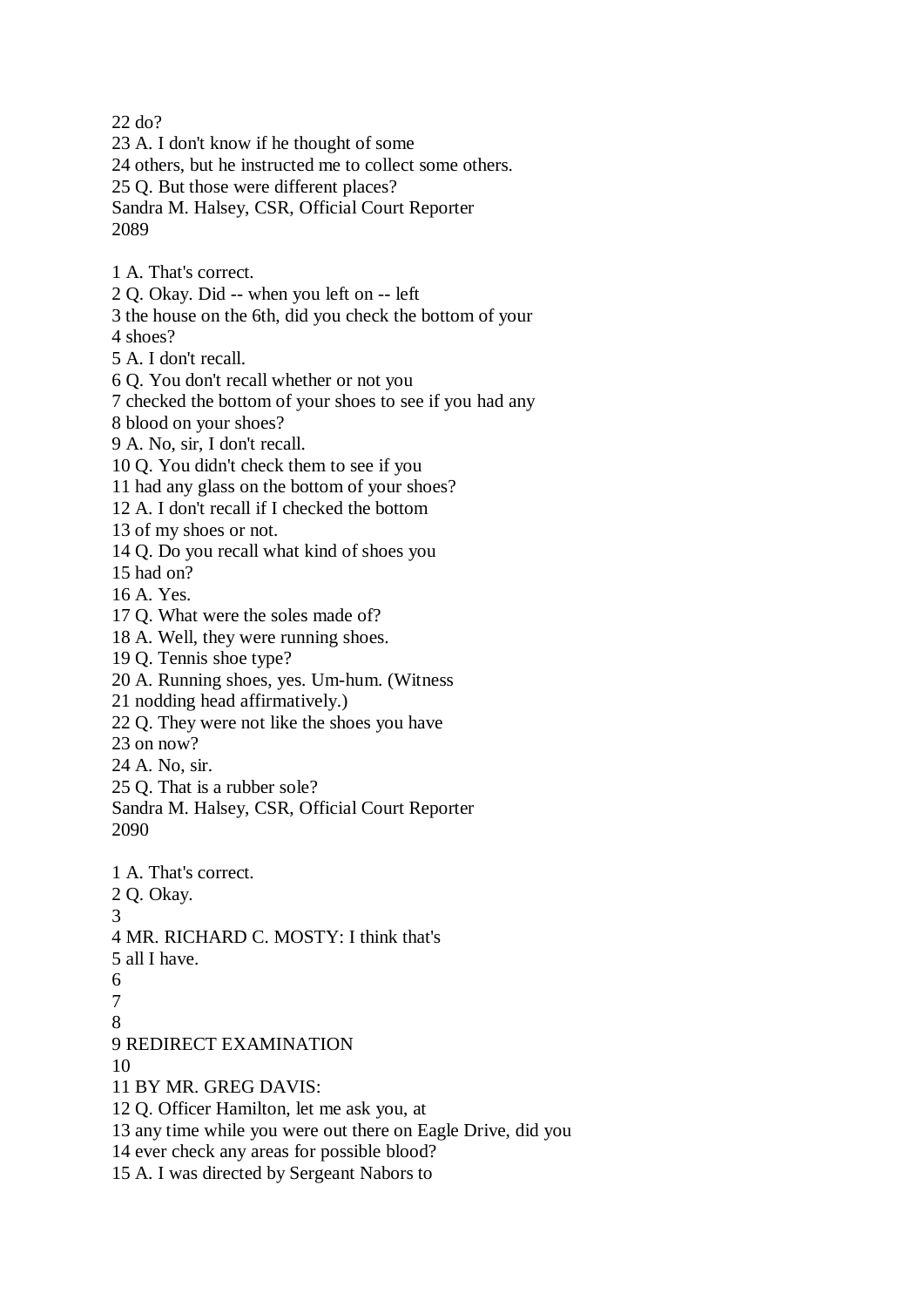22 do?

23 A. I don't know if he thought of some 24 others, but he instructed me to collect some others. 25 Q. But those were different places? Sandra M. Halsey, CSR, Official Court Reporter 2089

- 1 A. That's correct.
- 2 Q. Okay. Did -- when you left on -- left
- 3 the house on the 6th, did you check the bottom of your

4 shoes?

- 5 A. I don't recall.
- 6 Q. You don't recall whether or not you
- 7 checked the bottom of your shoes to see if you had any
- 8 blood on your shoes?
- 9 A. No, sir, I don't recall.
- 10 Q. You didn't check them to see if you
- 11 had any glass on the bottom of your shoes?
- 12 A. I don't recall if I checked the bottom
- 13 of my shoes or not.
- 14 Q. Do you recall what kind of shoes you
- 15 had on?
- 16 A. Yes.
- 17 Q. What were the soles made of?
- 18 A. Well, they were running shoes.
- 19 Q. Tennis shoe type?
- 20 A. Running shoes, yes. Um-hum. (Witness
- 21 nodding head affirmatively.)
- 22 Q. They were not like the shoes you have
- 23 on now?
- 24 A. No, sir.
- 25 Q. That is a rubber sole?
- Sandra M. Halsey, CSR, Official Court Reporter 2090
- 1 A. That's correct.
- 2 Q. Okay.
- 3
- 4 MR. RICHARD C. MOSTY: I think that's
- 5 all I have.
- 6
- 7
- 8
- 9 REDIRECT EXAMINATION
- 10
- 11 BY MR. GREG DAVIS:
- 12 Q. Officer Hamilton, let me ask you, at
- 13 any time while you were out there on Eagle Drive, did you
- 14 ever check any areas for possible blood?
- 15 A. I was directed by Sergeant Nabors to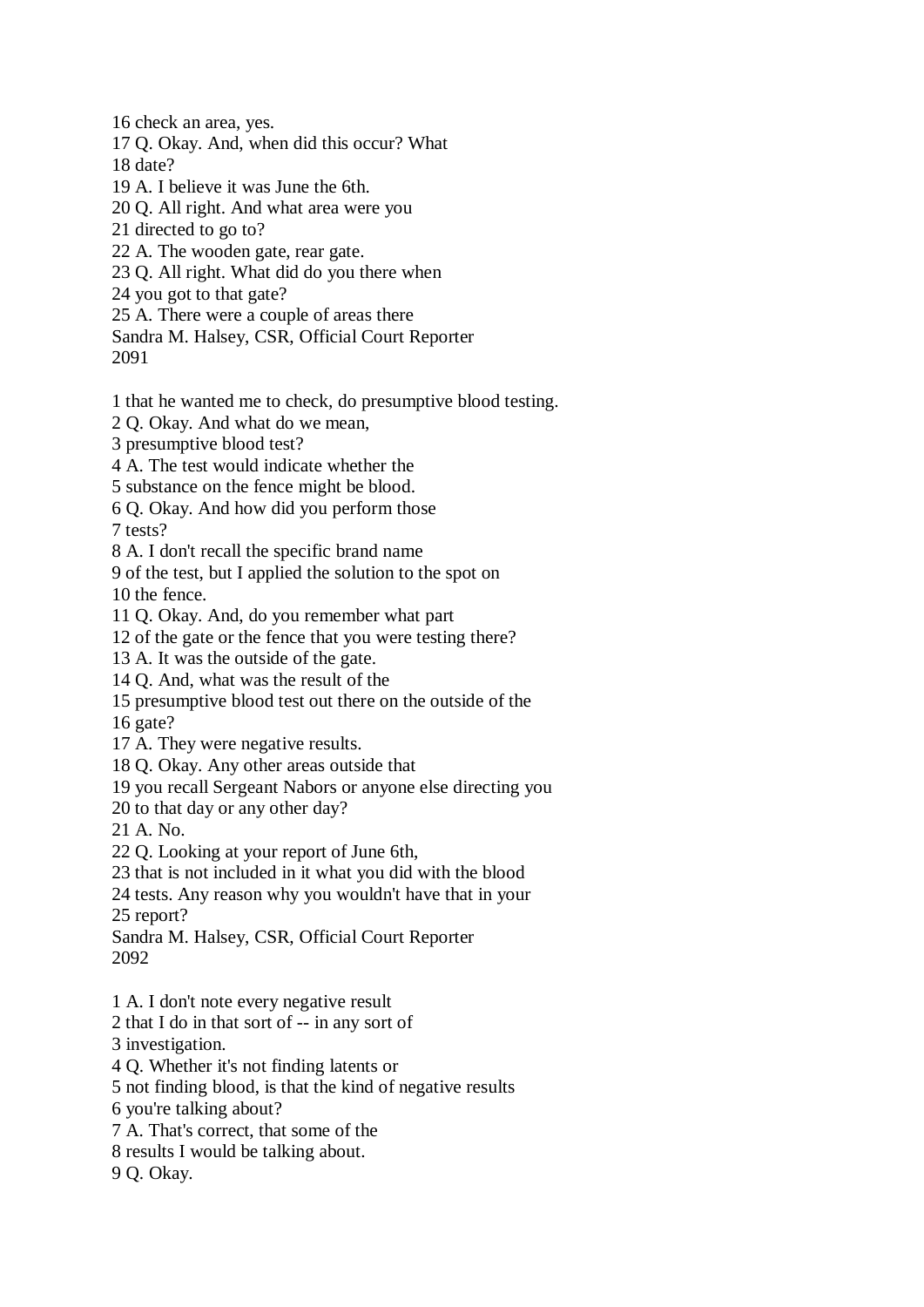16 check an area, yes.

17 Q. Okay. And, when did this occur? What

18 date?

19 A. I believe it was June the 6th.

20 Q. All right. And what area were you

21 directed to go to?

22 A. The wooden gate, rear gate.

23 Q. All right. What did do you there when

24 you got to that gate?

25 A. There were a couple of areas there

Sandra M. Halsey, CSR, Official Court Reporter 2091

1 that he wanted me to check, do presumptive blood testing.

2 Q. Okay. And what do we mean,

3 presumptive blood test?

4 A. The test would indicate whether the

5 substance on the fence might be blood.

6 Q. Okay. And how did you perform those

7 tests?

8 A. I don't recall the specific brand name

9 of the test, but I applied the solution to the spot on 10 the fence.

11 Q. Okay. And, do you remember what part

12 of the gate or the fence that you were testing there?

13 A. It was the outside of the gate.

14 Q. And, what was the result of the

15 presumptive blood test out there on the outside of the

16 gate?

17 A. They were negative results.

18 Q. Okay. Any other areas outside that

19 you recall Sergeant Nabors or anyone else directing you

20 to that day or any other day?

21 A. No.

22 Q. Looking at your report of June 6th,

23 that is not included in it what you did with the blood

24 tests. Any reason why you wouldn't have that in your 25 report?

Sandra M. Halsey, CSR, Official Court Reporter 2092

1 A. I don't note every negative result

2 that I do in that sort of -- in any sort of

3 investigation.

4 Q. Whether it's not finding latents or

5 not finding blood, is that the kind of negative results

6 you're talking about?

7 A. That's correct, that some of the

8 results I would be talking about.

9 Q. Okay.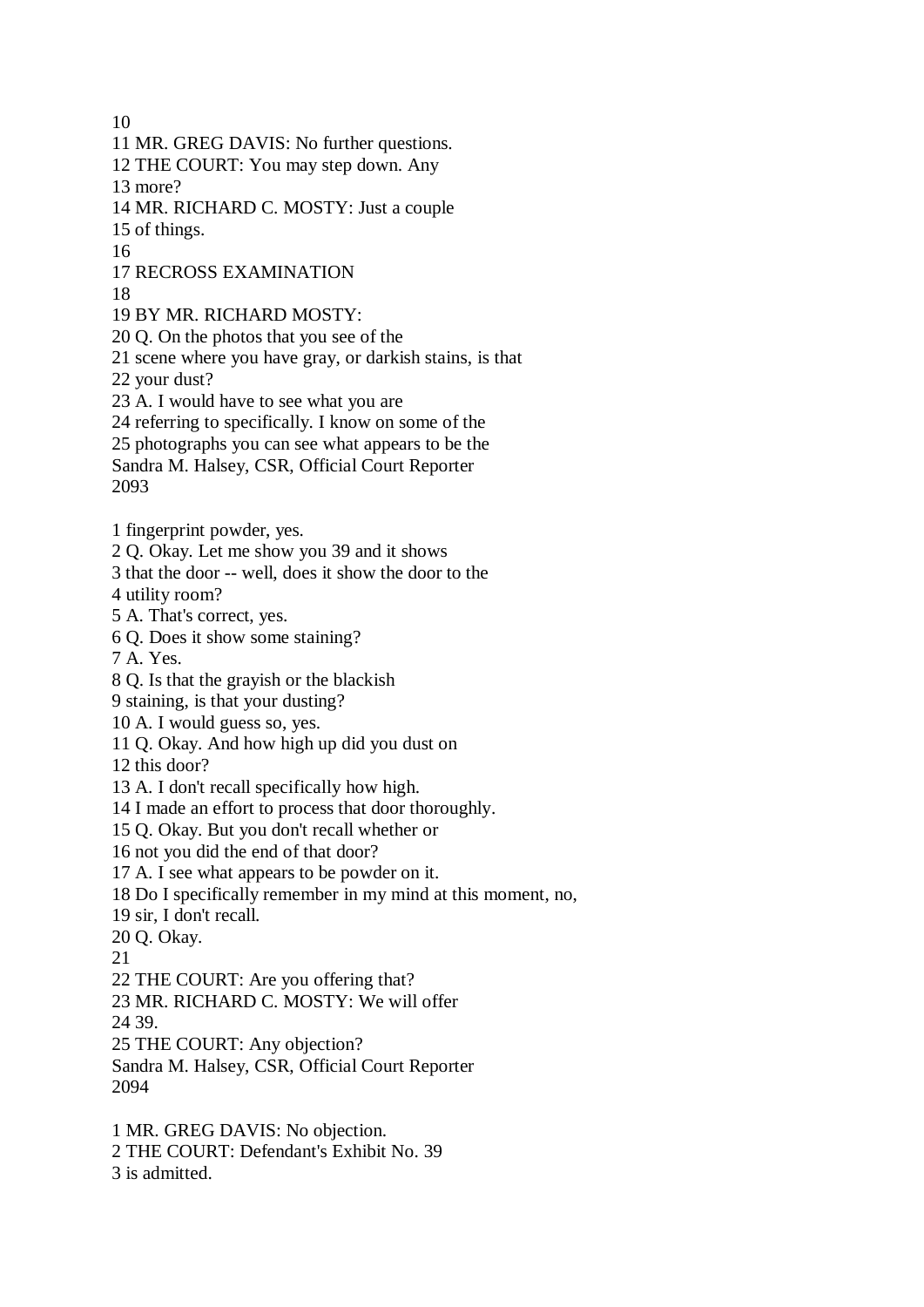10 11 MR. GREG DAVIS: No further questions. 12 THE COURT: You may step down. Any 13 more? 14 MR. RICHARD C. MOSTY: Just a couple 15 of things. 16 17 RECROSS EXAMINATION 18 19 BY MR. RICHARD MOSTY: 20 Q. On the photos that you see of the 21 scene where you have gray, or darkish stains, is that 22 your dust? 23 A. I would have to see what you are 24 referring to specifically. I know on some of the 25 photographs you can see what appears to be the Sandra M. Halsey, CSR, Official Court Reporter 2093 1 fingerprint powder, yes. 2 Q. Okay. Let me show you 39 and it shows 3 that the door -- well, does it show the door to the 4 utility room? 5 A. That's correct, yes. 6 Q. Does it show some staining? 7 A. Yes. 8 Q. Is that the grayish or the blackish 9 staining, is that your dusting? 10 A. I would guess so, yes. 11 Q. Okay. And how high up did you dust on 12 this door? 13 A. I don't recall specifically how high. 14 I made an effort to process that door thoroughly. 15 Q. Okay. But you don't recall whether or 16 not you did the end of that door? 17 A. I see what appears to be powder on it. 18 Do I specifically remember in my mind at this moment, no, 19 sir, I don't recall. 20 Q. Okay. 21 22 THE COURT: Are you offering that? 23 MR. RICHARD C. MOSTY: We will offer 24 39. 25 THE COURT: Any objection? Sandra M. Halsey, CSR, Official Court Reporter 2094 1 MR. GREG DAVIS: No objection. 2 THE COURT: Defendant's Exhibit No. 39 3 is admitted.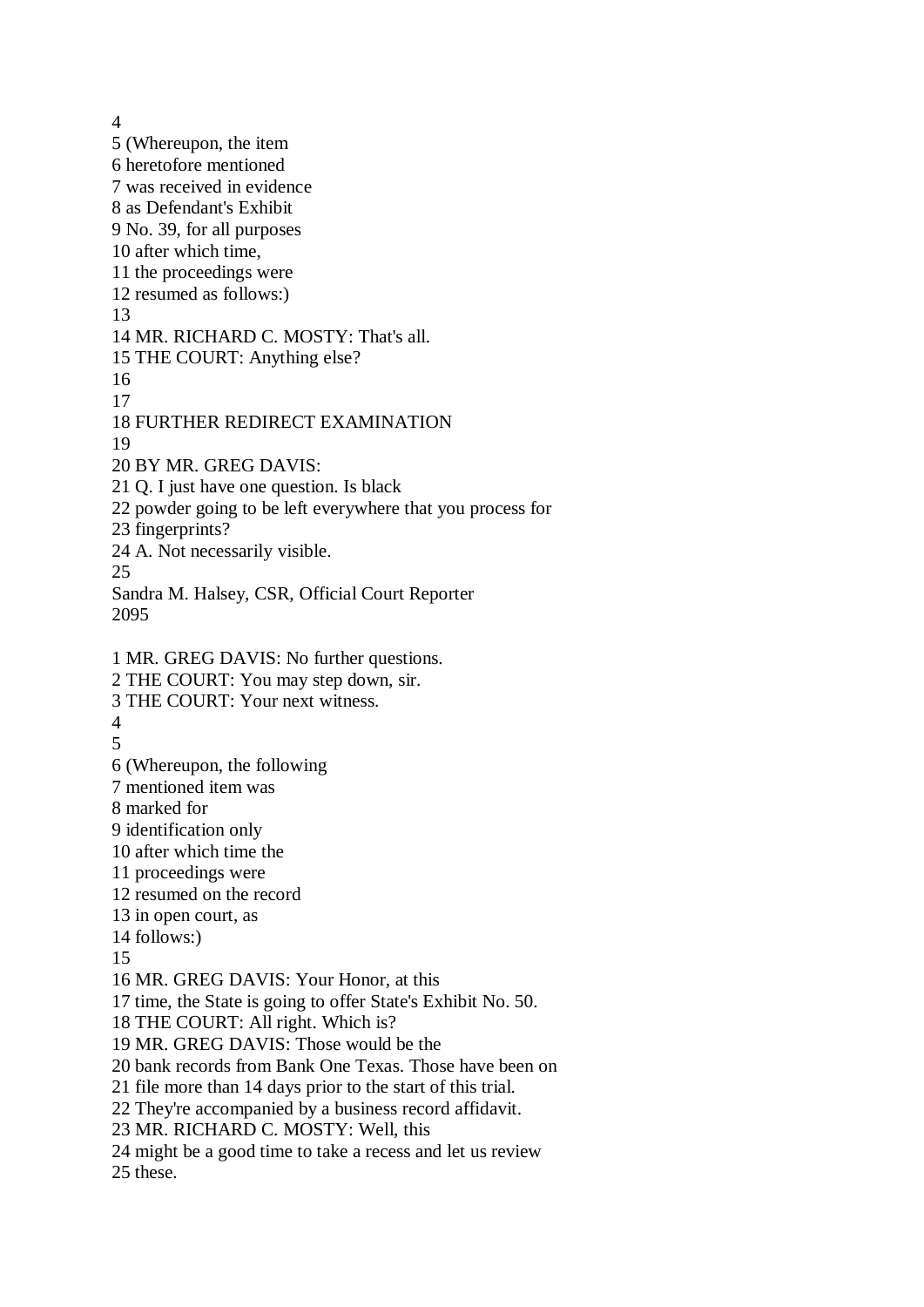4 5 (Whereupon, the item 6 heretofore mentioned 7 was received in evidence 8 as Defendant's Exhibit 9 No. 39, for all purposes 10 after which time, 11 the proceedings were 12 resumed as follows:) 13 14 MR. RICHARD C. MOSTY: That's all. 15 THE COURT: Anything else? 16 17 18 FURTHER REDIRECT EXAMINATION 19 20 BY MR. GREG DAVIS: 21 Q. I just have one question. Is black 22 powder going to be left everywhere that you process for 23 fingerprints? 24 A. Not necessarily visible. 25 Sandra M. Halsey, CSR, Official Court Reporter 2095 1 MR. GREG DAVIS: No further questions. 2 THE COURT: You may step down, sir. 3 THE COURT: Your next witness. 4 5 6 (Whereupon, the following 7 mentioned item was 8 marked for 9 identification only 10 after which time the 11 proceedings were 12 resumed on the record 13 in open court, as 14 follows:) 15 16 MR. GREG DAVIS: Your Honor, at this 17 time, the State is going to offer State's Exhibit No. 50. 18 THE COURT: All right. Which is? 19 MR. GREG DAVIS: Those would be the 20 bank records from Bank One Texas. Those have been on 21 file more than 14 days prior to the start of this trial. 22 They're accompanied by a business record affidavit. 23 MR. RICHARD C. MOSTY: Well, this 24 might be a good time to take a recess and let us review 25 these.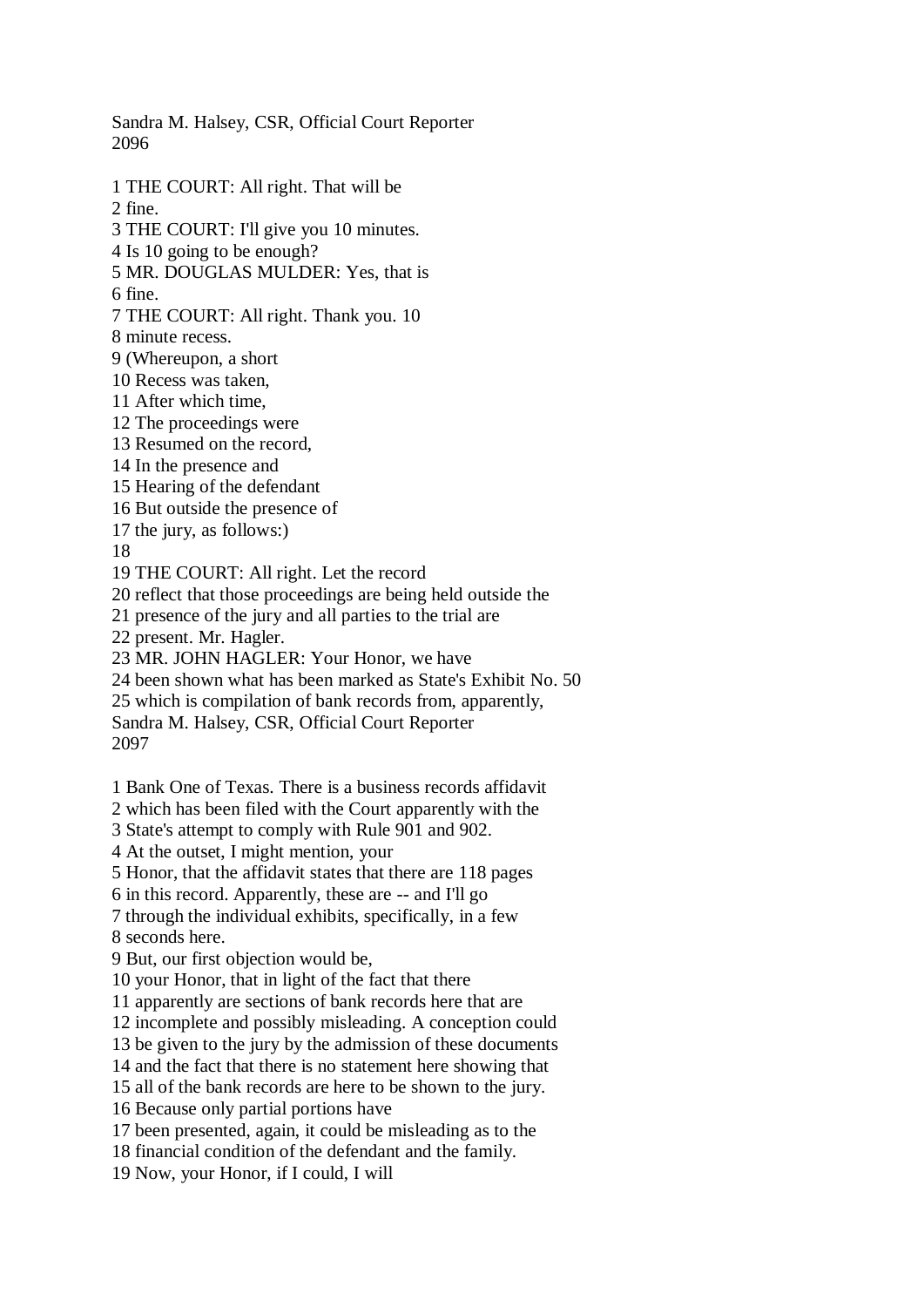Sandra M. Halsey, CSR, Official Court Reporter 2096

1 THE COURT: All right. That will be 2 fine. 3 THE COURT: I'll give you 10 minutes. 4 Is 10 going to be enough? 5 MR. DOUGLAS MULDER: Yes, that is 6 fine. 7 THE COURT: All right. Thank you. 10 8 minute recess. 9 (Whereupon, a short 10 Recess was taken, 11 After which time, 12 The proceedings were 13 Resumed on the record, 14 In the presence and 15 Hearing of the defendant 16 But outside the presence of 17 the jury, as follows:) 18 19 THE COURT: All right. Let the record 20 reflect that those proceedings are being held outside the 21 presence of the jury and all parties to the trial are 22 present. Mr. Hagler. 23 MR. JOHN HAGLER: Your Honor, we have 24 been shown what has been marked as State's Exhibit No. 50 25 which is compilation of bank records from, apparently, Sandra M. Halsey, CSR, Official Court Reporter 2097 1 Bank One of Texas. There is a business records affidavit 2 which has been filed with the Court apparently with the 3 State's attempt to comply with Rule 901 and 902. 4 At the outset, I might mention, your 5 Honor, that the affidavit states that there are 118 pages 6 in this record. Apparently, these are -- and I'll go 7 through the individual exhibits, specifically, in a few 8 seconds here. 9 But, our first objection would be, 10 your Honor, that in light of the fact that there 11 apparently are sections of bank records here that are 12 incomplete and possibly misleading. A conception could 13 be given to the jury by the admission of these documents 14 and the fact that there is no statement here showing that 15 all of the bank records are here to be shown to the jury.

16 Because only partial portions have

17 been presented, again, it could be misleading as to the

18 financial condition of the defendant and the family.

19 Now, your Honor, if I could, I will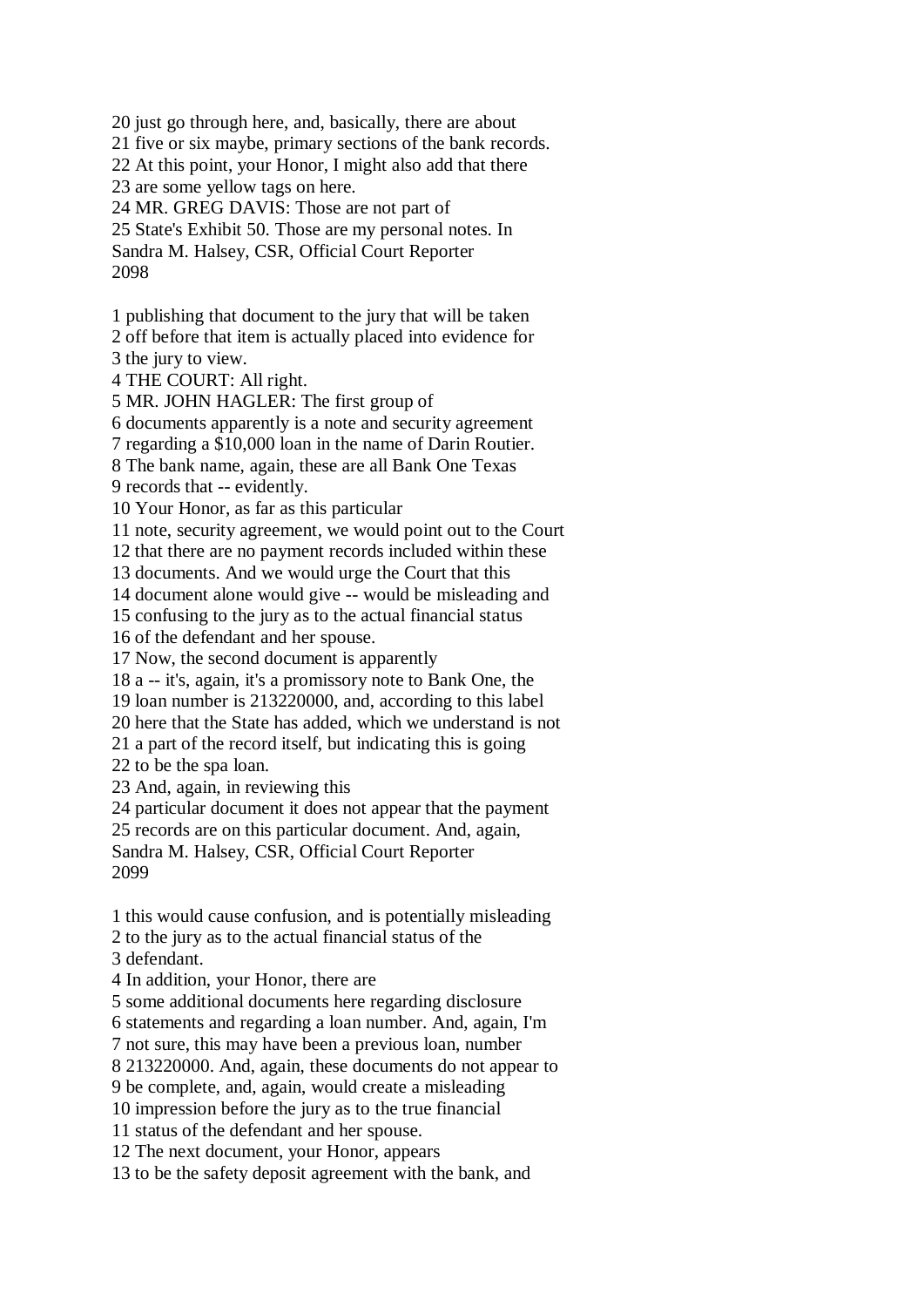20 just go through here, and, basically, there are about 21 five or six maybe, primary sections of the bank records. 22 At this point, your Honor, I might also add that there 23 are some yellow tags on here. 24 MR. GREG DAVIS: Those are not part of 25 State's Exhibit 50. Those are my personal notes. In Sandra M. Halsey, CSR, Official Court Reporter 2098

1 publishing that document to the jury that will be taken 2 off before that item is actually placed into evidence for 3 the jury to view.

4 THE COURT: All right.

5 MR. JOHN HAGLER: The first group of

6 documents apparently is a note and security agreement

7 regarding a \$10,000 loan in the name of Darin Routier.

8 The bank name, again, these are all Bank One Texas

9 records that -- evidently.

10 Your Honor, as far as this particular

11 note, security agreement, we would point out to the Court

12 that there are no payment records included within these

13 documents. And we would urge the Court that this

14 document alone would give -- would be misleading and

15 confusing to the jury as to the actual financial status

16 of the defendant and her spouse.

17 Now, the second document is apparently

18 a -- it's, again, it's a promissory note to Bank One, the

19 loan number is 213220000, and, according to this label

20 here that the State has added, which we understand is not

21 a part of the record itself, but indicating this is going

22 to be the spa loan.

23 And, again, in reviewing this

24 particular document it does not appear that the payment

25 records are on this particular document. And, again,

Sandra M. Halsey, CSR, Official Court Reporter 2099

1 this would cause confusion, and is potentially misleading 2 to the jury as to the actual financial status of the

3 defendant.

4 In addition, your Honor, there are

5 some additional documents here regarding disclosure

6 statements and regarding a loan number. And, again, I'm

7 not sure, this may have been a previous loan, number

8 213220000. And, again, these documents do not appear to

9 be complete, and, again, would create a misleading

10 impression before the jury as to the true financial

11 status of the defendant and her spouse.

12 The next document, your Honor, appears

13 to be the safety deposit agreement with the bank, and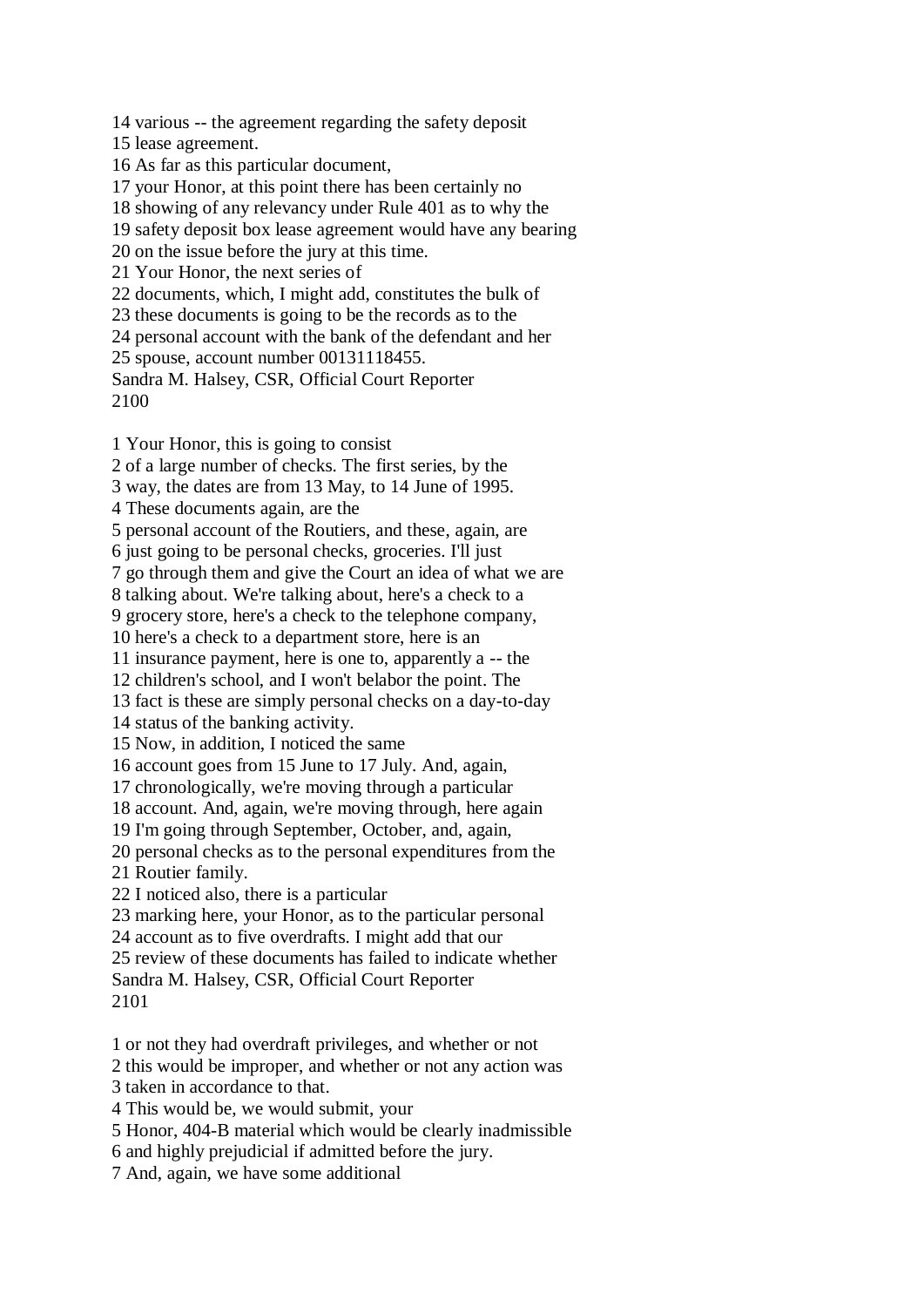14 various -- the agreement regarding the safety deposit 15 lease agreement. 16 As far as this particular document, 17 your Honor, at this point there has been certainly no 18 showing of any relevancy under Rule 401 as to why the 19 safety deposit box lease agreement would have any bearing 20 on the issue before the jury at this time. 21 Your Honor, the next series of 22 documents, which, I might add, constitutes the bulk of 23 these documents is going to be the records as to the 24 personal account with the bank of the defendant and her 25 spouse, account number 00131118455. Sandra M. Halsey, CSR, Official Court Reporter 2100 1 Your Honor, this is going to consist 2 of a large number of checks. The first series, by the 3 way, the dates are from 13 May, to 14 June of 1995. 4 These documents again, are the 5 personal account of the Routiers, and these, again, are

6 just going to be personal checks, groceries. I'll just

7 go through them and give the Court an idea of what we are

8 talking about. We're talking about, here's a check to a

9 grocery store, here's a check to the telephone company,

10 here's a check to a department store, here is an

11 insurance payment, here is one to, apparently a -- the

12 children's school, and I won't belabor the point. The

13 fact is these are simply personal checks on a day-to-day

14 status of the banking activity.

15 Now, in addition, I noticed the same

16 account goes from 15 June to 17 July. And, again,

17 chronologically, we're moving through a particular

18 account. And, again, we're moving through, here again

19 I'm going through September, October, and, again,

20 personal checks as to the personal expenditures from the

21 Routier family.

22 I noticed also, there is a particular

23 marking here, your Honor, as to the particular personal

24 account as to five overdrafts. I might add that our

25 review of these documents has failed to indicate whether Sandra M. Halsey, CSR, Official Court Reporter 2101

1 or not they had overdraft privileges, and whether or not

2 this would be improper, and whether or not any action was

3 taken in accordance to that.

4 This would be, we would submit, your

5 Honor, 404-B material which would be clearly inadmissible

6 and highly prejudicial if admitted before the jury.

7 And, again, we have some additional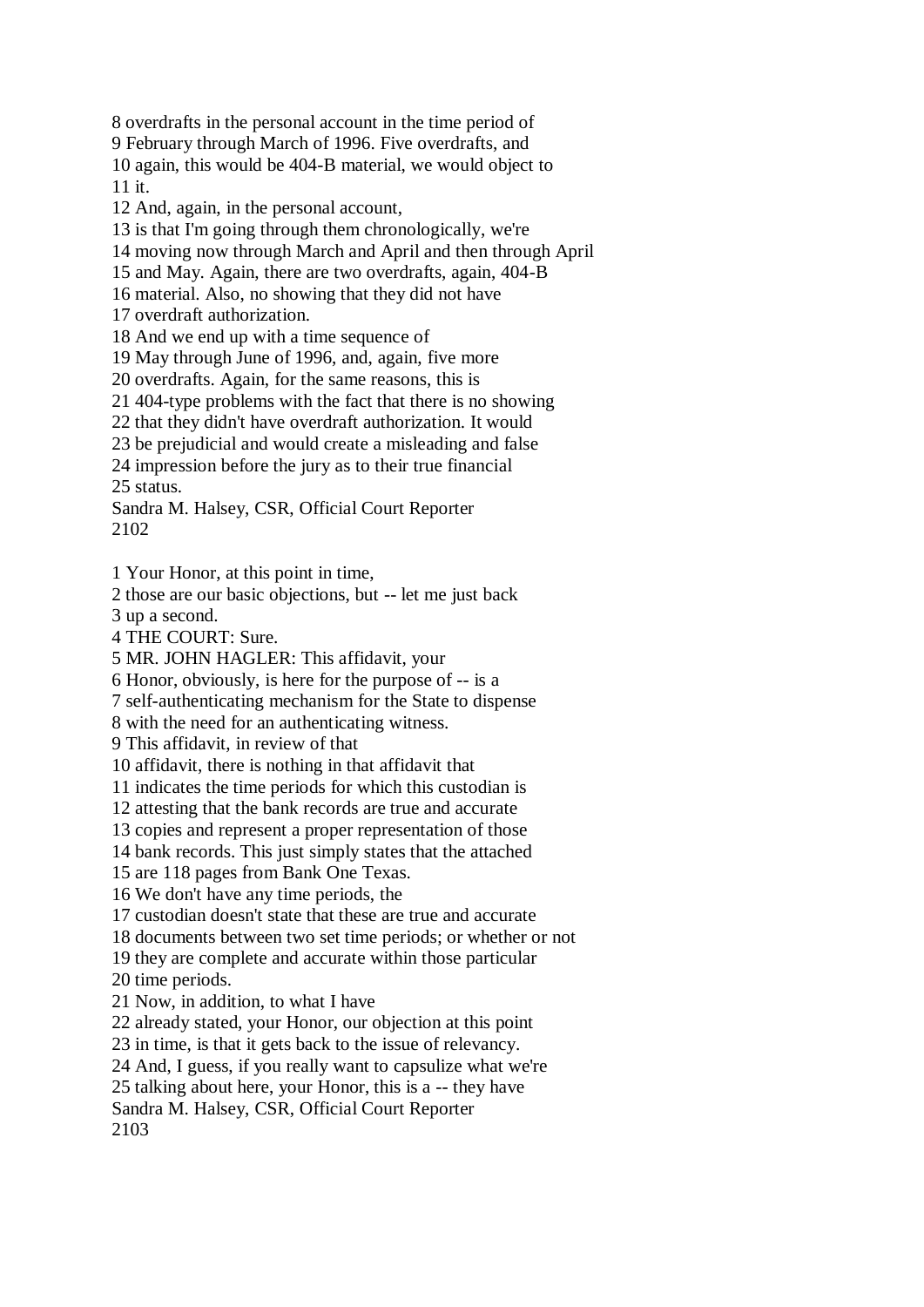8 overdrafts in the personal account in the time period of 9 February through March of 1996. Five overdrafts, and 10 again, this would be 404-B material, we would object to 11 it.

12 And, again, in the personal account,

13 is that I'm going through them chronologically, we're

14 moving now through March and April and then through April

15 and May. Again, there are two overdrafts, again, 404-B

16 material. Also, no showing that they did not have

17 overdraft authorization.

18 And we end up with a time sequence of

19 May through June of 1996, and, again, five more

20 overdrafts. Again, for the same reasons, this is

21 404-type problems with the fact that there is no showing

22 that they didn't have overdraft authorization. It would

23 be prejudicial and would create a misleading and false

24 impression before the jury as to their true financial 25 status.

Sandra M. Halsey, CSR, Official Court Reporter 2102

1 Your Honor, at this point in time,

2 those are our basic objections, but -- let me just back

3 up a second.

4 THE COURT: Sure.

5 MR. JOHN HAGLER: This affidavit, your

6 Honor, obviously, is here for the purpose of -- is a

7 self-authenticating mechanism for the State to dispense

8 with the need for an authenticating witness.

9 This affidavit, in review of that

10 affidavit, there is nothing in that affidavit that

11 indicates the time periods for which this custodian is

12 attesting that the bank records are true and accurate

13 copies and represent a proper representation of those

14 bank records. This just simply states that the attached

15 are 118 pages from Bank One Texas.

16 We don't have any time periods, the

17 custodian doesn't state that these are true and accurate

18 documents between two set time periods; or whether or not

19 they are complete and accurate within those particular

20 time periods.

21 Now, in addition, to what I have

22 already stated, your Honor, our objection at this point

23 in time, is that it gets back to the issue of relevancy.

24 And, I guess, if you really want to capsulize what we're

25 talking about here, your Honor, this is a -- they have

Sandra M. Halsey, CSR, Official Court Reporter

2103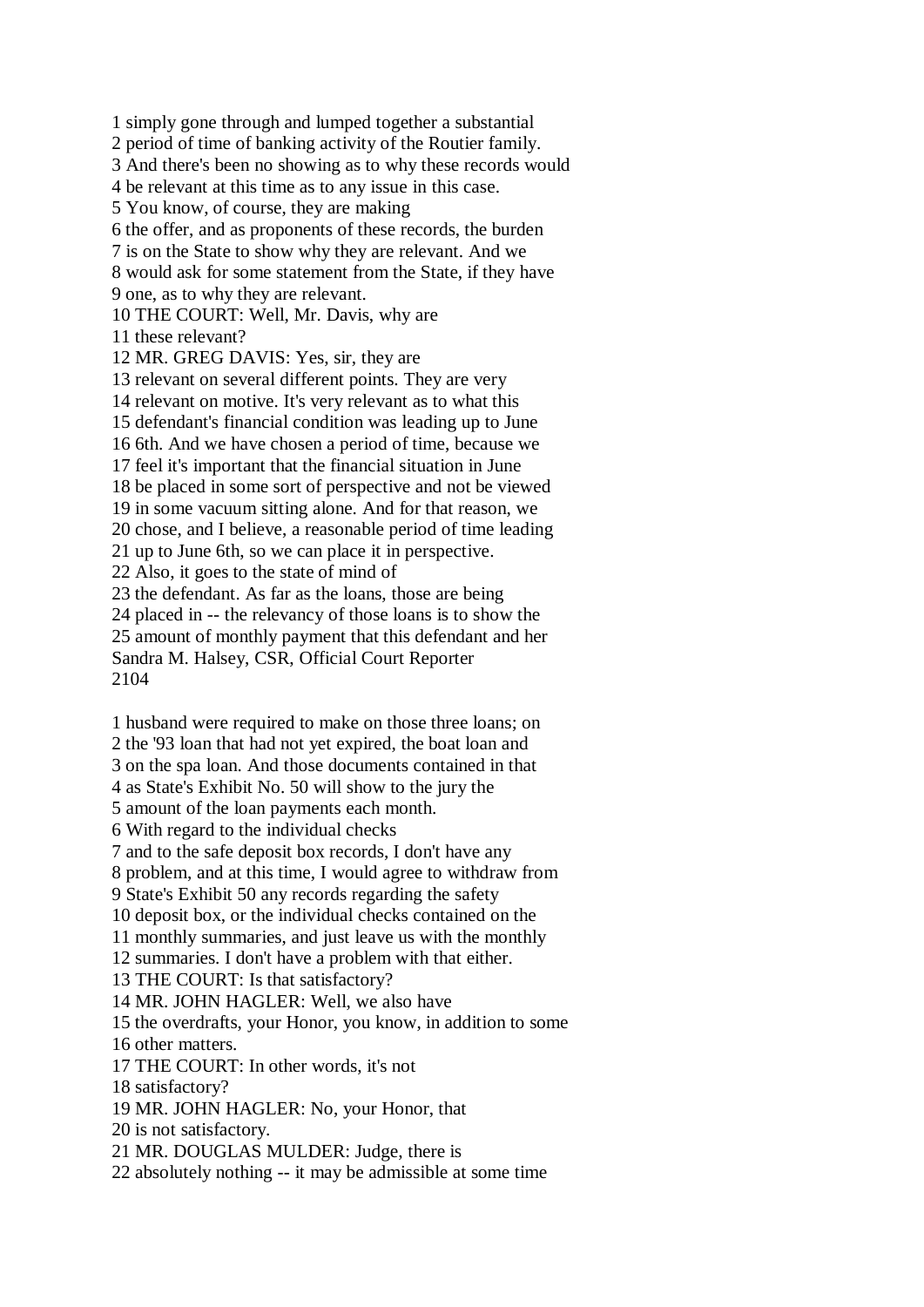1 simply gone through and lumped together a substantial 2 period of time of banking activity of the Routier family. 3 And there's been no showing as to why these records would 4 be relevant at this time as to any issue in this case. 5 You know, of course, they are making 6 the offer, and as proponents of these records, the burden 7 is on the State to show why they are relevant. And we 8 would ask for some statement from the State, if they have 9 one, as to why they are relevant. 10 THE COURT: Well, Mr. Davis, why are 11 these relevant? 12 MR. GREG DAVIS: Yes, sir, they are 13 relevant on several different points. They are very 14 relevant on motive. It's very relevant as to what this 15 defendant's financial condition was leading up to June 16 6th. And we have chosen a period of time, because we 17 feel it's important that the financial situation in June 18 be placed in some sort of perspective and not be viewed 19 in some vacuum sitting alone. And for that reason, we 20 chose, and I believe, a reasonable period of time leading 21 up to June 6th, so we can place it in perspective. 22 Also, it goes to the state of mind of 23 the defendant. As far as the loans, those are being 24 placed in -- the relevancy of those loans is to show the 25 amount of monthly payment that this defendant and her Sandra M. Halsey, CSR, Official Court Reporter 2104

1 husband were required to make on those three loans; on 2 the '93 loan that had not yet expired, the boat loan and 3 on the spa loan. And those documents contained in that 4 as State's Exhibit No. 50 will show to the jury the

5 amount of the loan payments each month.

6 With regard to the individual checks

7 and to the safe deposit box records, I don't have any

8 problem, and at this time, I would agree to withdraw from

9 State's Exhibit 50 any records regarding the safety

10 deposit box, or the individual checks contained on the

11 monthly summaries, and just leave us with the monthly

12 summaries. I don't have a problem with that either.

13 THE COURT: Is that satisfactory?

14 MR. JOHN HAGLER: Well, we also have

15 the overdrafts, your Honor, you know, in addition to some 16 other matters.

17 THE COURT: In other words, it's not

18 satisfactory?

19 MR. JOHN HAGLER: No, your Honor, that

20 is not satisfactory.

21 MR. DOUGLAS MULDER: Judge, there is

22 absolutely nothing -- it may be admissible at some time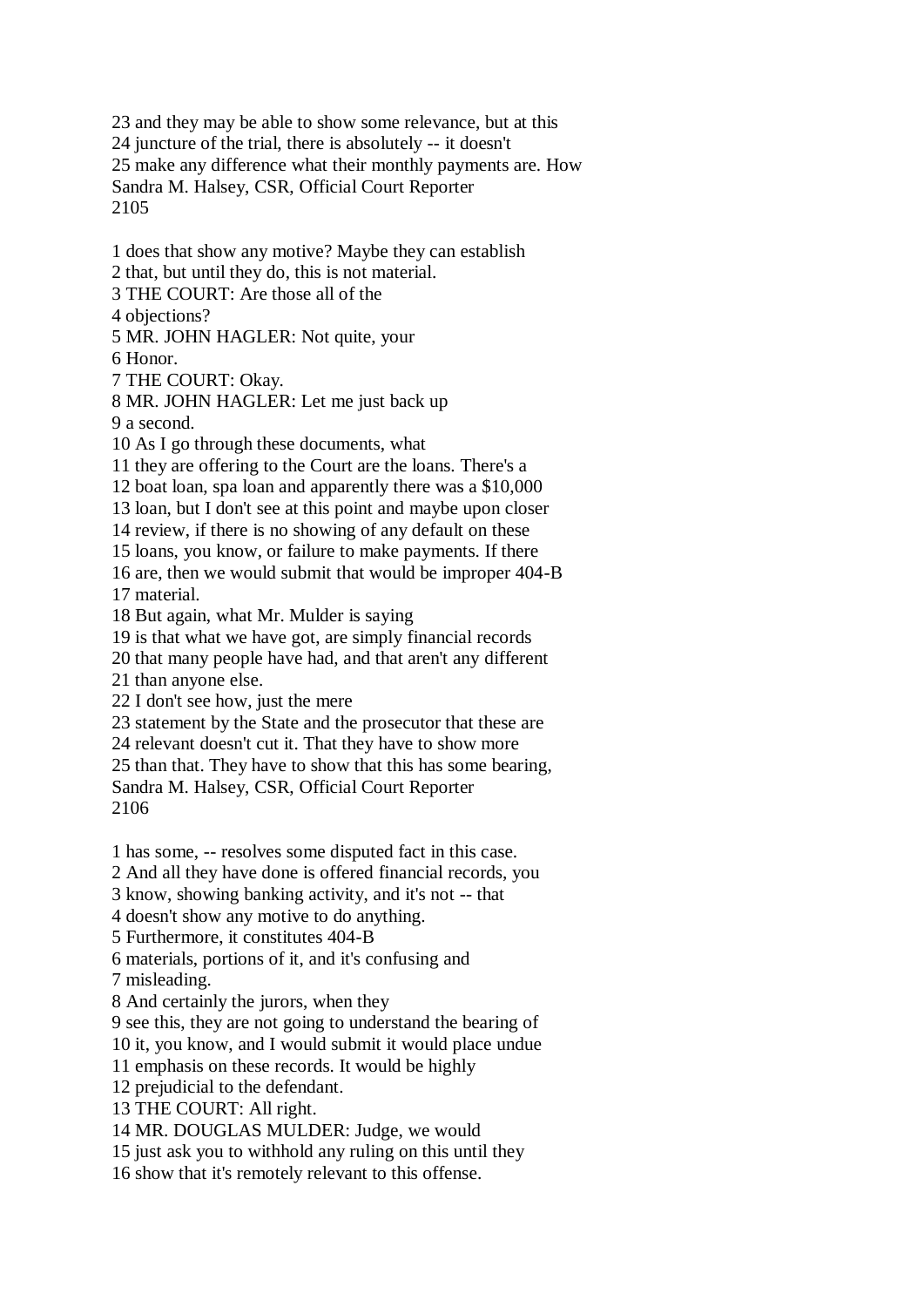23 and they may be able to show some relevance, but at this 24 juncture of the trial, there is absolutely -- it doesn't 25 make any difference what their monthly payments are. How Sandra M. Halsey, CSR, Official Court Reporter 2105

1 does that show any motive? Maybe they can establish 2 that, but until they do, this is not material. 3 THE COURT: Are those all of the 4 objections? 5 MR. JOHN HAGLER: Not quite, your 6 Honor. 7 THE COURT: Okay. 8 MR. JOHN HAGLER: Let me just back up 9 a second. 10 As I go through these documents, what 11 they are offering to the Court are the loans. There's a 12 boat loan, spa loan and apparently there was a \$10,000 13 loan, but I don't see at this point and maybe upon closer 14 review, if there is no showing of any default on these 15 loans, you know, or failure to make payments. If there 16 are, then we would submit that would be improper 404-B 17 material.

18 But again, what Mr. Mulder is saying

19 is that what we have got, are simply financial records

20 that many people have had, and that aren't any different

21 than anyone else.

22 I don't see how, just the mere

23 statement by the State and the prosecutor that these are

24 relevant doesn't cut it. That they have to show more

25 than that. They have to show that this has some bearing,

Sandra M. Halsey, CSR, Official Court Reporter 2106

1 has some, -- resolves some disputed fact in this case.

2 And all they have done is offered financial records, you

3 know, showing banking activity, and it's not -- that

4 doesn't show any motive to do anything.

5 Furthermore, it constitutes 404-B

6 materials, portions of it, and it's confusing and

7 misleading.

8 And certainly the jurors, when they

9 see this, they are not going to understand the bearing of

10 it, you know, and I would submit it would place undue

11 emphasis on these records. It would be highly

12 prejudicial to the defendant.

13 THE COURT: All right.

14 MR. DOUGLAS MULDER: Judge, we would

15 just ask you to withhold any ruling on this until they

16 show that it's remotely relevant to this offense.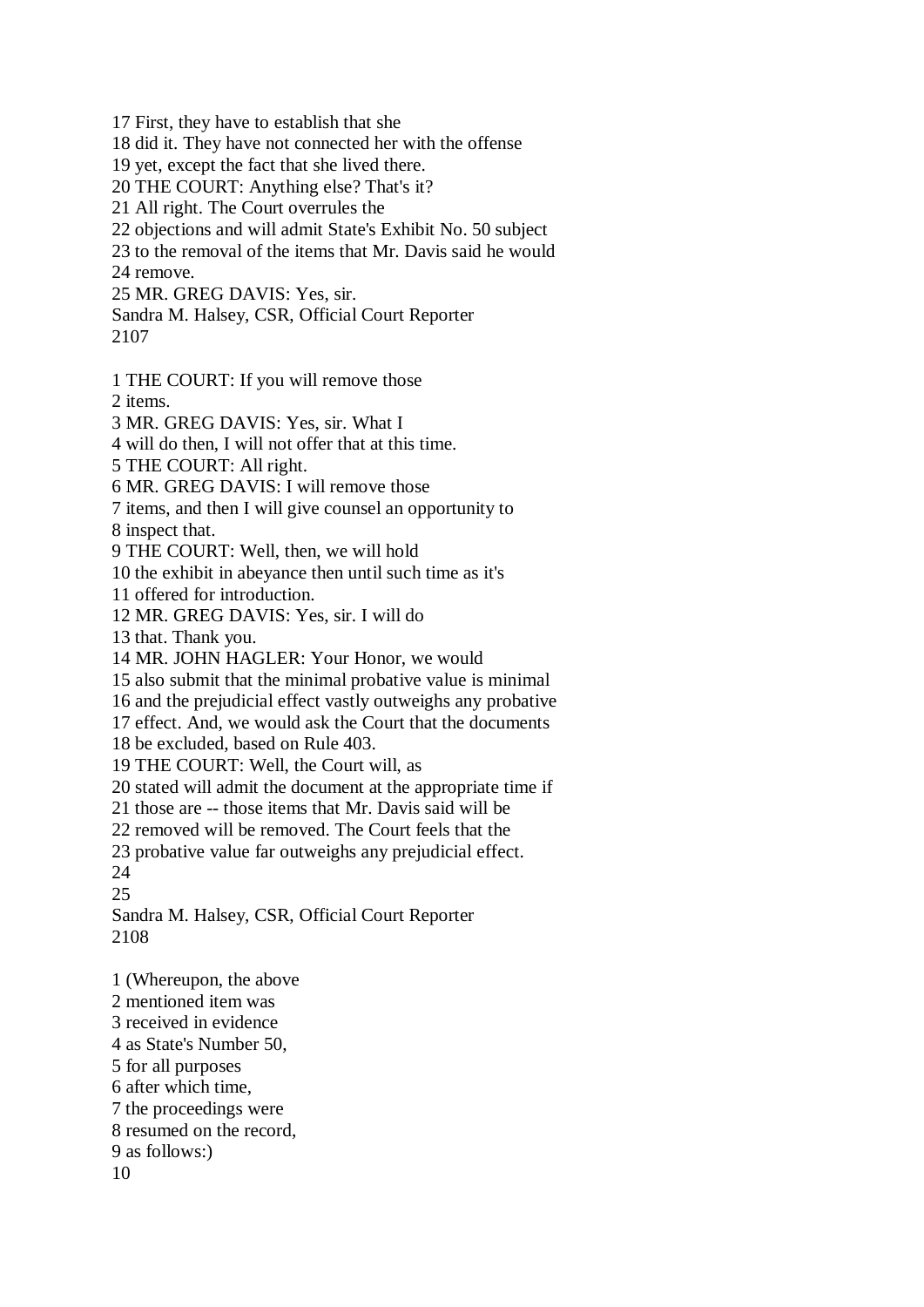17 First, they have to establish that she

18 did it. They have not connected her with the offense

19 yet, except the fact that she lived there.

20 THE COURT: Anything else? That's it?

21 All right. The Court overrules the

22 objections and will admit State's Exhibit No. 50 subject

23 to the removal of the items that Mr. Davis said he would 24 remove.

25 MR. GREG DAVIS: Yes, sir. Sandra M. Halsey, CSR, Official Court Reporter

2107

1 THE COURT: If you will remove those

2 items.

3 MR. GREG DAVIS: Yes, sir. What I

4 will do then, I will not offer that at this time.

5 THE COURT: All right.

6 MR. GREG DAVIS: I will remove those

7 items, and then I will give counsel an opportunity to

8 inspect that.

9 THE COURT: Well, then, we will hold

10 the exhibit in abeyance then until such time as it's

11 offered for introduction.

12 MR. GREG DAVIS: Yes, sir. I will do

13 that. Thank you.

14 MR. JOHN HAGLER: Your Honor, we would

15 also submit that the minimal probative value is minimal

16 and the prejudicial effect vastly outweighs any probative

17 effect. And, we would ask the Court that the documents

18 be excluded, based on Rule 403.

19 THE COURT: Well, the Court will, as

20 stated will admit the document at the appropriate time if

21 those are -- those items that Mr. Davis said will be

22 removed will be removed. The Court feels that the

23 probative value far outweighs any prejudicial effect.

24

25

Sandra M. Halsey, CSR, Official Court Reporter 2108

1 (Whereupon, the above

2 mentioned item was

3 received in evidence

4 as State's Number 50,

- 5 for all purposes
- 6 after which time,

7 the proceedings were

8 resumed on the record,

9 as follows:)

10